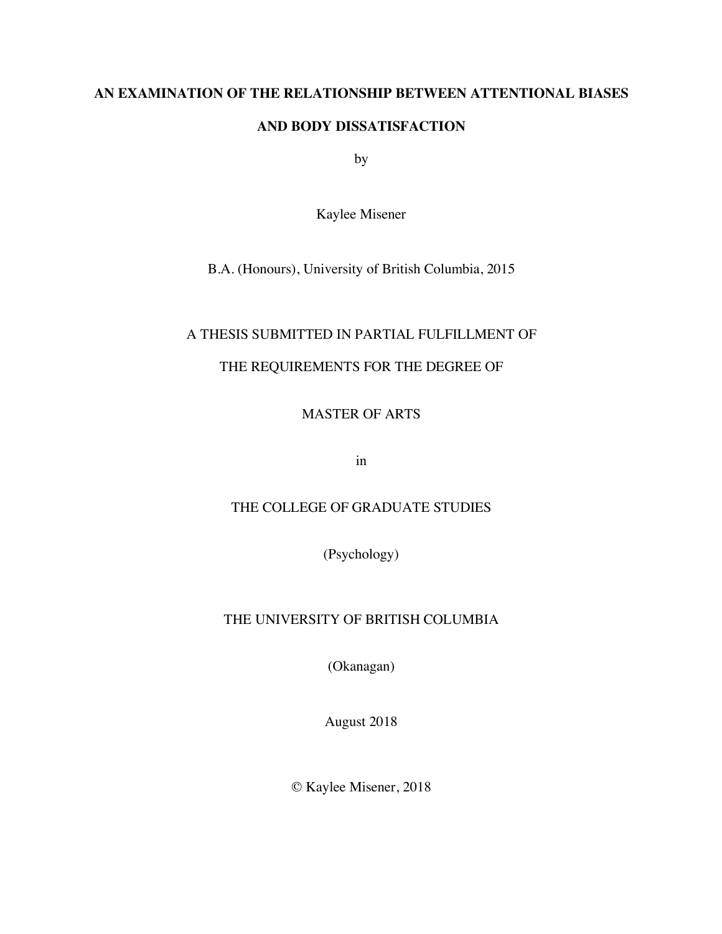# **AN EXAMINATION OF THE RELATIONSHIP BETWEEN ATTENTIONAL BIASES**

## **AND BODY DISSATISFACTION**

by

Kaylee Misener

B.A. (Honours), University of British Columbia, 2015

# A THESIS SUBMITTED IN PARTIAL FULFILLMENT OF

# THE REQUIREMENTS FOR THE DEGREE OF

MASTER OF ARTS

in

# THE COLLEGE OF GRADUATE STUDIES

(Psychology)

# THE UNIVERSITY OF BRITISH COLUMBIA

(Okanagan)

August 2018

© Kaylee Misener, 2018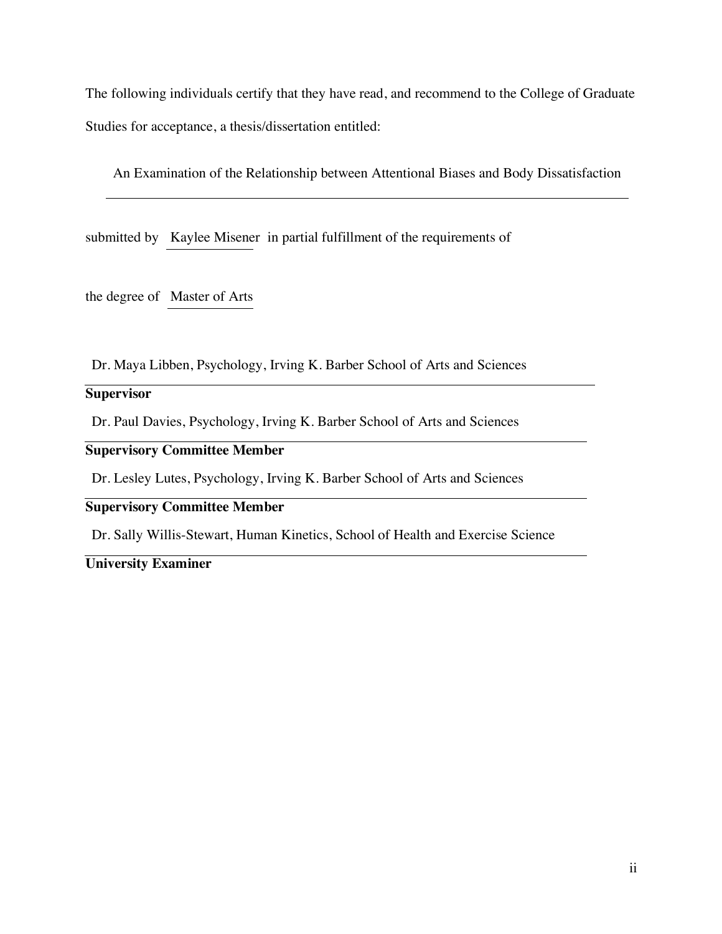The following individuals certify that they have read, and recommend to the College of Graduate Studies for acceptance, a thesis/dissertation entitled:

An Examination of the Relationship between Attentional Biases and Body Dissatisfaction

submitted by Kaylee Misener in partial fulfillment of the requirements of

the degree of Master of Arts

Dr. Maya Libben, Psychology, Irving K. Barber School of Arts and Sciences

## **Supervisor**

Dr. Paul Davies, Psychology, Irving K. Barber School of Arts and Sciences

# **Supervisory Committee Member**

Dr. Lesley Lutes, Psychology, Irving K. Barber School of Arts and Sciences

## **Supervisory Committee Member**

Dr. Sally Willis-Stewart, Human Kinetics, School of Health and Exercise Science

# **University Examiner**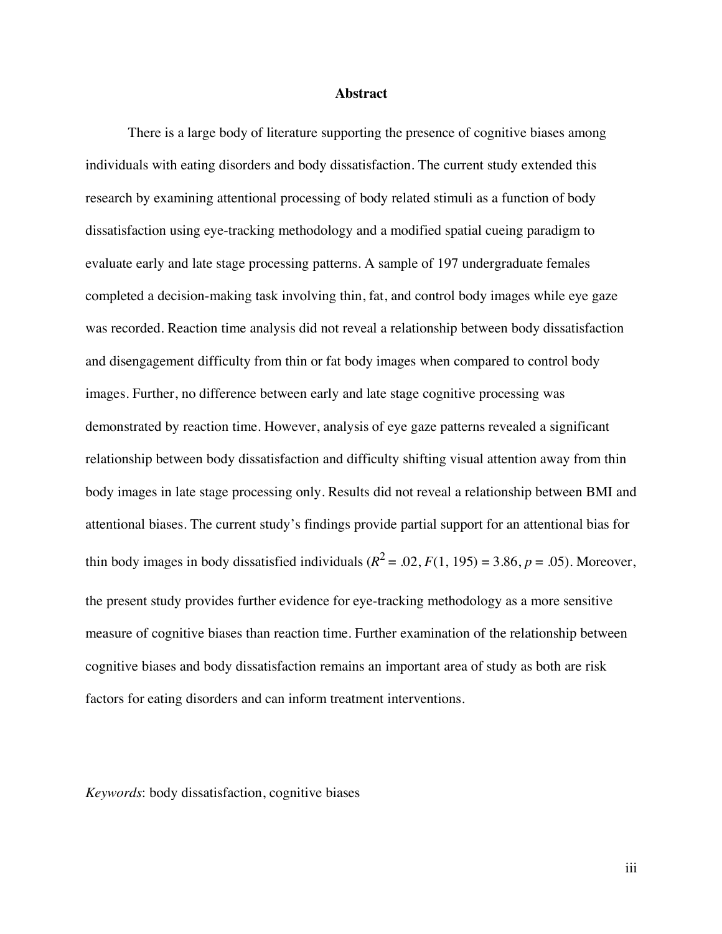#### **Abstract**

There is a large body of literature supporting the presence of cognitive biases among individuals with eating disorders and body dissatisfaction. The current study extended this research by examining attentional processing of body related stimuli as a function of body dissatisfaction using eye-tracking methodology and a modified spatial cueing paradigm to evaluate early and late stage processing patterns. A sample of 197 undergraduate females completed a decision-making task involving thin, fat, and control body images while eye gaze was recorded. Reaction time analysis did not reveal a relationship between body dissatisfaction and disengagement difficulty from thin or fat body images when compared to control body images. Further, no difference between early and late stage cognitive processing was demonstrated by reaction time. However, analysis of eye gaze patterns revealed a significant relationship between body dissatisfaction and difficulty shifting visual attention away from thin body images in late stage processing only. Results did not reveal a relationship between BMI and attentional biases. The current study's findings provide partial support for an attentional bias for thin body images in body dissatisfied individuals  $(R^2 = .02, F(1, 195) = 3.86, p = .05)$ . Moreover, the present study provides further evidence for eye-tracking methodology as a more sensitive measure of cognitive biases than reaction time. Further examination of the relationship between cognitive biases and body dissatisfaction remains an important area of study as both are risk factors for eating disorders and can inform treatment interventions.

*Keywords*: body dissatisfaction, cognitive biases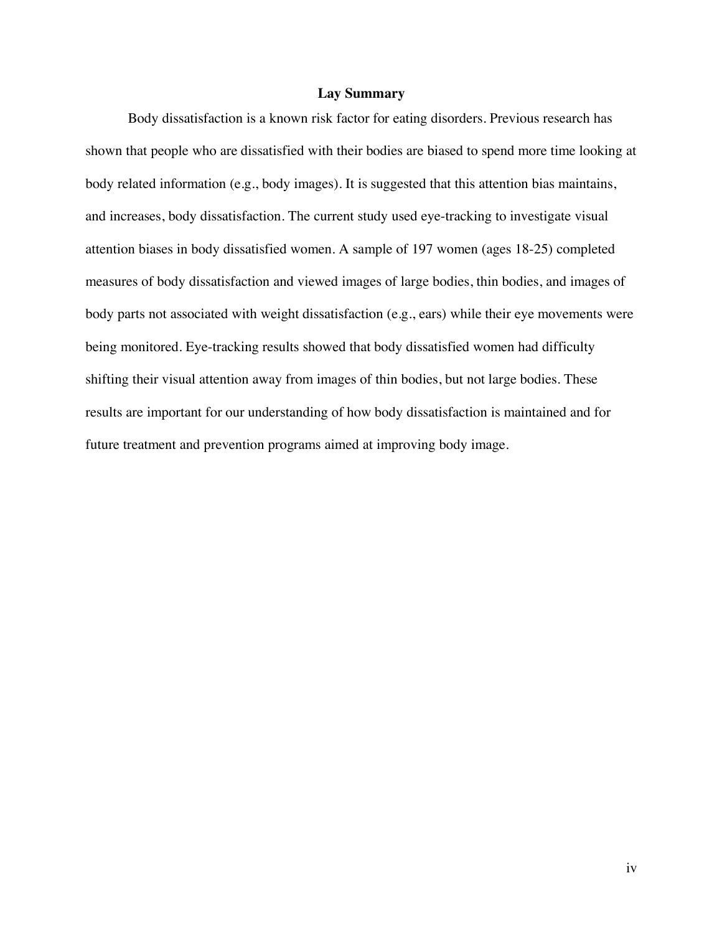## **Lay Summary**

Body dissatisfaction is a known risk factor for eating disorders. Previous research has shown that people who are dissatisfied with their bodies are biased to spend more time looking at body related information (e.g., body images). It is suggested that this attention bias maintains, and increases, body dissatisfaction. The current study used eye-tracking to investigate visual attention biases in body dissatisfied women. A sample of 197 women (ages 18-25) completed measures of body dissatisfaction and viewed images of large bodies, thin bodies, and images of body parts not associated with weight dissatisfaction (e.g., ears) while their eye movements were being monitored. Eye-tracking results showed that body dissatisfied women had difficulty shifting their visual attention away from images of thin bodies, but not large bodies. These results are important for our understanding of how body dissatisfaction is maintained and for future treatment and prevention programs aimed at improving body image.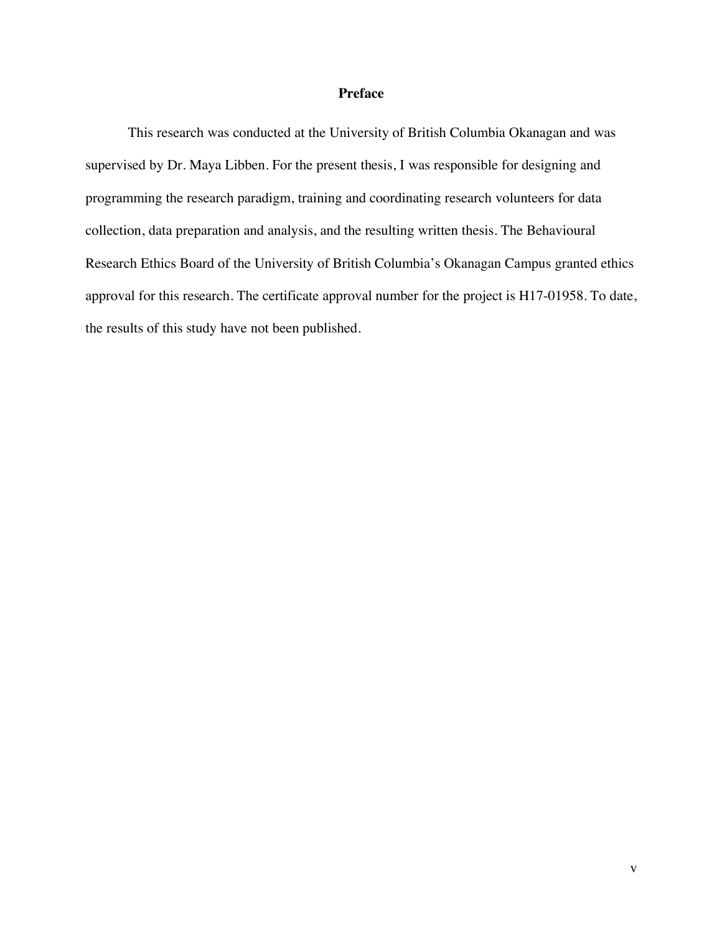## **Preface**

This research was conducted at the University of British Columbia Okanagan and was supervised by Dr. Maya Libben. For the present thesis, I was responsible for designing and programming the research paradigm, training and coordinating research volunteers for data collection, data preparation and analysis, and the resulting written thesis. The Behavioural Research Ethics Board of the University of British Columbia's Okanagan Campus granted ethics approval for this research. The certificate approval number for the project is H17-01958. To date, the results of this study have not been published.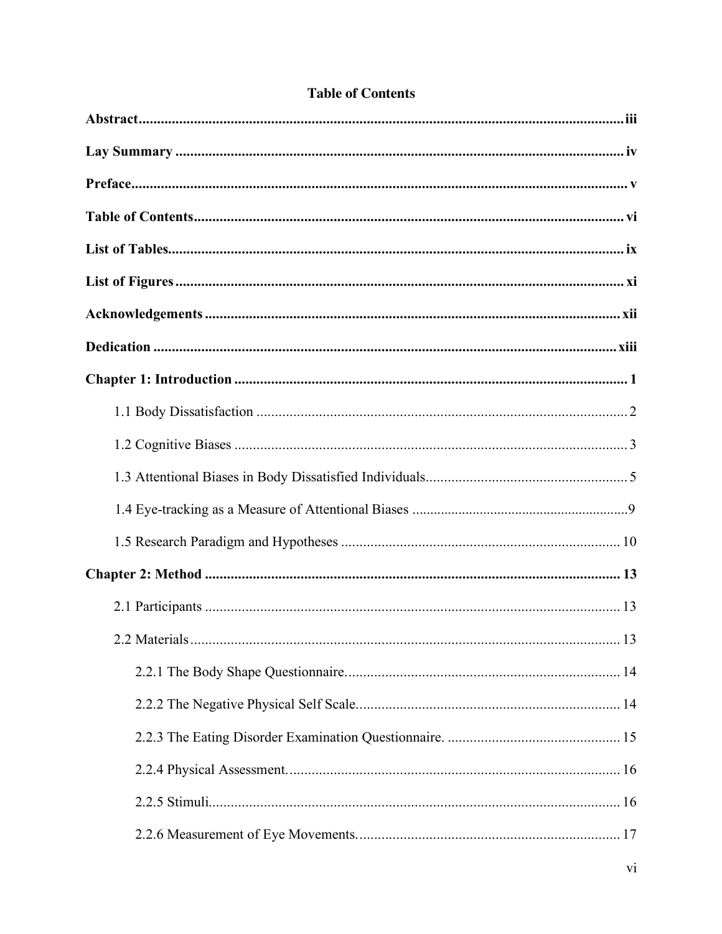| .13 |
|-----|
|     |
|     |
|     |
|     |
|     |
|     |

# **Table of Contents**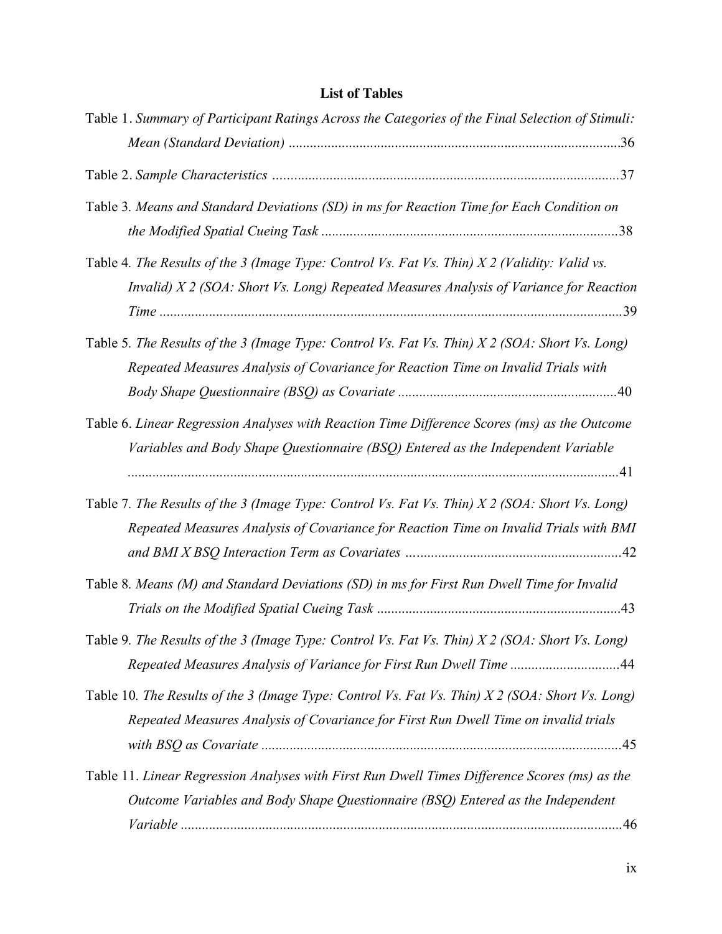# **List of Tables**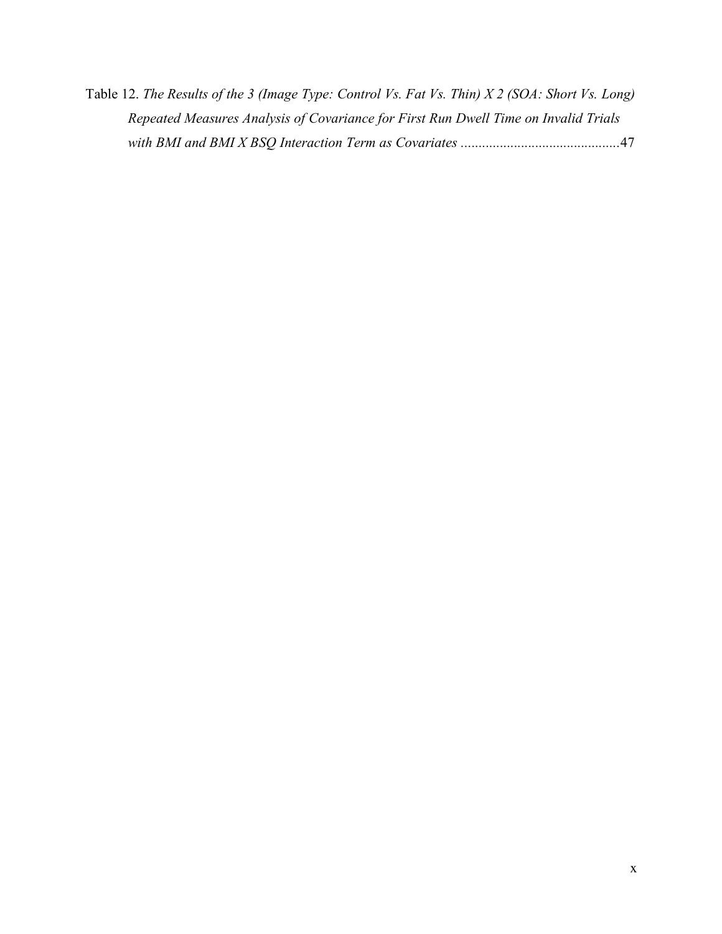Table 12. *The Results of the 3 (Image Type: Control Vs. Fat Vs. Thin) X 2 (SOA: Short Vs. Long) Repeated Measures Analysis of Covariance for First Run Dwell Time on Invalid Trials with BMI and BMI X BSQ Interaction Term as Covariates .............................................*47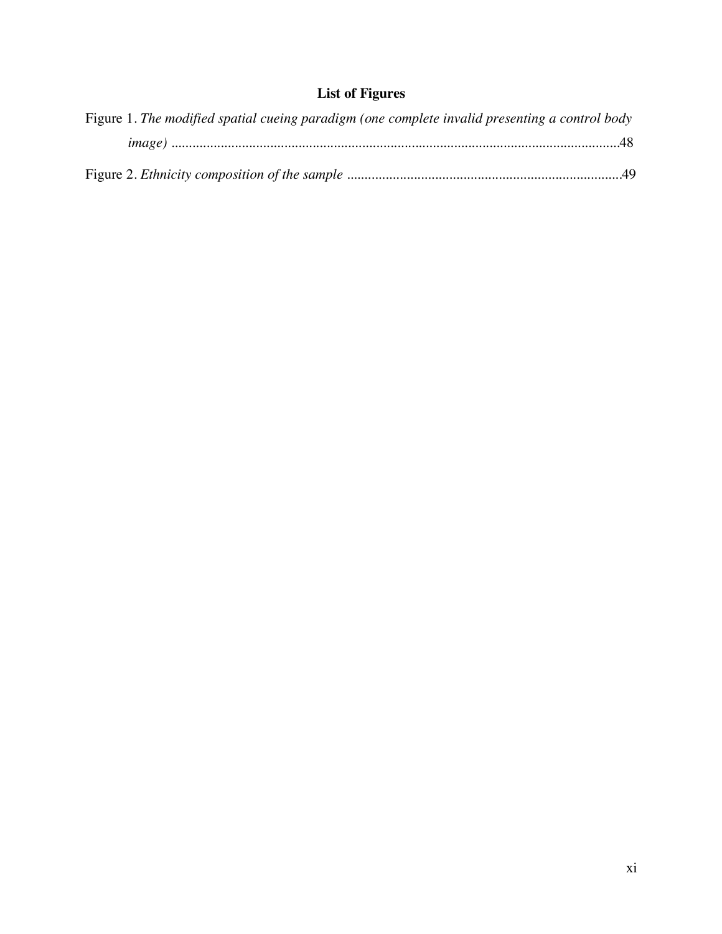# **List of Figures**

| Figure 1. The modified spatial cueing paradigm (one complete invalid presenting a control body |
|------------------------------------------------------------------------------------------------|
|                                                                                                |
|                                                                                                |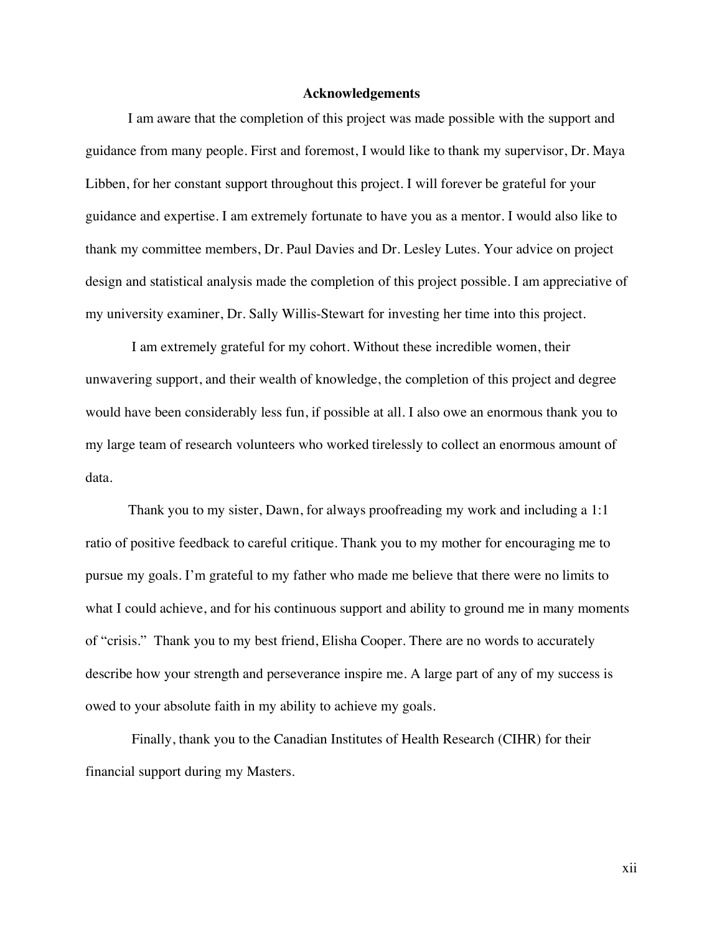## **Acknowledgements**

I am aware that the completion of this project was made possible with the support and guidance from many people. First and foremost, I would like to thank my supervisor, Dr. Maya Libben, for her constant support throughout this project. I will forever be grateful for your guidance and expertise. I am extremely fortunate to have you as a mentor. I would also like to thank my committee members, Dr. Paul Davies and Dr. Lesley Lutes. Your advice on project design and statistical analysis made the completion of this project possible. I am appreciative of my university examiner, Dr. Sally Willis-Stewart for investing her time into this project.

 I am extremely grateful for my cohort. Without these incredible women, their unwavering support, and their wealth of knowledge, the completion of this project and degree would have been considerably less fun, if possible at all. I also owe an enormous thank you to my large team of research volunteers who worked tirelessly to collect an enormous amount of data.

 Thank you to my sister, Dawn, for always proofreading my work and including a 1:1 ratio of positive feedback to careful critique. Thank you to my mother for encouraging me to pursue my goals. I'm grateful to my father who made me believe that there were no limits to what I could achieve, and for his continuous support and ability to ground me in many moments of "crisis." Thank you to my best friend, Elisha Cooper. There are no words to accurately describe how your strength and perseverance inspire me. A large part of any of my success is owed to your absolute faith in my ability to achieve my goals.

 Finally, thank you to the Canadian Institutes of Health Research (CIHR) for their financial support during my Masters.

xii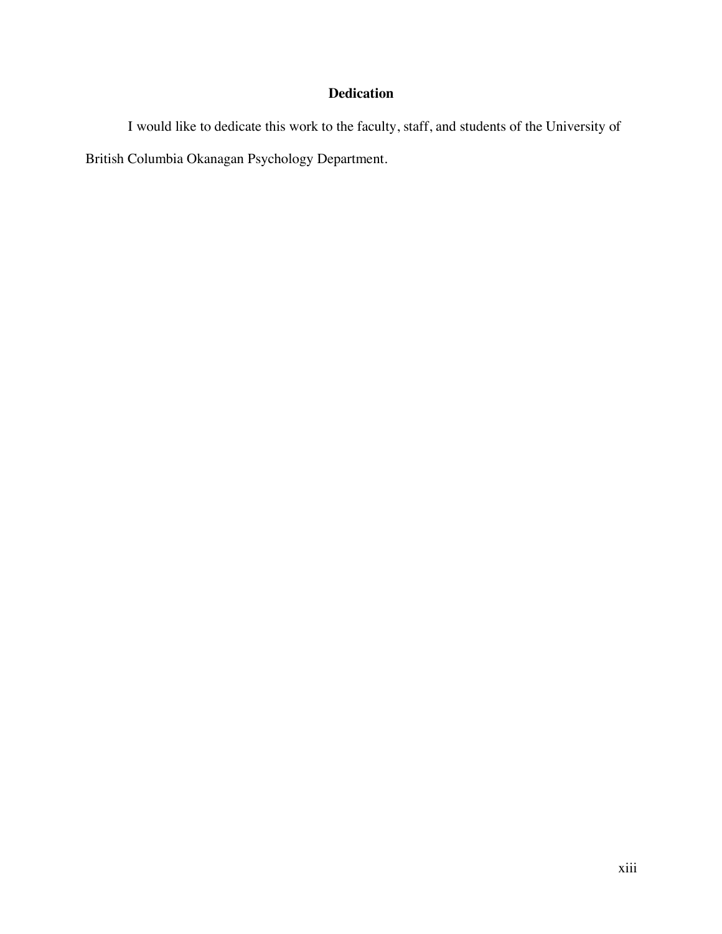# **Dedication**

I would like to dedicate this work to the faculty, staff, and students of the University of British Columbia Okanagan Psychology Department.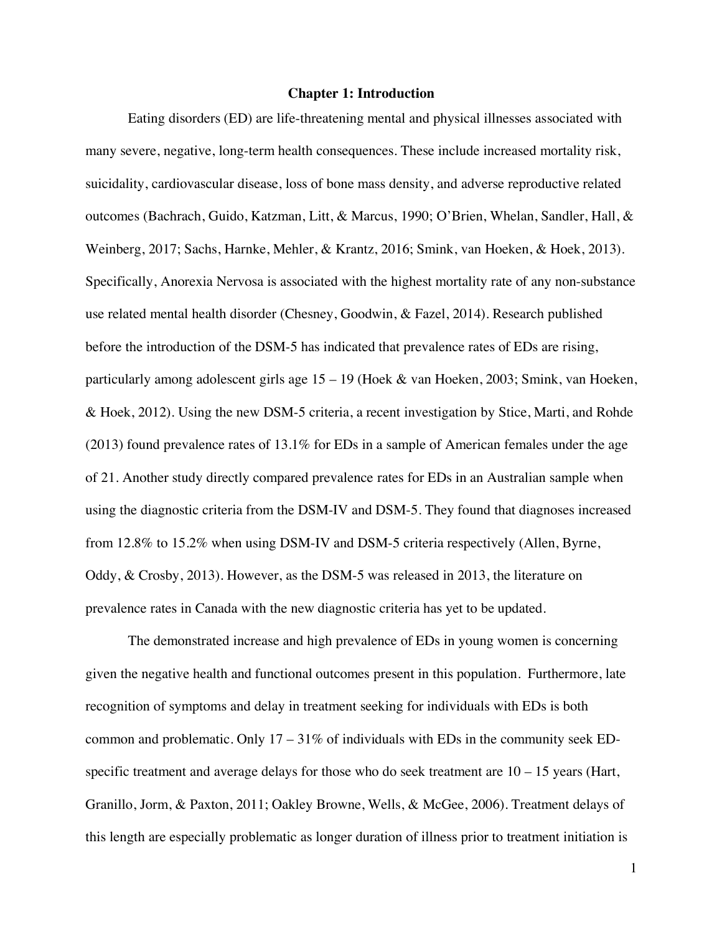#### **Chapter 1: Introduction**

Eating disorders (ED) are life-threatening mental and physical illnesses associated with many severe, negative, long-term health consequences. These include increased mortality risk, suicidality, cardiovascular disease, loss of bone mass density, and adverse reproductive related outcomes (Bachrach, Guido, Katzman, Litt, & Marcus, 1990; O'Brien, Whelan, Sandler, Hall, & Weinberg, 2017; Sachs, Harnke, Mehler, & Krantz, 2016; Smink, van Hoeken, & Hoek, 2013). Specifically, Anorexia Nervosa is associated with the highest mortality rate of any non-substance use related mental health disorder (Chesney, Goodwin, & Fazel, 2014). Research published before the introduction of the DSM-5 has indicated that prevalence rates of EDs are rising, particularly among adolescent girls age 15 – 19 (Hoek & van Hoeken, 2003; Smink, van Hoeken, & Hoek, 2012). Using the new DSM-5 criteria, a recent investigation by Stice, Marti, and Rohde (2013) found prevalence rates of 13.1% for EDs in a sample of American females under the age of 21. Another study directly compared prevalence rates for EDs in an Australian sample when using the diagnostic criteria from the DSM-IV and DSM-5. They found that diagnoses increased from 12.8% to 15.2% when using DSM-IV and DSM-5 criteria respectively (Allen, Byrne, Oddy, & Crosby, 2013). However, as the DSM-5 was released in 2013, the literature on prevalence rates in Canada with the new diagnostic criteria has yet to be updated.

The demonstrated increase and high prevalence of EDs in young women is concerning given the negative health and functional outcomes present in this population. Furthermore, late recognition of symptoms and delay in treatment seeking for individuals with EDs is both common and problematic. Only  $17 - 31\%$  of individuals with EDs in the community seek EDspecific treatment and average delays for those who do seek treatment are  $10 - 15$  years (Hart, Granillo, Jorm, & Paxton, 2011; Oakley Browne, Wells, & McGee, 2006). Treatment delays of this length are especially problematic as longer duration of illness prior to treatment initiation is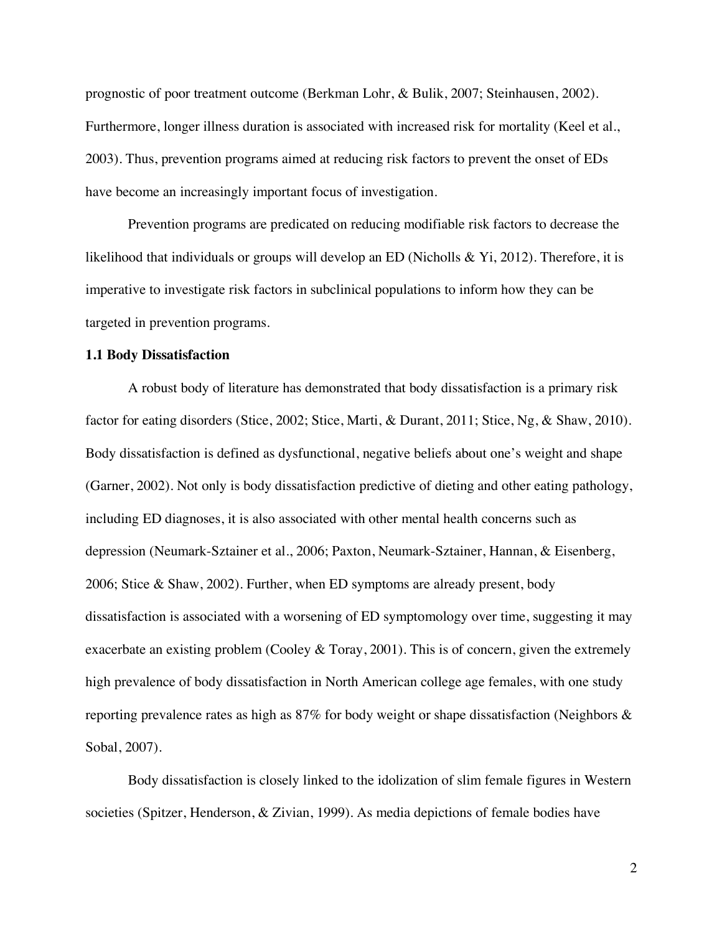prognostic of poor treatment outcome (Berkman Lohr, & Bulik, 2007; Steinhausen, 2002). Furthermore, longer illness duration is associated with increased risk for mortality (Keel et al., 2003). Thus, prevention programs aimed at reducing risk factors to prevent the onset of EDs have become an increasingly important focus of investigation.

Prevention programs are predicated on reducing modifiable risk factors to decrease the likelihood that individuals or groups will develop an ED (Nicholls & Yi, 2012). Therefore, it is imperative to investigate risk factors in subclinical populations to inform how they can be targeted in prevention programs.

#### **1.1 Body Dissatisfaction**

A robust body of literature has demonstrated that body dissatisfaction is a primary risk factor for eating disorders (Stice, 2002; Stice, Marti, & Durant, 2011; Stice, Ng, & Shaw, 2010). Body dissatisfaction is defined as dysfunctional, negative beliefs about one's weight and shape (Garner, 2002). Not only is body dissatisfaction predictive of dieting and other eating pathology, including ED diagnoses, it is also associated with other mental health concerns such as depression (Neumark-Sztainer et al., 2006; Paxton, Neumark-Sztainer, Hannan, & Eisenberg, 2006; Stice & Shaw, 2002). Further, when ED symptoms are already present, body dissatisfaction is associated with a worsening of ED symptomology over time, suggesting it may exacerbate an existing problem (Cooley & Toray, 2001). This is of concern, given the extremely high prevalence of body dissatisfaction in North American college age females, with one study reporting prevalence rates as high as 87% for body weight or shape dissatisfaction (Neighbors & Sobal, 2007).

Body dissatisfaction is closely linked to the idolization of slim female figures in Western societies (Spitzer, Henderson, & Zivian, 1999). As media depictions of female bodies have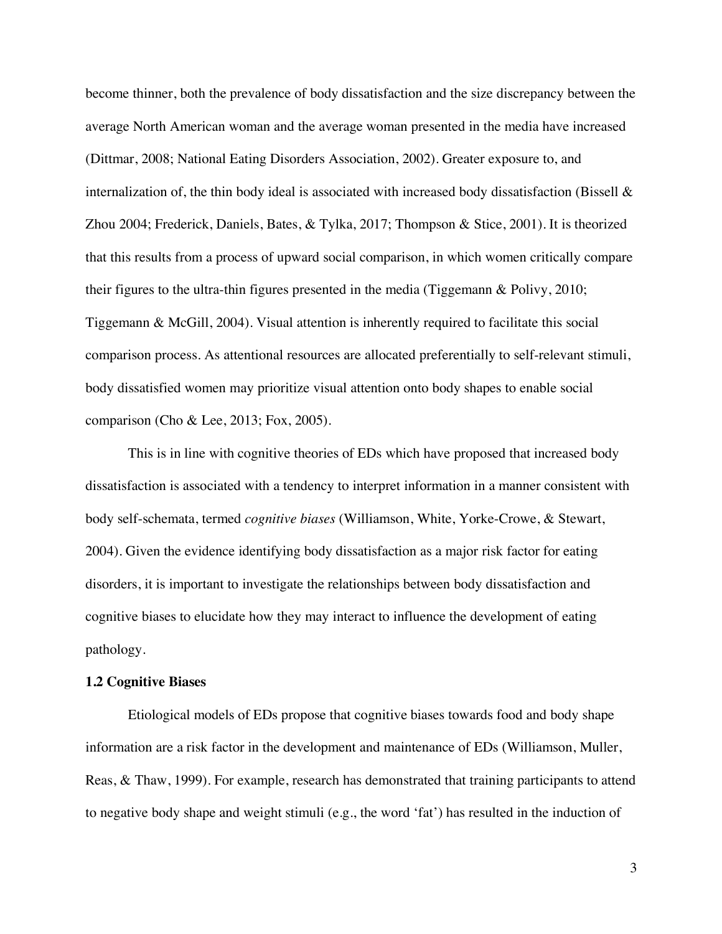become thinner, both the prevalence of body dissatisfaction and the size discrepancy between the average North American woman and the average woman presented in the media have increased (Dittmar, 2008; National Eating Disorders Association, 2002). Greater exposure to, and internalization of, the thin body ideal is associated with increased body dissatisfaction (Bissell & Zhou 2004; Frederick, Daniels, Bates, & Tylka, 2017; Thompson & Stice, 2001). It is theorized that this results from a process of upward social comparison, in which women critically compare their figures to the ultra-thin figures presented in the media (Tiggemann & Polivy, 2010; Tiggemann & McGill, 2004). Visual attention is inherently required to facilitate this social comparison process. As attentional resources are allocated preferentially to self-relevant stimuli, body dissatisfied women may prioritize visual attention onto body shapes to enable social comparison (Cho & Lee, 2013; Fox, 2005).

This is in line with cognitive theories of EDs which have proposed that increased body dissatisfaction is associated with a tendency to interpret information in a manner consistent with body self-schemata, termed *cognitive biases* (Williamson, White, Yorke-Crowe, & Stewart, 2004). Given the evidence identifying body dissatisfaction as a major risk factor for eating disorders, it is important to investigate the relationships between body dissatisfaction and cognitive biases to elucidate how they may interact to influence the development of eating pathology.

### **1.2 Cognitive Biases**

Etiological models of EDs propose that cognitive biases towards food and body shape information are a risk factor in the development and maintenance of EDs (Williamson, Muller, Reas, & Thaw, 1999). For example, research has demonstrated that training participants to attend to negative body shape and weight stimuli (e.g., the word 'fat') has resulted in the induction of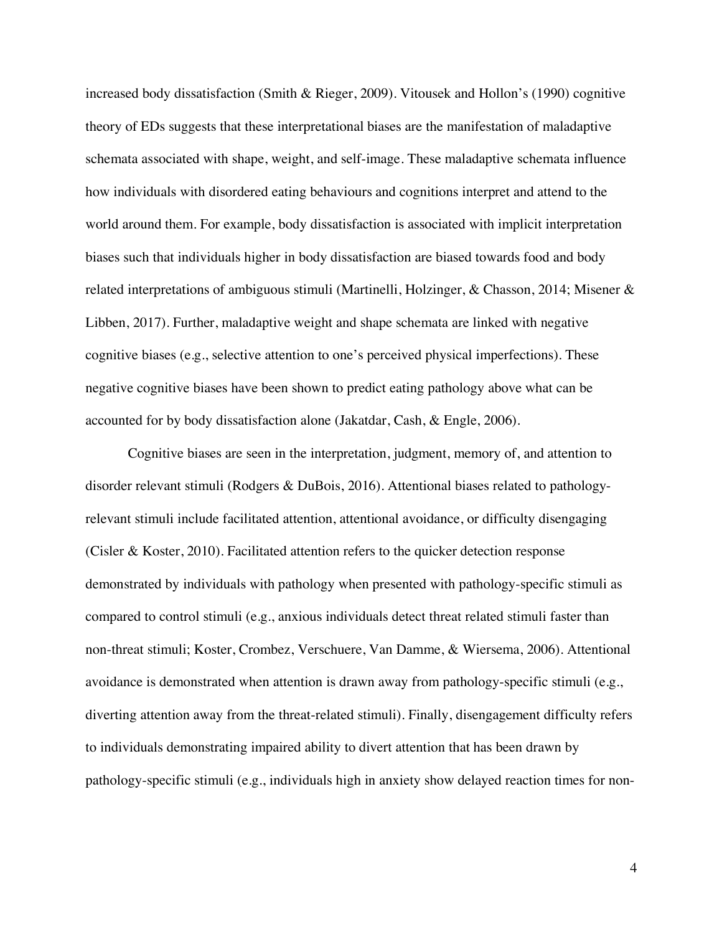increased body dissatisfaction (Smith & Rieger, 2009). Vitousek and Hollon's (1990) cognitive theory of EDs suggests that these interpretational biases are the manifestation of maladaptive schemata associated with shape, weight, and self-image. These maladaptive schemata influence how individuals with disordered eating behaviours and cognitions interpret and attend to the world around them. For example, body dissatisfaction is associated with implicit interpretation biases such that individuals higher in body dissatisfaction are biased towards food and body related interpretations of ambiguous stimuli (Martinelli, Holzinger, & Chasson, 2014; Misener & Libben, 2017). Further, maladaptive weight and shape schemata are linked with negative cognitive biases (e.g., selective attention to one's perceived physical imperfections). These negative cognitive biases have been shown to predict eating pathology above what can be accounted for by body dissatisfaction alone (Jakatdar, Cash, & Engle, 2006).

Cognitive biases are seen in the interpretation, judgment, memory of, and attention to disorder relevant stimuli (Rodgers & DuBois, 2016). Attentional biases related to pathologyrelevant stimuli include facilitated attention, attentional avoidance, or difficulty disengaging (Cisler & Koster, 2010). Facilitated attention refers to the quicker detection response demonstrated by individuals with pathology when presented with pathology-specific stimuli as compared to control stimuli (e.g., anxious individuals detect threat related stimuli faster than non-threat stimuli; Koster, Crombez, Verschuere, Van Damme, & Wiersema, 2006). Attentional avoidance is demonstrated when attention is drawn away from pathology-specific stimuli (e.g., diverting attention away from the threat-related stimuli). Finally, disengagement difficulty refers to individuals demonstrating impaired ability to divert attention that has been drawn by pathology-specific stimuli (e.g., individuals high in anxiety show delayed reaction times for non-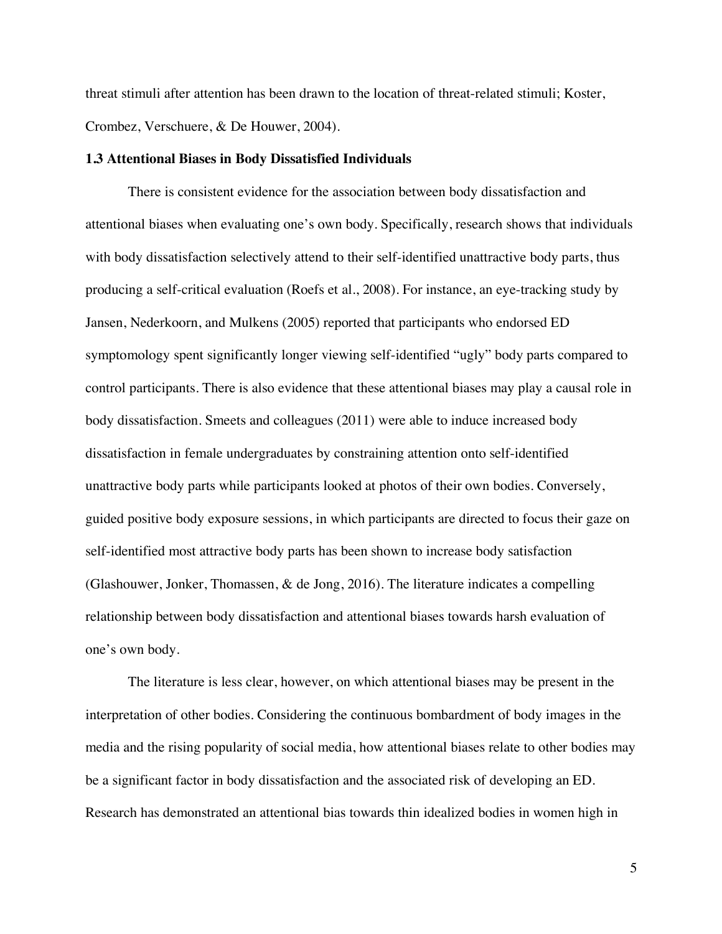threat stimuli after attention has been drawn to the location of threat-related stimuli; Koster, Crombez, Verschuere, & De Houwer, 2004).

#### **1.3 Attentional Biases in Body Dissatisfied Individuals**

There is consistent evidence for the association between body dissatisfaction and attentional biases when evaluating one's own body. Specifically, research shows that individuals with body dissatisfaction selectively attend to their self-identified unattractive body parts, thus producing a self-critical evaluation (Roefs et al., 2008). For instance, an eye-tracking study by Jansen, Nederkoorn, and Mulkens (2005) reported that participants who endorsed ED symptomology spent significantly longer viewing self-identified "ugly" body parts compared to control participants. There is also evidence that these attentional biases may play a causal role in body dissatisfaction. Smeets and colleagues (2011) were able to induce increased body dissatisfaction in female undergraduates by constraining attention onto self-identified unattractive body parts while participants looked at photos of their own bodies. Conversely, guided positive body exposure sessions, in which participants are directed to focus their gaze on self-identified most attractive body parts has been shown to increase body satisfaction (Glashouwer, Jonker, Thomassen, & de Jong, 2016). The literature indicates a compelling relationship between body dissatisfaction and attentional biases towards harsh evaluation of one's own body.

The literature is less clear, however, on which attentional biases may be present in the interpretation of other bodies. Considering the continuous bombardment of body images in the media and the rising popularity of social media, how attentional biases relate to other bodies may be a significant factor in body dissatisfaction and the associated risk of developing an ED. Research has demonstrated an attentional bias towards thin idealized bodies in women high in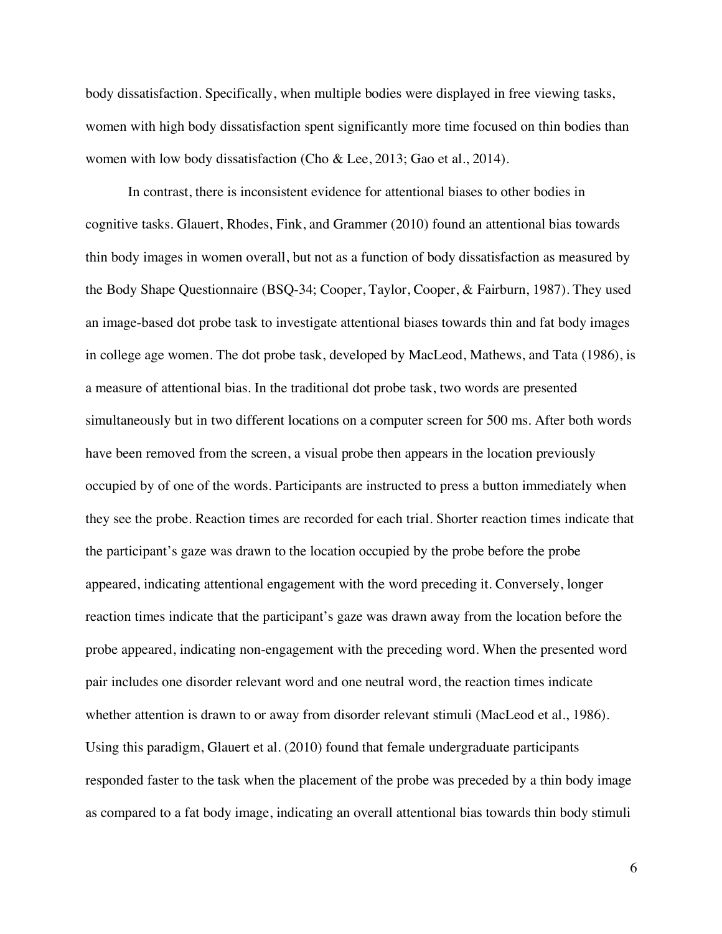body dissatisfaction. Specifically, when multiple bodies were displayed in free viewing tasks, women with high body dissatisfaction spent significantly more time focused on thin bodies than women with low body dissatisfaction (Cho & Lee, 2013; Gao et al., 2014).

In contrast, there is inconsistent evidence for attentional biases to other bodies in cognitive tasks. Glauert, Rhodes, Fink, and Grammer (2010) found an attentional bias towards thin body images in women overall, but not as a function of body dissatisfaction as measured by the Body Shape Questionnaire (BSQ-34; Cooper, Taylor, Cooper, & Fairburn, 1987). They used an image-based dot probe task to investigate attentional biases towards thin and fat body images in college age women. The dot probe task, developed by MacLeod, Mathews, and Tata (1986), is a measure of attentional bias. In the traditional dot probe task, two words are presented simultaneously but in two different locations on a computer screen for 500 ms. After both words have been removed from the screen, a visual probe then appears in the location previously occupied by of one of the words. Participants are instructed to press a button immediately when they see the probe. Reaction times are recorded for each trial. Shorter reaction times indicate that the participant's gaze was drawn to the location occupied by the probe before the probe appeared, indicating attentional engagement with the word preceding it. Conversely, longer reaction times indicate that the participant's gaze was drawn away from the location before the probe appeared, indicating non-engagement with the preceding word. When the presented word pair includes one disorder relevant word and one neutral word, the reaction times indicate whether attention is drawn to or away from disorder relevant stimuli (MacLeod et al., 1986). Using this paradigm, Glauert et al. (2010) found that female undergraduate participants responded faster to the task when the placement of the probe was preceded by a thin body image as compared to a fat body image, indicating an overall attentional bias towards thin body stimuli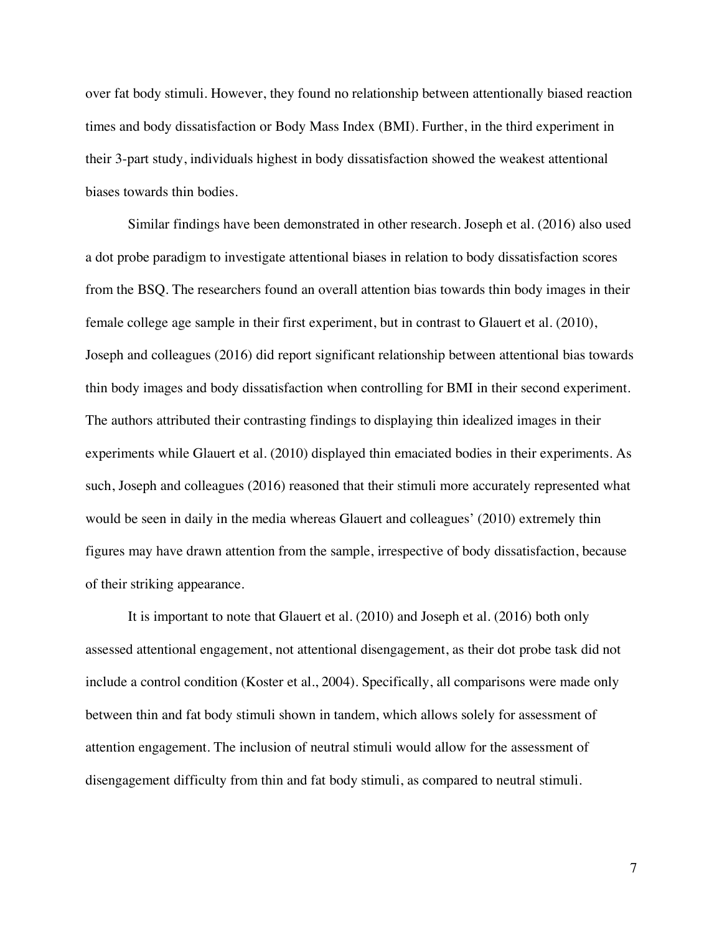over fat body stimuli. However, they found no relationship between attentionally biased reaction times and body dissatisfaction or Body Mass Index (BMI). Further, in the third experiment in their 3-part study, individuals highest in body dissatisfaction showed the weakest attentional biases towards thin bodies.

Similar findings have been demonstrated in other research. Joseph et al. (2016) also used a dot probe paradigm to investigate attentional biases in relation to body dissatisfaction scores from the BSQ. The researchers found an overall attention bias towards thin body images in their female college age sample in their first experiment, but in contrast to Glauert et al. (2010), Joseph and colleagues (2016) did report significant relationship between attentional bias towards thin body images and body dissatisfaction when controlling for BMI in their second experiment. The authors attributed their contrasting findings to displaying thin idealized images in their experiments while Glauert et al. (2010) displayed thin emaciated bodies in their experiments. As such, Joseph and colleagues (2016) reasoned that their stimuli more accurately represented what would be seen in daily in the media whereas Glauert and colleagues' (2010) extremely thin figures may have drawn attention from the sample, irrespective of body dissatisfaction, because of their striking appearance.

It is important to note that Glauert et al. (2010) and Joseph et al. (2016) both only assessed attentional engagement, not attentional disengagement, as their dot probe task did not include a control condition (Koster et al., 2004). Specifically, all comparisons were made only between thin and fat body stimuli shown in tandem, which allows solely for assessment of attention engagement. The inclusion of neutral stimuli would allow for the assessment of disengagement difficulty from thin and fat body stimuli, as compared to neutral stimuli.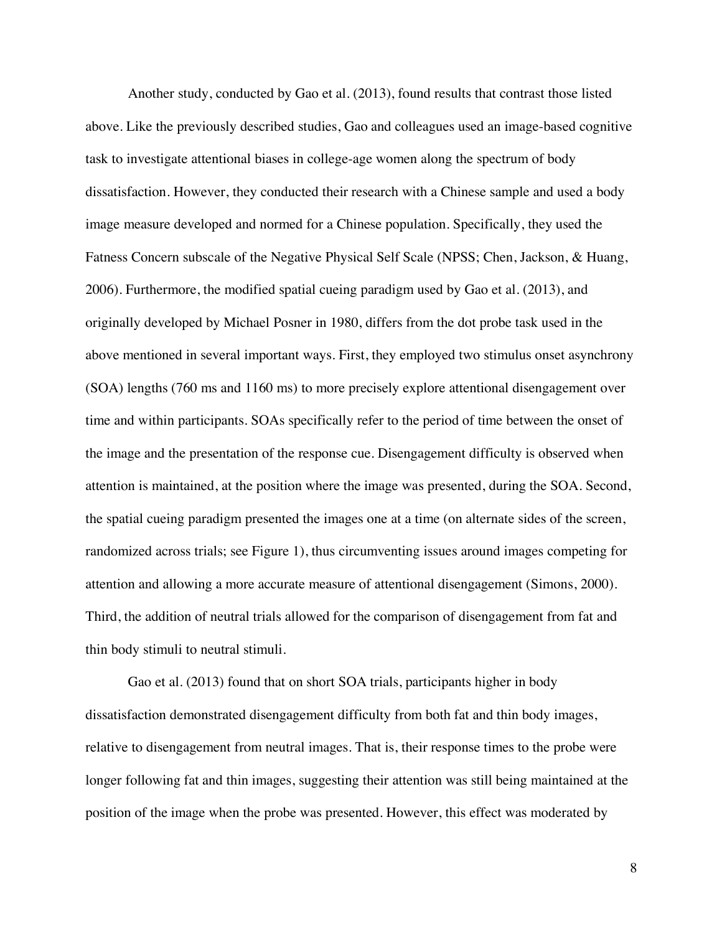Another study, conducted by Gao et al. (2013), found results that contrast those listed above. Like the previously described studies, Gao and colleagues used an image-based cognitive task to investigate attentional biases in college-age women along the spectrum of body dissatisfaction. However, they conducted their research with a Chinese sample and used a body image measure developed and normed for a Chinese population. Specifically, they used the Fatness Concern subscale of the Negative Physical Self Scale (NPSS; Chen, Jackson, & Huang, 2006). Furthermore, the modified spatial cueing paradigm used by Gao et al. (2013), and originally developed by Michael Posner in 1980, differs from the dot probe task used in the above mentioned in several important ways. First, they employed two stimulus onset asynchrony (SOA) lengths (760 ms and 1160 ms) to more precisely explore attentional disengagement over time and within participants. SOAs specifically refer to the period of time between the onset of the image and the presentation of the response cue. Disengagement difficulty is observed when attention is maintained, at the position where the image was presented, during the SOA. Second, the spatial cueing paradigm presented the images one at a time (on alternate sides of the screen, randomized across trials; see Figure 1), thus circumventing issues around images competing for attention and allowing a more accurate measure of attentional disengagement (Simons, 2000). Third, the addition of neutral trials allowed for the comparison of disengagement from fat and thin body stimuli to neutral stimuli.

Gao et al. (2013) found that on short SOA trials, participants higher in body dissatisfaction demonstrated disengagement difficulty from both fat and thin body images, relative to disengagement from neutral images. That is, their response times to the probe were longer following fat and thin images, suggesting their attention was still being maintained at the position of the image when the probe was presented. However, this effect was moderated by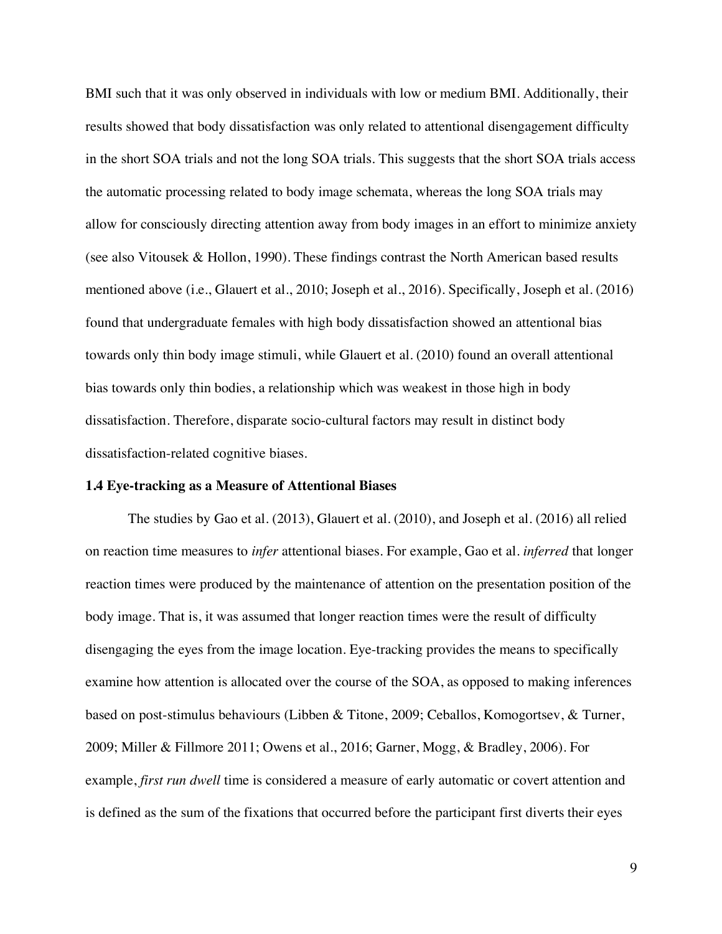BMI such that it was only observed in individuals with low or medium BMI. Additionally, their results showed that body dissatisfaction was only related to attentional disengagement difficulty in the short SOA trials and not the long SOA trials. This suggests that the short SOA trials access the automatic processing related to body image schemata, whereas the long SOA trials may allow for consciously directing attention away from body images in an effort to minimize anxiety (see also Vitousek & Hollon, 1990). These findings contrast the North American based results mentioned above (i.e., Glauert et al., 2010; Joseph et al., 2016). Specifically, Joseph et al. (2016) found that undergraduate females with high body dissatisfaction showed an attentional bias towards only thin body image stimuli, while Glauert et al. (2010) found an overall attentional bias towards only thin bodies, a relationship which was weakest in those high in body dissatisfaction. Therefore, disparate socio-cultural factors may result in distinct body dissatisfaction-related cognitive biases.

#### **1.4 Eye-tracking as a Measure of Attentional Biases**

The studies by Gao et al. (2013), Glauert et al. (2010), and Joseph et al. (2016) all relied on reaction time measures to *infer* attentional biases. For example, Gao et al. *inferred* that longer reaction times were produced by the maintenance of attention on the presentation position of the body image. That is, it was assumed that longer reaction times were the result of difficulty disengaging the eyes from the image location. Eye-tracking provides the means to specifically examine how attention is allocated over the course of the SOA, as opposed to making inferences based on post-stimulus behaviours (Libben & Titone, 2009; Ceballos, Komogortsev, & Turner, 2009; Miller & Fillmore 2011; Owens et al., 2016; Garner, Mogg, & Bradley, 2006). For example, *first run dwell* time is considered a measure of early automatic or covert attention and is defined as the sum of the fixations that occurred before the participant first diverts their eyes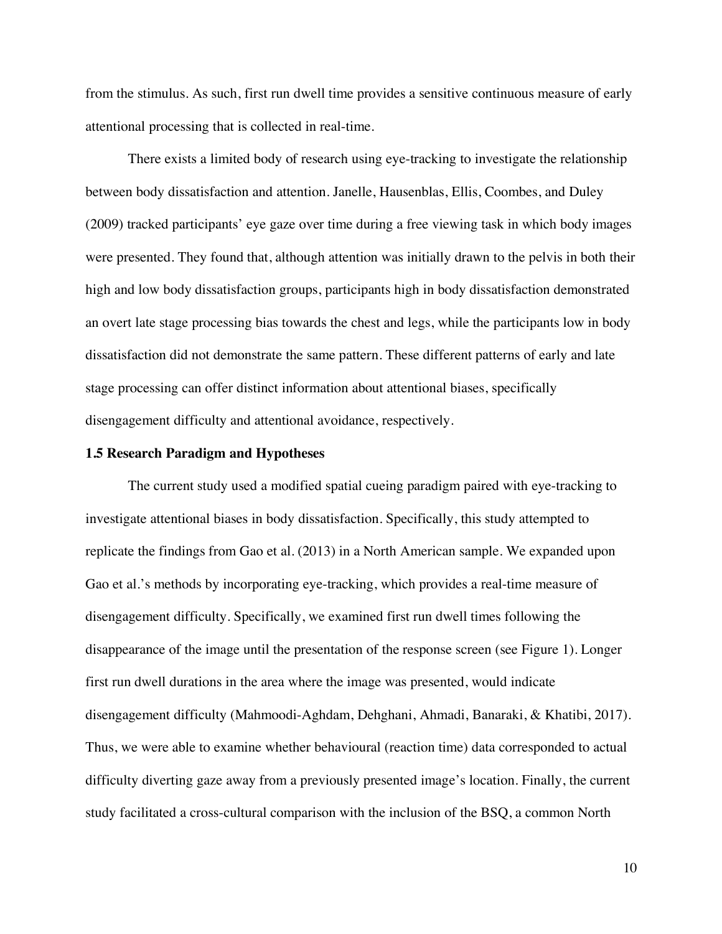from the stimulus. As such, first run dwell time provides a sensitive continuous measure of early attentional processing that is collected in real-time.

There exists a limited body of research using eye-tracking to investigate the relationship between body dissatisfaction and attention. Janelle, Hausenblas, Ellis, Coombes, and Duley (2009) tracked participants' eye gaze over time during a free viewing task in which body images were presented. They found that, although attention was initially drawn to the pelvis in both their high and low body dissatisfaction groups, participants high in body dissatisfaction demonstrated an overt late stage processing bias towards the chest and legs, while the participants low in body dissatisfaction did not demonstrate the same pattern. These different patterns of early and late stage processing can offer distinct information about attentional biases, specifically disengagement difficulty and attentional avoidance, respectively.

## **1.5 Research Paradigm and Hypotheses**

The current study used a modified spatial cueing paradigm paired with eye-tracking to investigate attentional biases in body dissatisfaction. Specifically, this study attempted to replicate the findings from Gao et al. (2013) in a North American sample. We expanded upon Gao et al.'s methods by incorporating eye-tracking, which provides a real-time measure of disengagement difficulty. Specifically, we examined first run dwell times following the disappearance of the image until the presentation of the response screen (see Figure 1). Longer first run dwell durations in the area where the image was presented, would indicate disengagement difficulty (Mahmoodi-Aghdam, Dehghani, Ahmadi, Banaraki, & Khatibi, 2017). Thus, we were able to examine whether behavioural (reaction time) data corresponded to actual difficulty diverting gaze away from a previously presented image's location. Finally, the current study facilitated a cross-cultural comparison with the inclusion of the BSQ, a common North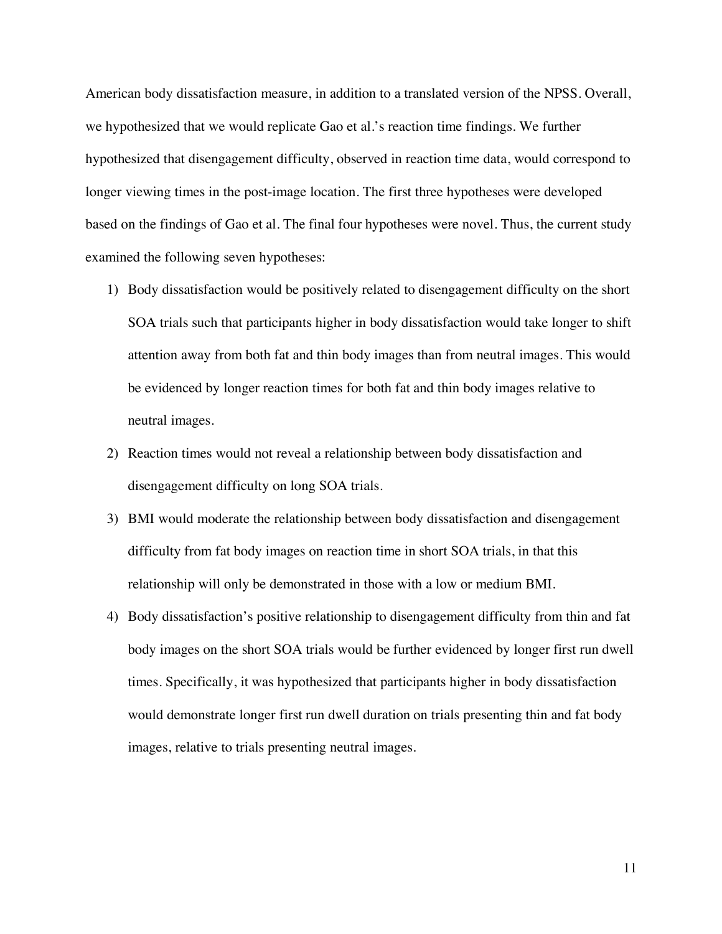American body dissatisfaction measure, in addition to a translated version of the NPSS. Overall, we hypothesized that we would replicate Gao et al.'s reaction time findings. We further hypothesized that disengagement difficulty, observed in reaction time data, would correspond to longer viewing times in the post-image location. The first three hypotheses were developed based on the findings of Gao et al. The final four hypotheses were novel. Thus, the current study examined the following seven hypotheses:

- 1) Body dissatisfaction would be positively related to disengagement difficulty on the short SOA trials such that participants higher in body dissatisfaction would take longer to shift attention away from both fat and thin body images than from neutral images. This would be evidenced by longer reaction times for both fat and thin body images relative to neutral images.
- 2) Reaction times would not reveal a relationship between body dissatisfaction and disengagement difficulty on long SOA trials.
- 3) BMI would moderate the relationship between body dissatisfaction and disengagement difficulty from fat body images on reaction time in short SOA trials, in that this relationship will only be demonstrated in those with a low or medium BMI.
- 4) Body dissatisfaction's positive relationship to disengagement difficulty from thin and fat body images on the short SOA trials would be further evidenced by longer first run dwell times. Specifically, it was hypothesized that participants higher in body dissatisfaction would demonstrate longer first run dwell duration on trials presenting thin and fat body images, relative to trials presenting neutral images.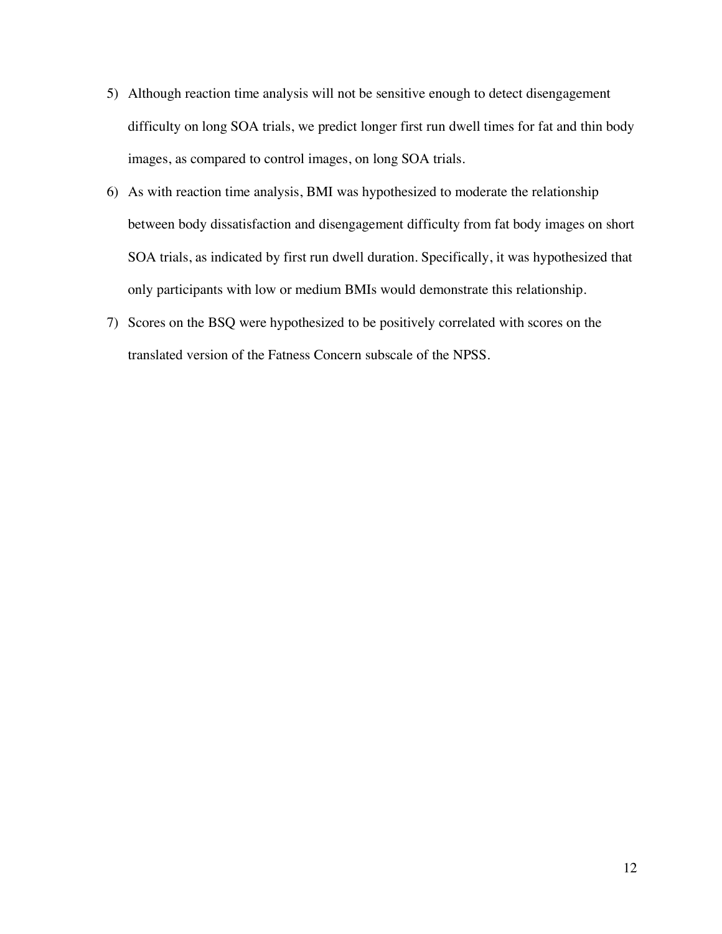- 5) Although reaction time analysis will not be sensitive enough to detect disengagement difficulty on long SOA trials, we predict longer first run dwell times for fat and thin body images, as compared to control images, on long SOA trials.
- 6) As with reaction time analysis, BMI was hypothesized to moderate the relationship between body dissatisfaction and disengagement difficulty from fat body images on short SOA trials, as indicated by first run dwell duration. Specifically, it was hypothesized that only participants with low or medium BMIs would demonstrate this relationship.
- 7) Scores on the BSQ were hypothesized to be positively correlated with scores on the translated version of the Fatness Concern subscale of the NPSS.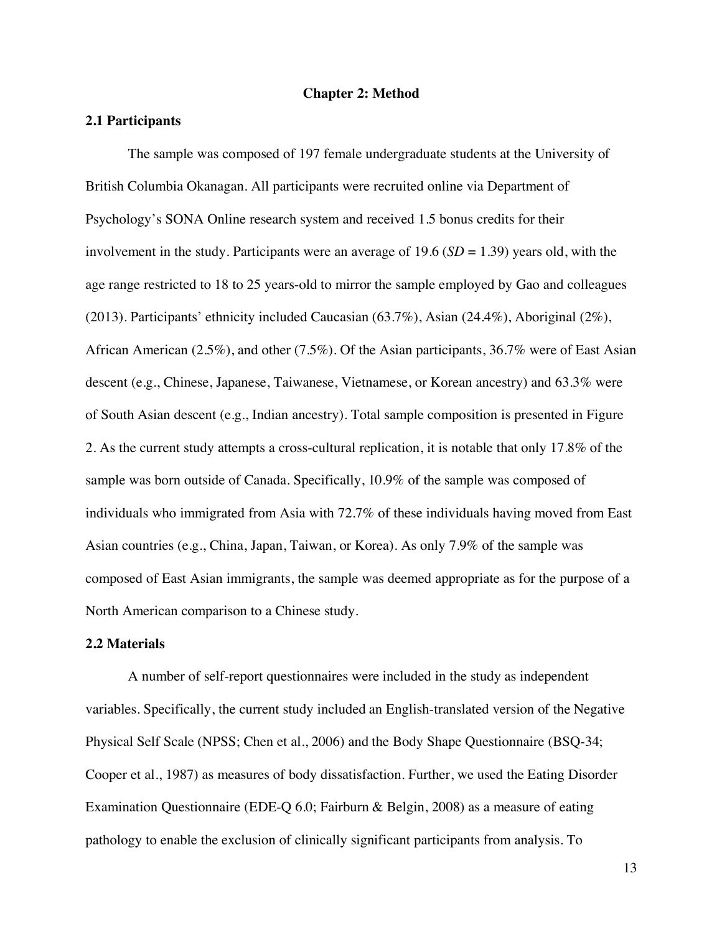#### **Chapter 2: Method**

#### **2.1 Participants**

The sample was composed of 197 female undergraduate students at the University of British Columbia Okanagan. All participants were recruited online via Department of Psychology's SONA Online research system and received 1.5 bonus credits for their involvement in the study. Participants were an average of 19.6 (*SD* = 1.39) years old, with the age range restricted to 18 to 25 years-old to mirror the sample employed by Gao and colleagues (2013). Participants' ethnicity included Caucasian (63.7%), Asian (24.4%), Aboriginal (2%), African American (2.5%), and other (7.5%). Of the Asian participants, 36.7% were of East Asian descent (e.g., Chinese, Japanese, Taiwanese, Vietnamese, or Korean ancestry) and 63.3% were of South Asian descent (e.g., Indian ancestry). Total sample composition is presented in Figure 2. As the current study attempts a cross-cultural replication, it is notable that only 17.8% of the sample was born outside of Canada. Specifically, 10.9% of the sample was composed of individuals who immigrated from Asia with 72.7% of these individuals having moved from East Asian countries (e.g., China, Japan, Taiwan, or Korea). As only 7.9% of the sample was composed of East Asian immigrants, the sample was deemed appropriate as for the purpose of a North American comparison to a Chinese study.

## **2.2 Materials**

A number of self-report questionnaires were included in the study as independent variables. Specifically, the current study included an English-translated version of the Negative Physical Self Scale (NPSS; Chen et al., 2006) and the Body Shape Questionnaire (BSQ-34; Cooper et al., 1987) as measures of body dissatisfaction. Further, we used the Eating Disorder Examination Questionnaire (EDE-Q 6.0; Fairburn & Belgin, 2008) as a measure of eating pathology to enable the exclusion of clinically significant participants from analysis. To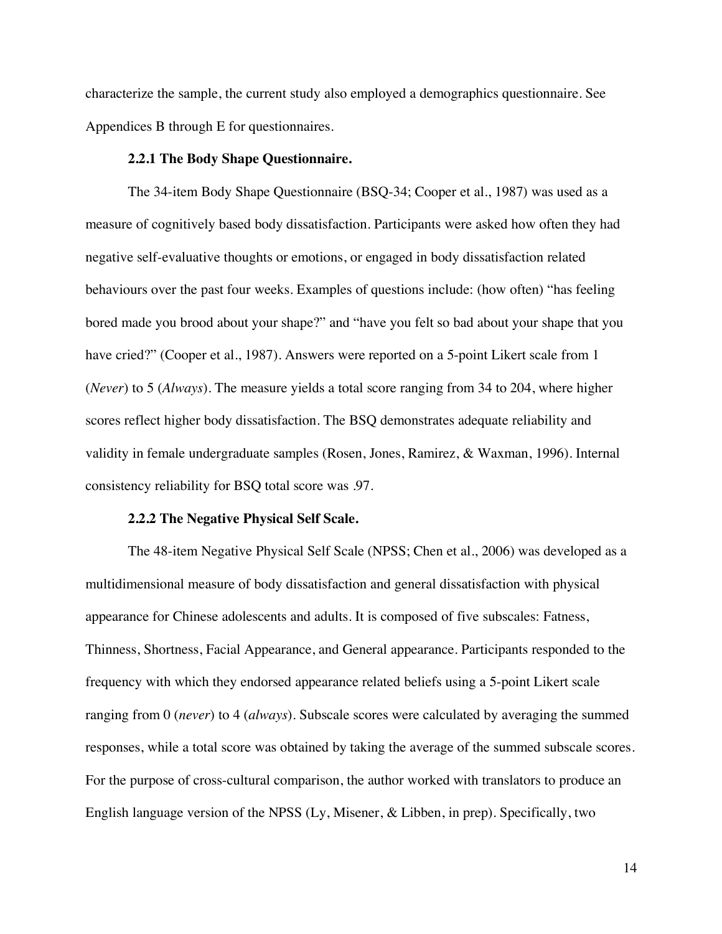characterize the sample, the current study also employed a demographics questionnaire. See Appendices B through E for questionnaires.

#### **2.2.1 The Body Shape Questionnaire.**

The 34-item Body Shape Questionnaire (BSQ-34; Cooper et al., 1987) was used as a measure of cognitively based body dissatisfaction. Participants were asked how often they had negative self-evaluative thoughts or emotions, or engaged in body dissatisfaction related behaviours over the past four weeks. Examples of questions include: (how often) "has feeling bored made you brood about your shape?" and "have you felt so bad about your shape that you have cried?" (Cooper et al., 1987). Answers were reported on a 5-point Likert scale from 1 (*Never*) to 5 (*Always*). The measure yields a total score ranging from 34 to 204, where higher scores reflect higher body dissatisfaction. The BSQ demonstrates adequate reliability and validity in female undergraduate samples (Rosen, Jones, Ramirez, & Waxman, 1996). Internal consistency reliability for BSQ total score was .97.

## **2.2.2 The Negative Physical Self Scale.**

The 48-item Negative Physical Self Scale (NPSS; Chen et al., 2006) was developed as a multidimensional measure of body dissatisfaction and general dissatisfaction with physical appearance for Chinese adolescents and adults. It is composed of five subscales: Fatness, Thinness, Shortness, Facial Appearance, and General appearance. Participants responded to the frequency with which they endorsed appearance related beliefs using a 5-point Likert scale ranging from 0 (*never*) to 4 (*always*). Subscale scores were calculated by averaging the summed responses, while a total score was obtained by taking the average of the summed subscale scores. For the purpose of cross-cultural comparison, the author worked with translators to produce an English language version of the NPSS (Ly, Misener, & Libben, in prep). Specifically, two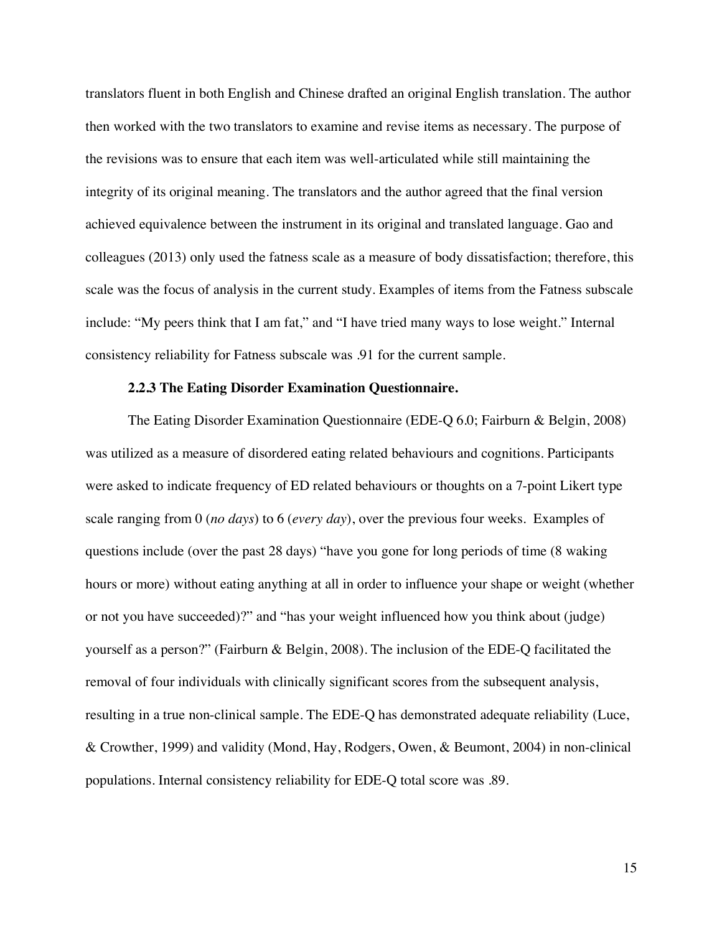translators fluent in both English and Chinese drafted an original English translation. The author then worked with the two translators to examine and revise items as necessary. The purpose of the revisions was to ensure that each item was well-articulated while still maintaining the integrity of its original meaning. The translators and the author agreed that the final version achieved equivalence between the instrument in its original and translated language. Gao and colleagues (2013) only used the fatness scale as a measure of body dissatisfaction; therefore, this scale was the focus of analysis in the current study. Examples of items from the Fatness subscale include: "My peers think that I am fat," and "I have tried many ways to lose weight." Internal consistency reliability for Fatness subscale was .91 for the current sample.

#### **2.2.3 The Eating Disorder Examination Questionnaire.**

The Eating Disorder Examination Questionnaire (EDE-Q 6.0; Fairburn & Belgin, 2008) was utilized as a measure of disordered eating related behaviours and cognitions. Participants were asked to indicate frequency of ED related behaviours or thoughts on a 7-point Likert type scale ranging from 0 (*no days*) to 6 (*every day*), over the previous four weeks. Examples of questions include (over the past 28 days) "have you gone for long periods of time (8 waking hours or more) without eating anything at all in order to influence your shape or weight (whether or not you have succeeded)?" and "has your weight influenced how you think about (judge) yourself as a person?" (Fairburn & Belgin, 2008). The inclusion of the EDE-Q facilitated the removal of four individuals with clinically significant scores from the subsequent analysis, resulting in a true non-clinical sample. The EDE-Q has demonstrated adequate reliability (Luce, & Crowther, 1999) and validity (Mond, Hay, Rodgers, Owen, & Beumont, 2004) in non-clinical populations. Internal consistency reliability for EDE-Q total score was .89.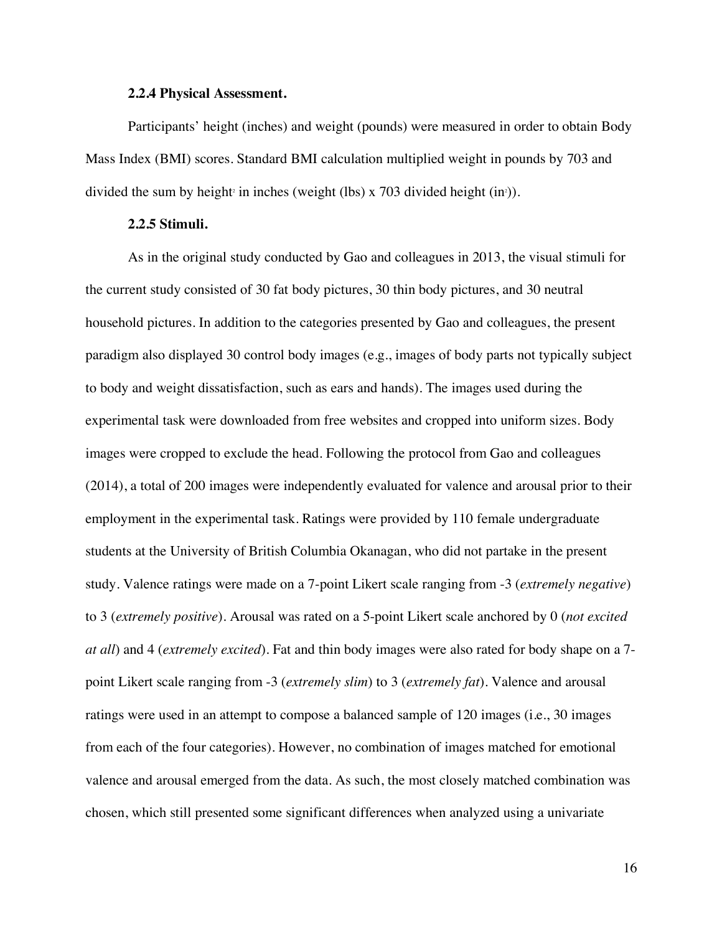#### **2.2.4 Physical Assessment.**

Participants' height (inches) and weight (pounds) were measured in order to obtain Body Mass Index (BMI) scores. Standard BMI calculation multiplied weight in pounds by 703 and divided the sum by height in inches (weight (lbs) x 703 divided height  $(in<sup>2</sup>)$ ).

#### **2.2.5 Stimuli.**

As in the original study conducted by Gao and colleagues in 2013, the visual stimuli for the current study consisted of 30 fat body pictures, 30 thin body pictures, and 30 neutral household pictures. In addition to the categories presented by Gao and colleagues, the present paradigm also displayed 30 control body images (e.g., images of body parts not typically subject to body and weight dissatisfaction, such as ears and hands). The images used during the experimental task were downloaded from free websites and cropped into uniform sizes. Body images were cropped to exclude the head. Following the protocol from Gao and colleagues (2014), a total of 200 images were independently evaluated for valence and arousal prior to their employment in the experimental task. Ratings were provided by 110 female undergraduate students at the University of British Columbia Okanagan, who did not partake in the present study. Valence ratings were made on a 7-point Likert scale ranging from -3 (*extremely negative*) to 3 (*extremely positive*). Arousal was rated on a 5-point Likert scale anchored by 0 (*not excited at all*) and 4 (*extremely excited*). Fat and thin body images were also rated for body shape on a 7 point Likert scale ranging from -3 (*extremely slim*) to 3 (*extremely fat*). Valence and arousal ratings were used in an attempt to compose a balanced sample of 120 images (i.e., 30 images from each of the four categories). However, no combination of images matched for emotional valence and arousal emerged from the data. As such, the most closely matched combination was chosen, which still presented some significant differences when analyzed using a univariate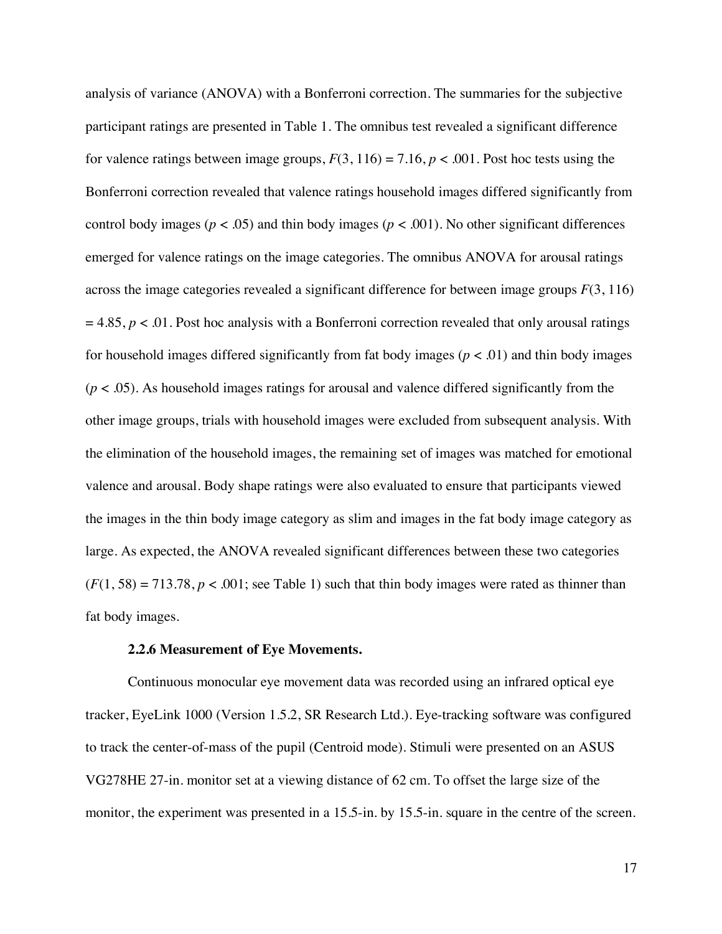analysis of variance (ANOVA) with a Bonferroni correction. The summaries for the subjective participant ratings are presented in Table 1. The omnibus test revealed a significant difference for valence ratings between image groups,  $F(3, 116) = 7.16$ ,  $p < .001$ . Post hoc tests using the Bonferroni correction revealed that valence ratings household images differed significantly from control body images ( $p < .05$ ) and thin body images ( $p < .001$ ). No other significant differences emerged for valence ratings on the image categories. The omnibus ANOVA for arousal ratings across the image categories revealed a significant difference for between image groups *F*(3, 116)  $= 4.85$ ,  $p < .01$ . Post hoc analysis with a Bonferroni correction revealed that only arousal ratings for household images differed significantly from fat body images ( $p < .01$ ) and thin body images (*p* < .05). As household images ratings for arousal and valence differed significantly from the other image groups, trials with household images were excluded from subsequent analysis. With the elimination of the household images, the remaining set of images was matched for emotional valence and arousal. Body shape ratings were also evaluated to ensure that participants viewed the images in the thin body image category as slim and images in the fat body image category as large. As expected, the ANOVA revealed significant differences between these two categories  $(F(1, 58) = 713.78, p < .001$ ; see Table 1) such that thin body images were rated as thinner than fat body images.

#### **2.2.6 Measurement of Eye Movements.**

Continuous monocular eye movement data was recorded using an infrared optical eye tracker, EyeLink 1000 (Version 1.5.2, SR Research Ltd.). Eye-tracking software was configured to track the center-of-mass of the pupil (Centroid mode). Stimuli were presented on an ASUS VG278HE 27-in. monitor set at a viewing distance of 62 cm. To offset the large size of the monitor, the experiment was presented in a 15.5-in. by 15.5-in. square in the centre of the screen.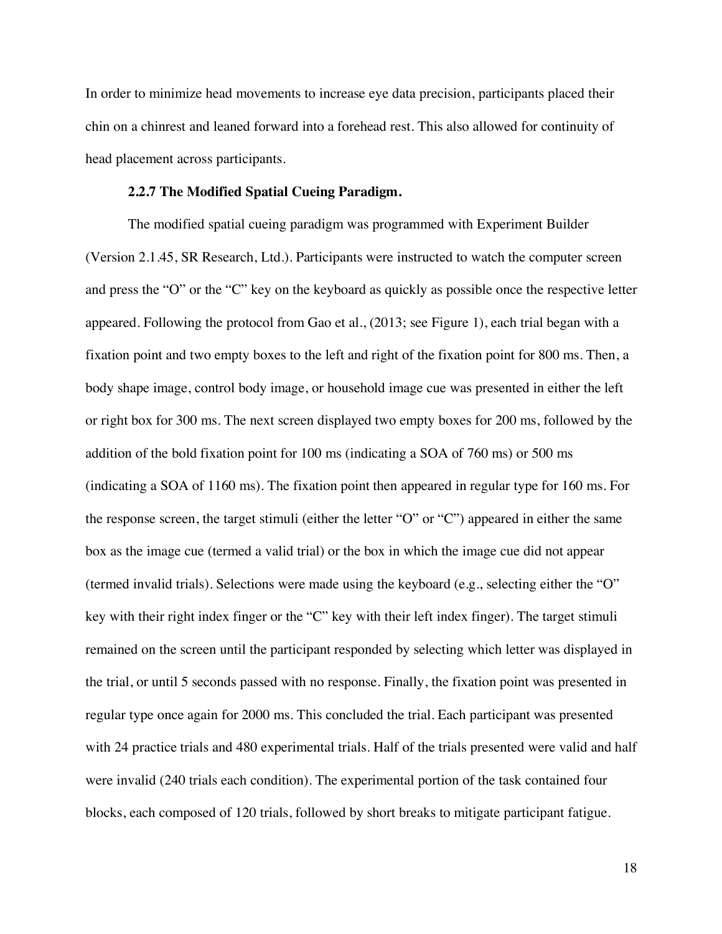In order to minimize head movements to increase eye data precision, participants placed their chin on a chinrest and leaned forward into a forehead rest. This also allowed for continuity of head placement across participants.

## **2.2.7 The Modified Spatial Cueing Paradigm.**

The modified spatial cueing paradigm was programmed with Experiment Builder (Version 2.1.45, SR Research, Ltd.). Participants were instructed to watch the computer screen and press the "O" or the "C" key on the keyboard as quickly as possible once the respective letter appeared. Following the protocol from Gao et al., (2013; see Figure 1), each trial began with a fixation point and two empty boxes to the left and right of the fixation point for 800 ms. Then, a body shape image, control body image, or household image cue was presented in either the left or right box for 300 ms. The next screen displayed two empty boxes for 200 ms, followed by the addition of the bold fixation point for 100 ms (indicating a SOA of 760 ms) or 500 ms (indicating a SOA of 1160 ms). The fixation point then appeared in regular type for 160 ms. For the response screen, the target stimuli (either the letter "O" or "C") appeared in either the same box as the image cue (termed a valid trial) or the box in which the image cue did not appear (termed invalid trials). Selections were made using the keyboard (e.g., selecting either the "O" key with their right index finger or the "C" key with their left index finger). The target stimuli remained on the screen until the participant responded by selecting which letter was displayed in the trial, or until 5 seconds passed with no response. Finally, the fixation point was presented in regular type once again for 2000 ms. This concluded the trial. Each participant was presented with 24 practice trials and 480 experimental trials. Half of the trials presented were valid and half were invalid (240 trials each condition). The experimental portion of the task contained four blocks, each composed of 120 trials, followed by short breaks to mitigate participant fatigue.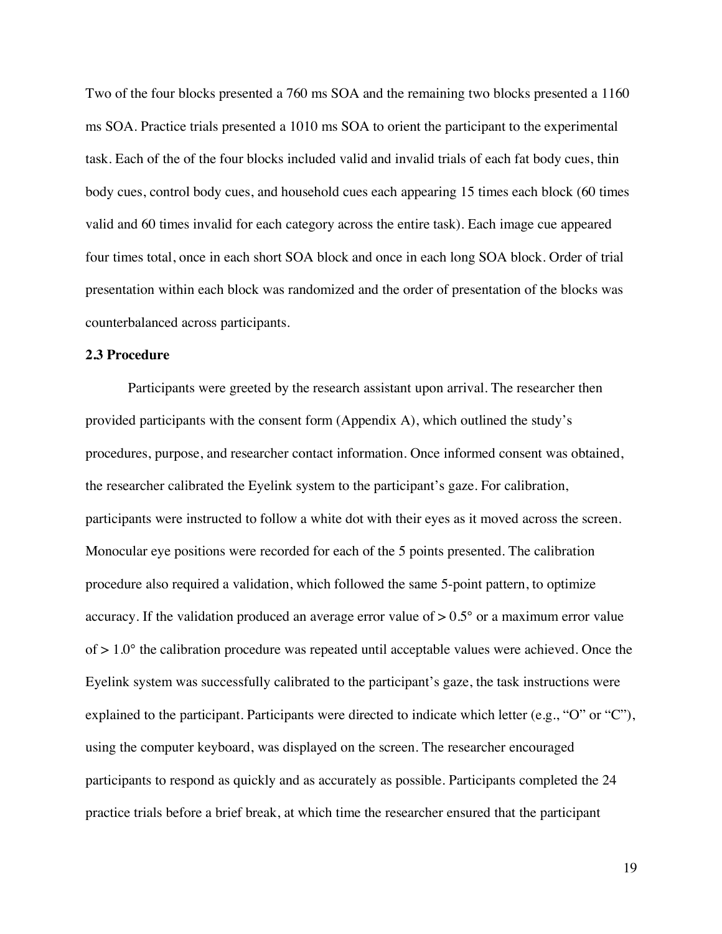Two of the four blocks presented a 760 ms SOA and the remaining two blocks presented a 1160 ms SOA. Practice trials presented a 1010 ms SOA to orient the participant to the experimental task. Each of the of the four blocks included valid and invalid trials of each fat body cues, thin body cues, control body cues, and household cues each appearing 15 times each block (60 times valid and 60 times invalid for each category across the entire task). Each image cue appeared four times total, once in each short SOA block and once in each long SOA block. Order of trial presentation within each block was randomized and the order of presentation of the blocks was counterbalanced across participants.

#### **2.3 Procedure**

Participants were greeted by the research assistant upon arrival. The researcher then provided participants with the consent form (Appendix A), which outlined the study's procedures, purpose, and researcher contact information. Once informed consent was obtained, the researcher calibrated the Eyelink system to the participant's gaze. For calibration, participants were instructed to follow a white dot with their eyes as it moved across the screen. Monocular eye positions were recorded for each of the 5 points presented. The calibration procedure also required a validation, which followed the same 5-point pattern, to optimize accuracy. If the validation produced an average error value of  $> 0.5^{\circ}$  or a maximum error value of  $> 1.0^{\circ}$  the calibration procedure was repeated until acceptable values were achieved. Once the Eyelink system was successfully calibrated to the participant's gaze, the task instructions were explained to the participant. Participants were directed to indicate which letter (e.g., "O" or "C"), using the computer keyboard, was displayed on the screen. The researcher encouraged participants to respond as quickly and as accurately as possible. Participants completed the 24 practice trials before a brief break, at which time the researcher ensured that the participant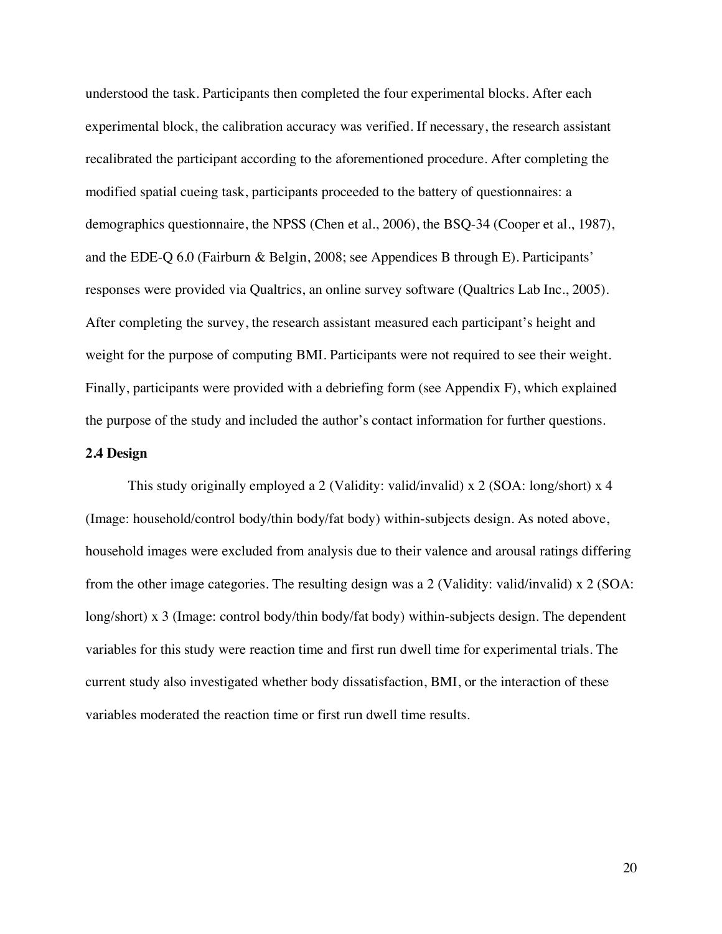understood the task. Participants then completed the four experimental blocks. After each experimental block, the calibration accuracy was verified. If necessary, the research assistant recalibrated the participant according to the aforementioned procedure. After completing the modified spatial cueing task, participants proceeded to the battery of questionnaires: a demographics questionnaire, the NPSS (Chen et al., 2006), the BSQ-34 (Cooper et al., 1987), and the EDE-Q 6.0 (Fairburn & Belgin, 2008; see Appendices B through E). Participants' responses were provided via Qualtrics, an online survey software (Qualtrics Lab Inc., 2005). After completing the survey, the research assistant measured each participant's height and weight for the purpose of computing BMI. Participants were not required to see their weight. Finally, participants were provided with a debriefing form (see Appendix F), which explained the purpose of the study and included the author's contact information for further questions.

## **2.4 Design**

This study originally employed a 2 (Validity: valid/invalid) x 2 (SOA: long/short) x 4 (Image: household/control body/thin body/fat body) within-subjects design. As noted above, household images were excluded from analysis due to their valence and arousal ratings differing from the other image categories. The resulting design was a 2 (Validity: valid/invalid) x 2 (SOA: long/short) x 3 (Image: control body/thin body/fat body) within-subjects design. The dependent variables for this study were reaction time and first run dwell time for experimental trials. The current study also investigated whether body dissatisfaction, BMI, or the interaction of these variables moderated the reaction time or first run dwell time results.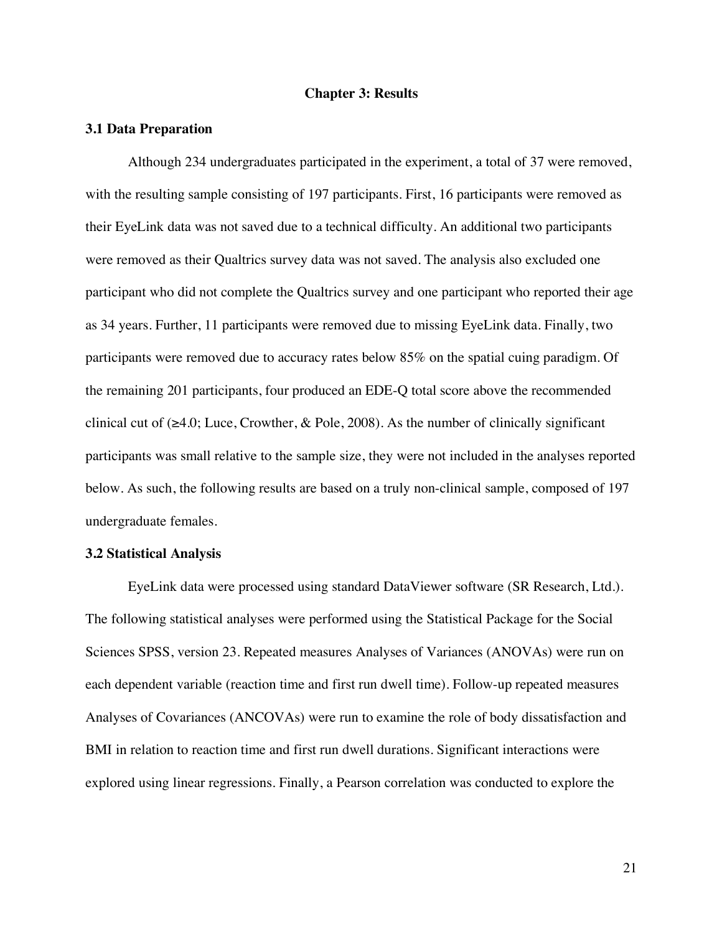#### **Chapter 3: Results**

#### **3.1 Data Preparation**

Although 234 undergraduates participated in the experiment, a total of 37 were removed, with the resulting sample consisting of 197 participants. First, 16 participants were removed as their EyeLink data was not saved due to a technical difficulty. An additional two participants were removed as their Qualtrics survey data was not saved. The analysis also excluded one participant who did not complete the Qualtrics survey and one participant who reported their age as 34 years. Further, 11 participants were removed due to missing EyeLink data. Finally, two participants were removed due to accuracy rates below 85% on the spatial cuing paradigm. Of the remaining 201 participants, four produced an EDE-Q total score above the recommended clinical cut of  $(\geq 4.0;$  Luce, Crowther, & Pole, 2008). As the number of clinically significant participants was small relative to the sample size, they were not included in the analyses reported below. As such, the following results are based on a truly non-clinical sample, composed of 197 undergraduate females.

#### **3.2 Statistical Analysis**

EyeLink data were processed using standard DataViewer software (SR Research, Ltd.). The following statistical analyses were performed using the Statistical Package for the Social Sciences SPSS, version 23. Repeated measures Analyses of Variances (ANOVAs) were run on each dependent variable (reaction time and first run dwell time). Follow-up repeated measures Analyses of Covariances (ANCOVAs) were run to examine the role of body dissatisfaction and BMI in relation to reaction time and first run dwell durations. Significant interactions were explored using linear regressions. Finally, a Pearson correlation was conducted to explore the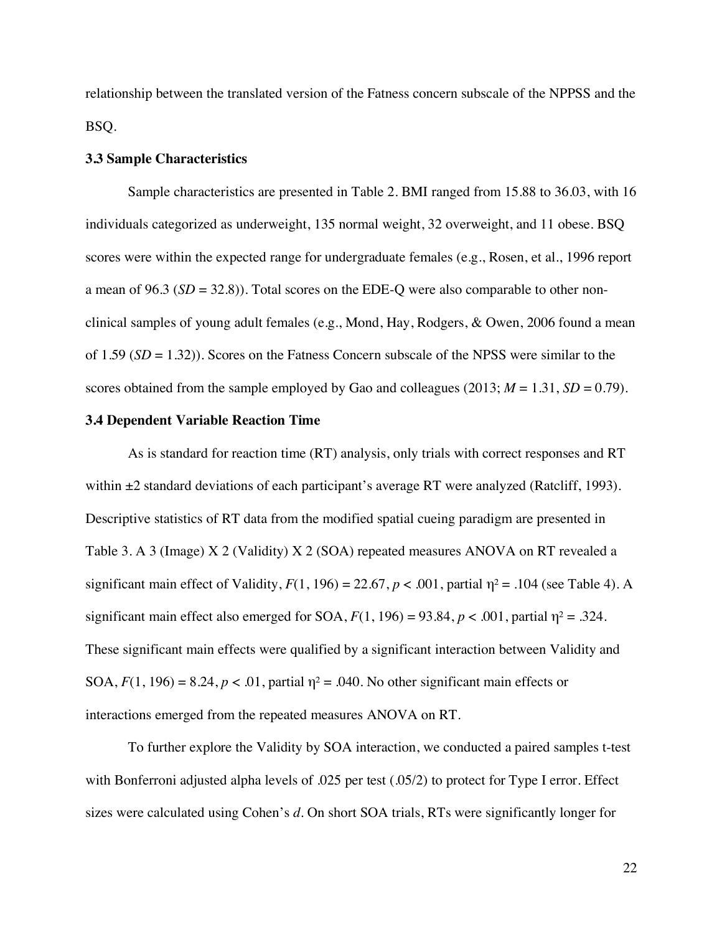relationship between the translated version of the Fatness concern subscale of the NPPSS and the BSQ.

#### **3.3 Sample Characteristics**

Sample characteristics are presented in Table 2. BMI ranged from 15.88 to 36.03, with 16 individuals categorized as underweight, 135 normal weight, 32 overweight, and 11 obese. BSQ scores were within the expected range for undergraduate females (e.g., Rosen, et al., 1996 report a mean of 96.3 (*SD* = 32.8)). Total scores on the EDE-Q were also comparable to other nonclinical samples of young adult females (e.g., Mond, Hay, Rodgers, & Owen, 2006 found a mean of 1.59 (*SD* = 1.32)). Scores on the Fatness Concern subscale of the NPSS were similar to the scores obtained from the sample employed by Gao and colleagues  $(2013; M = 1.31, SD = 0.79)$ .

## **3.4 Dependent Variable Reaction Time**

As is standard for reaction time (RT) analysis, only trials with correct responses and RT within  $\pm 2$  standard deviations of each participant's average RT were analyzed (Ratcliff, 1993). Descriptive statistics of RT data from the modified spatial cueing paradigm are presented in Table 3. A 3 (Image) X 2 (Validity) X 2 (SOA) repeated measures ANOVA on RT revealed a significant main effect of Validity,  $F(1, 196) = 22.67$ ,  $p < .001$ , partial  $\eta^2 = .104$  (see Table 4). A significant main effect also emerged for SOA,  $F(1, 196) = 93.84$ ,  $p < .001$ , partial  $\eta^2 = .324$ . These significant main effects were qualified by a significant interaction between Validity and SOA,  $F(1, 196) = 8.24$ ,  $p < .01$ , partial  $\eta^2 = .040$ . No other significant main effects or interactions emerged from the repeated measures ANOVA on RT.

To further explore the Validity by SOA interaction, we conducted a paired samples t-test with Bonferroni adjusted alpha levels of .025 per test (.05/2) to protect for Type I error. Effect sizes were calculated using Cohen's *d*. On short SOA trials, RTs were significantly longer for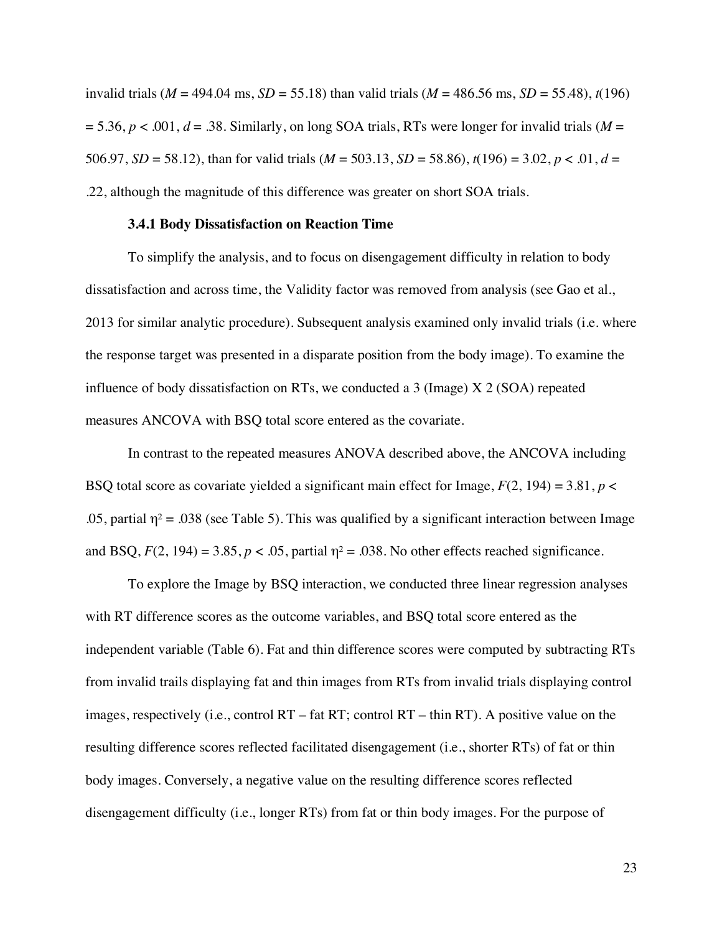invalid trials ( $M = 494.04$  ms,  $SD = 55.18$ ) than valid trials ( $M = 486.56$  ms,  $SD = 55.48$ ),  $t(196)$  $= 5.36, p < .001, d = .38$ . Similarly, on long SOA trials, RTs were longer for invalid trials (*M* = 506.97, *SD* = 58.12), than for valid trials (*M* = 503.13, *SD* = 58.86), *t*(196) = 3.02, *p* < .01, *d* = .22, although the magnitude of this difference was greater on short SOA trials.

#### **3.4.1 Body Dissatisfaction on Reaction Time**

To simplify the analysis, and to focus on disengagement difficulty in relation to body dissatisfaction and across time, the Validity factor was removed from analysis (see Gao et al., 2013 for similar analytic procedure). Subsequent analysis examined only invalid trials (i.e. where the response target was presented in a disparate position from the body image). To examine the influence of body dissatisfaction on RTs, we conducted a 3 (Image) X 2 (SOA) repeated measures ANCOVA with BSQ total score entered as the covariate.

In contrast to the repeated measures ANOVA described above, the ANCOVA including BSQ total score as covariate yielded a significant main effect for Image,  $F(2, 194) = 3.81$ ,  $p <$ .05, partial  $\eta^2$  = .038 (see Table 5). This was qualified by a significant interaction between Image and BSQ,  $F(2, 194) = 3.85$ ,  $p < .05$ , partial  $\eta^2 = .038$ . No other effects reached significance.

To explore the Image by BSQ interaction, we conducted three linear regression analyses with RT difference scores as the outcome variables, and BSQ total score entered as the independent variable (Table 6). Fat and thin difference scores were computed by subtracting RTs from invalid trails displaying fat and thin images from RTs from invalid trials displaying control images, respectively (i.e., control RT – fat RT; control RT – thin RT). A positive value on the resulting difference scores reflected facilitated disengagement (i.e., shorter RTs) of fat or thin body images. Conversely, a negative value on the resulting difference scores reflected disengagement difficulty (i.e., longer RTs) from fat or thin body images. For the purpose of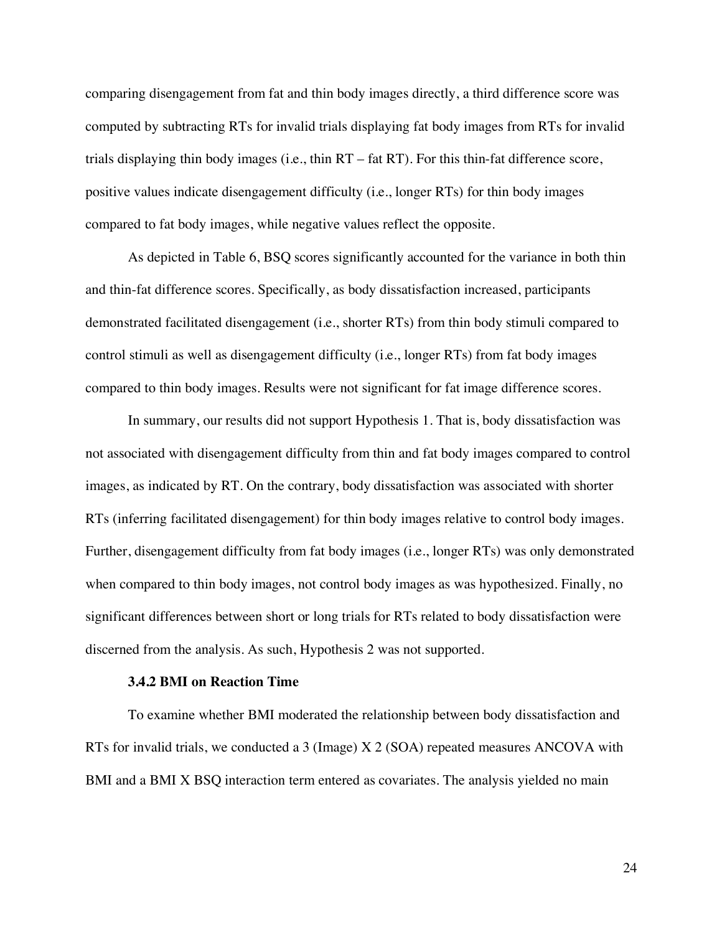comparing disengagement from fat and thin body images directly, a third difference score was computed by subtracting RTs for invalid trials displaying fat body images from RTs for invalid trials displaying thin body images (i.e., thin RT – fat RT). For this thin-fat difference score, positive values indicate disengagement difficulty (i.e., longer RTs) for thin body images compared to fat body images, while negative values reflect the opposite.

As depicted in Table 6, BSQ scores significantly accounted for the variance in both thin and thin-fat difference scores. Specifically, as body dissatisfaction increased, participants demonstrated facilitated disengagement (i.e., shorter RTs) from thin body stimuli compared to control stimuli as well as disengagement difficulty (i.e., longer RTs) from fat body images compared to thin body images. Results were not significant for fat image difference scores.

In summary, our results did not support Hypothesis 1. That is, body dissatisfaction was not associated with disengagement difficulty from thin and fat body images compared to control images, as indicated by RT. On the contrary, body dissatisfaction was associated with shorter RTs (inferring facilitated disengagement) for thin body images relative to control body images. Further, disengagement difficulty from fat body images (i.e., longer RTs) was only demonstrated when compared to thin body images, not control body images as was hypothesized. Finally, no significant differences between short or long trials for RTs related to body dissatisfaction were discerned from the analysis. As such, Hypothesis 2 was not supported.

#### **3.4.2 BMI on Reaction Time**

To examine whether BMI moderated the relationship between body dissatisfaction and RTs for invalid trials, we conducted a 3 (Image) X 2 (SOA) repeated measures ANCOVA with BMI and a BMI X BSQ interaction term entered as covariates. The analysis yielded no main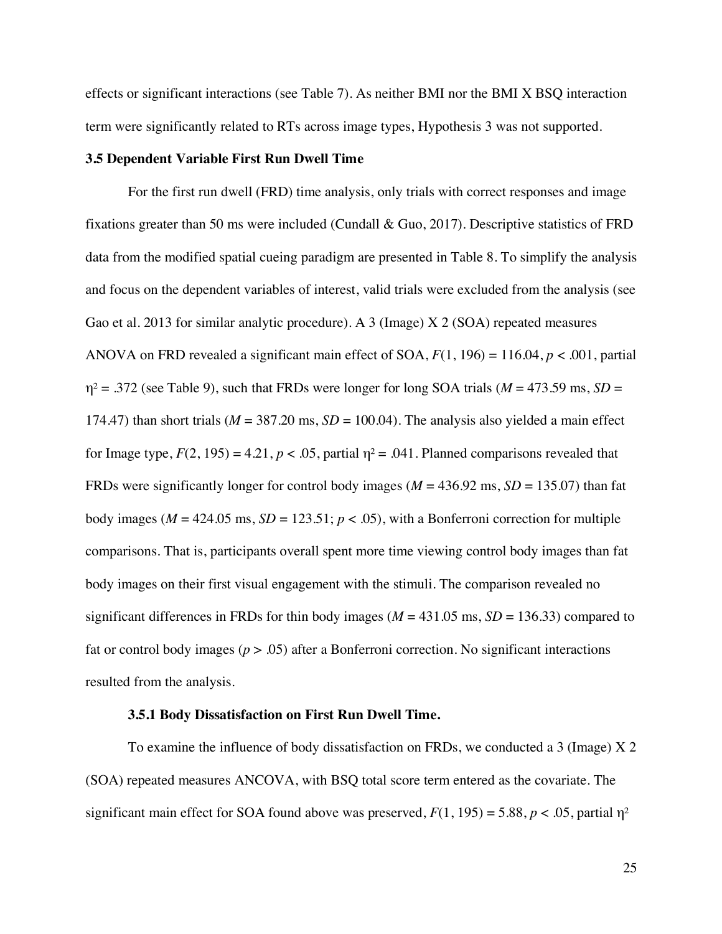effects or significant interactions (see Table 7). As neither BMI nor the BMI X BSQ interaction term were significantly related to RTs across image types, Hypothesis 3 was not supported.

#### **3.5 Dependent Variable First Run Dwell Time**

For the first run dwell (FRD) time analysis, only trials with correct responses and image fixations greater than 50 ms were included (Cundall & Guo, 2017). Descriptive statistics of FRD data from the modified spatial cueing paradigm are presented in Table 8. To simplify the analysis and focus on the dependent variables of interest, valid trials were excluded from the analysis (see Gao et al. 2013 for similar analytic procedure). A 3 (Image) X 2 (SOA) repeated measures ANOVA on FRD revealed a significant main effect of SOA,  $F(1, 196) = 116.04$ ,  $p < .001$ , partial  $\eta^2$  = .372 (see Table 9), such that FRDs were longer for long SOA trials ( $M = 473.59$  ms,  $SD =$ 174.47) than short trials ( $M = 387.20$  ms,  $SD = 100.04$ ). The analysis also yielded a main effect for Image type,  $F(2, 195) = 4.21$ ,  $p < .05$ , partial  $\eta^2 = .041$ . Planned comparisons revealed that FRDs were significantly longer for control body images ( $M = 436.92$  ms,  $SD = 135.07$ ) than fat body images ( $M = 424.05$  ms,  $SD = 123.51$ ;  $p < .05$ ), with a Bonferroni correction for multiple comparisons. That is, participants overall spent more time viewing control body images than fat body images on their first visual engagement with the stimuli. The comparison revealed no significant differences in FRDs for thin body images ( $M = 431.05$  ms,  $SD = 136.33$ ) compared to fat or control body images ( $p > .05$ ) after a Bonferroni correction. No significant interactions resulted from the analysis.

### **3.5.1 Body Dissatisfaction on First Run Dwell Time.**

To examine the influence of body dissatisfaction on FRDs, we conducted a 3 (Image) X 2 (SOA) repeated measures ANCOVA, with BSQ total score term entered as the covariate. The significant main effect for SOA found above was preserved,  $F(1, 195) = 5.88$ ,  $p < .05$ , partial  $\eta^2$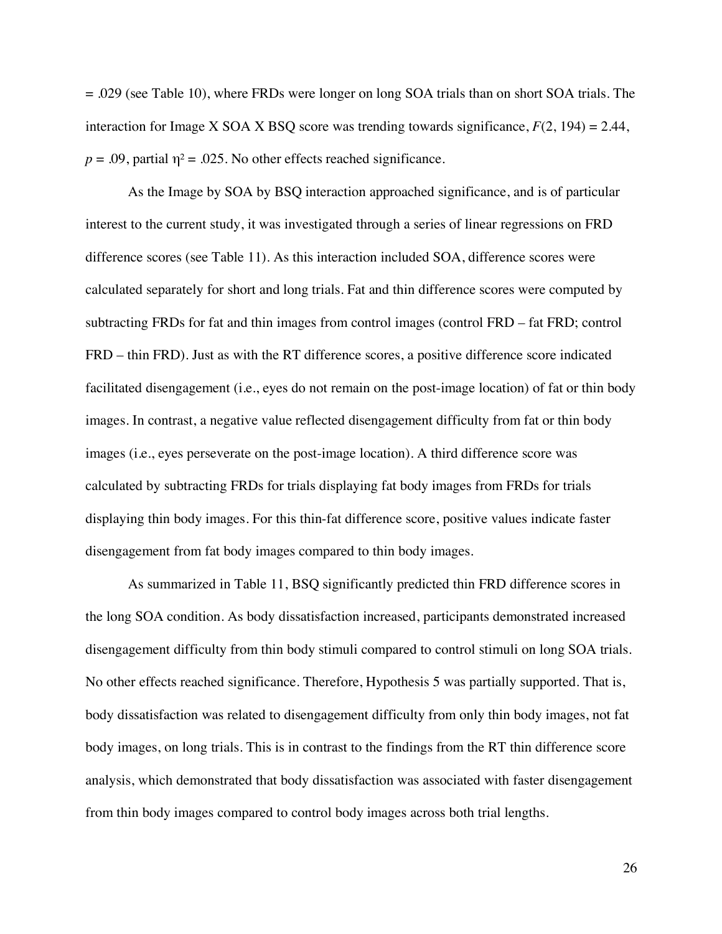= .029 (see Table 10), where FRDs were longer on long SOA trials than on short SOA trials. The interaction for Image X SOA X BSQ score was trending towards significance,  $F(2, 194) = 2.44$ ,  $p = .09$ , partial  $\eta^2 = .025$ . No other effects reached significance.

As the Image by SOA by BSQ interaction approached significance, and is of particular interest to the current study, it was investigated through a series of linear regressions on FRD difference scores (see Table 11). As this interaction included SOA, difference scores were calculated separately for short and long trials. Fat and thin difference scores were computed by subtracting FRDs for fat and thin images from control images (control FRD – fat FRD; control FRD – thin FRD). Just as with the RT difference scores, a positive difference score indicated facilitated disengagement (i.e., eyes do not remain on the post-image location) of fat or thin body images. In contrast, a negative value reflected disengagement difficulty from fat or thin body images (i.e., eyes perseverate on the post-image location). A third difference score was calculated by subtracting FRDs for trials displaying fat body images from FRDs for trials displaying thin body images. For this thin-fat difference score, positive values indicate faster disengagement from fat body images compared to thin body images.

As summarized in Table 11, BSQ significantly predicted thin FRD difference scores in the long SOA condition. As body dissatisfaction increased, participants demonstrated increased disengagement difficulty from thin body stimuli compared to control stimuli on long SOA trials. No other effects reached significance. Therefore, Hypothesis 5 was partially supported. That is, body dissatisfaction was related to disengagement difficulty from only thin body images, not fat body images, on long trials. This is in contrast to the findings from the RT thin difference score analysis, which demonstrated that body dissatisfaction was associated with faster disengagement from thin body images compared to control body images across both trial lengths.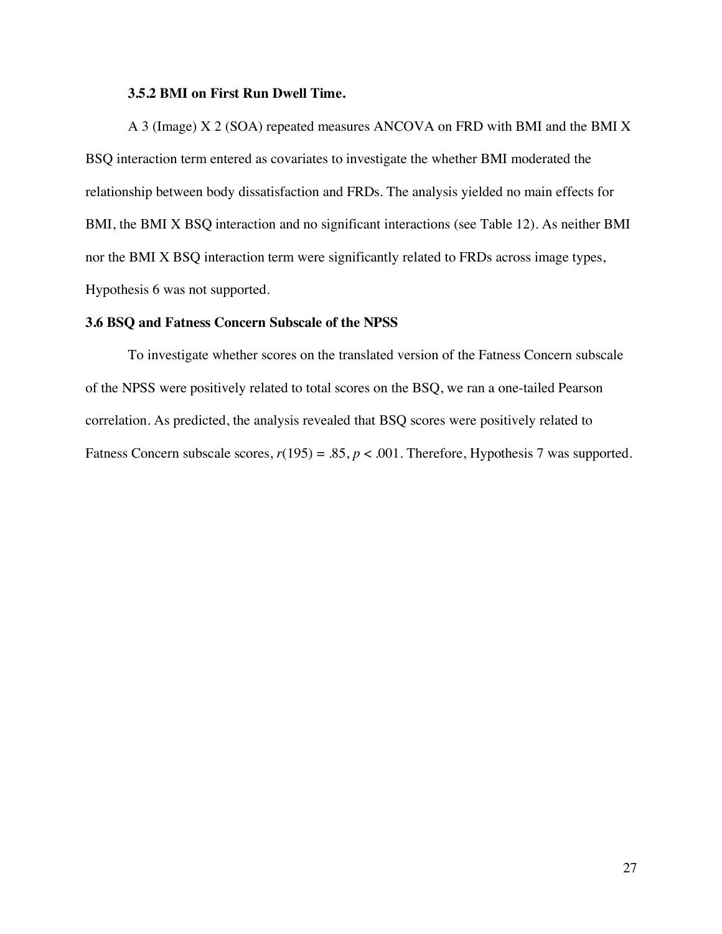#### **3.5.2 BMI on First Run Dwell Time.**

A 3 (Image) X 2 (SOA) repeated measures ANCOVA on FRD with BMI and the BMI X BSQ interaction term entered as covariates to investigate the whether BMI moderated the relationship between body dissatisfaction and FRDs. The analysis yielded no main effects for BMI, the BMI X BSQ interaction and no significant interactions (see Table 12). As neither BMI nor the BMI X BSQ interaction term were significantly related to FRDs across image types, Hypothesis 6 was not supported.

#### **3.6 BSQ and Fatness Concern Subscale of the NPSS**

To investigate whether scores on the translated version of the Fatness Concern subscale of the NPSS were positively related to total scores on the BSQ, we ran a one-tailed Pearson correlation. As predicted, the analysis revealed that BSQ scores were positively related to Fatness Concern subscale scores,  $r(195) = .85$ ,  $p < .001$ . Therefore, Hypothesis 7 was supported.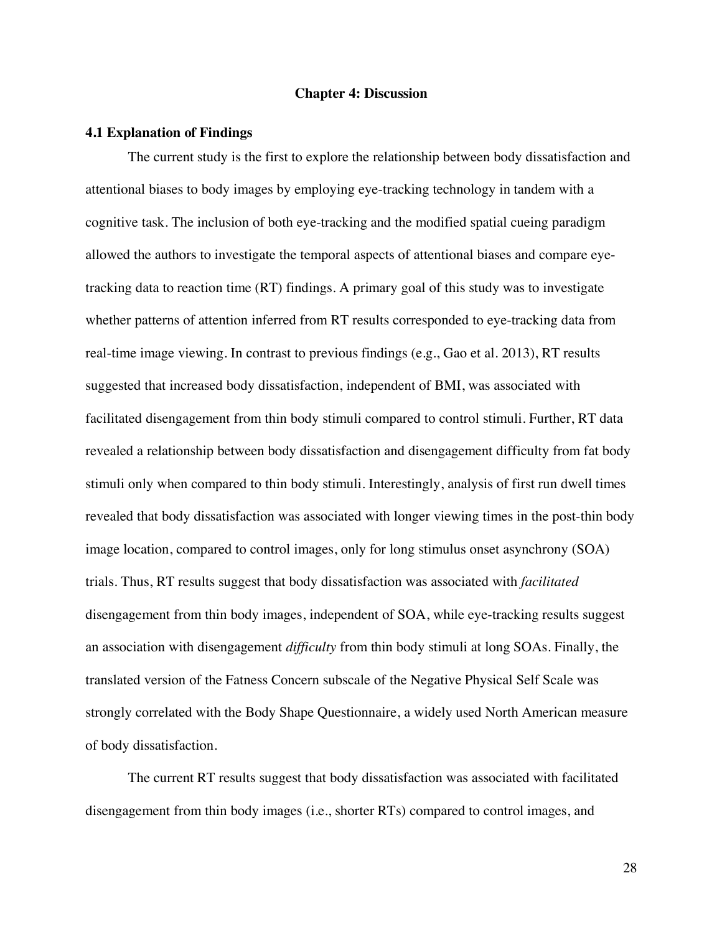#### **Chapter 4: Discussion**

#### **4.1 Explanation of Findings**

The current study is the first to explore the relationship between body dissatisfaction and attentional biases to body images by employing eye-tracking technology in tandem with a cognitive task. The inclusion of both eye-tracking and the modified spatial cueing paradigm allowed the authors to investigate the temporal aspects of attentional biases and compare eyetracking data to reaction time (RT) findings. A primary goal of this study was to investigate whether patterns of attention inferred from RT results corresponded to eye-tracking data from real-time image viewing. In contrast to previous findings (e.g., Gao et al. 2013), RT results suggested that increased body dissatisfaction, independent of BMI, was associated with facilitated disengagement from thin body stimuli compared to control stimuli. Further, RT data revealed a relationship between body dissatisfaction and disengagement difficulty from fat body stimuli only when compared to thin body stimuli. Interestingly, analysis of first run dwell times revealed that body dissatisfaction was associated with longer viewing times in the post-thin body image location, compared to control images, only for long stimulus onset asynchrony (SOA) trials. Thus, RT results suggest that body dissatisfaction was associated with *facilitated* disengagement from thin body images, independent of SOA, while eye-tracking results suggest an association with disengagement *difficulty* from thin body stimuli at long SOAs. Finally, the translated version of the Fatness Concern subscale of the Negative Physical Self Scale was strongly correlated with the Body Shape Questionnaire, a widely used North American measure of body dissatisfaction.

The current RT results suggest that body dissatisfaction was associated with facilitated disengagement from thin body images (i.e., shorter RTs) compared to control images, and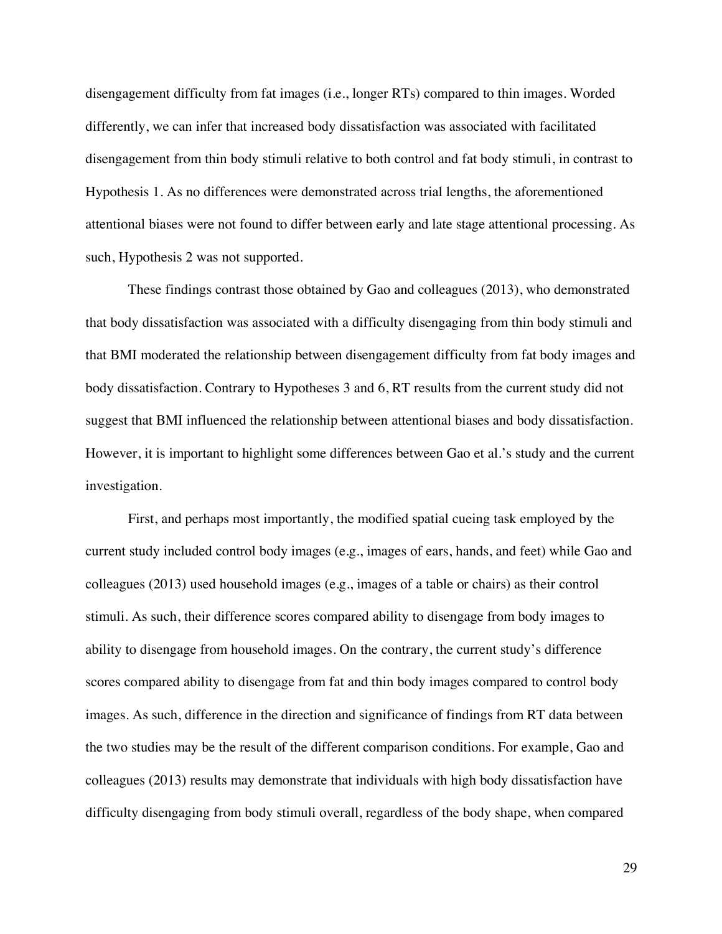disengagement difficulty from fat images (i.e., longer RTs) compared to thin images. Worded differently, we can infer that increased body dissatisfaction was associated with facilitated disengagement from thin body stimuli relative to both control and fat body stimuli, in contrast to Hypothesis 1. As no differences were demonstrated across trial lengths, the aforementioned attentional biases were not found to differ between early and late stage attentional processing. As such, Hypothesis 2 was not supported.

These findings contrast those obtained by Gao and colleagues (2013), who demonstrated that body dissatisfaction was associated with a difficulty disengaging from thin body stimuli and that BMI moderated the relationship between disengagement difficulty from fat body images and body dissatisfaction. Contrary to Hypotheses 3 and 6, RT results from the current study did not suggest that BMI influenced the relationship between attentional biases and body dissatisfaction. However, it is important to highlight some differences between Gao et al.'s study and the current investigation.

First, and perhaps most importantly, the modified spatial cueing task employed by the current study included control body images (e.g., images of ears, hands, and feet) while Gao and colleagues (2013) used household images (e.g., images of a table or chairs) as their control stimuli. As such, their difference scores compared ability to disengage from body images to ability to disengage from household images. On the contrary, the current study's difference scores compared ability to disengage from fat and thin body images compared to control body images. As such, difference in the direction and significance of findings from RT data between the two studies may be the result of the different comparison conditions. For example, Gao and colleagues (2013) results may demonstrate that individuals with high body dissatisfaction have difficulty disengaging from body stimuli overall, regardless of the body shape, when compared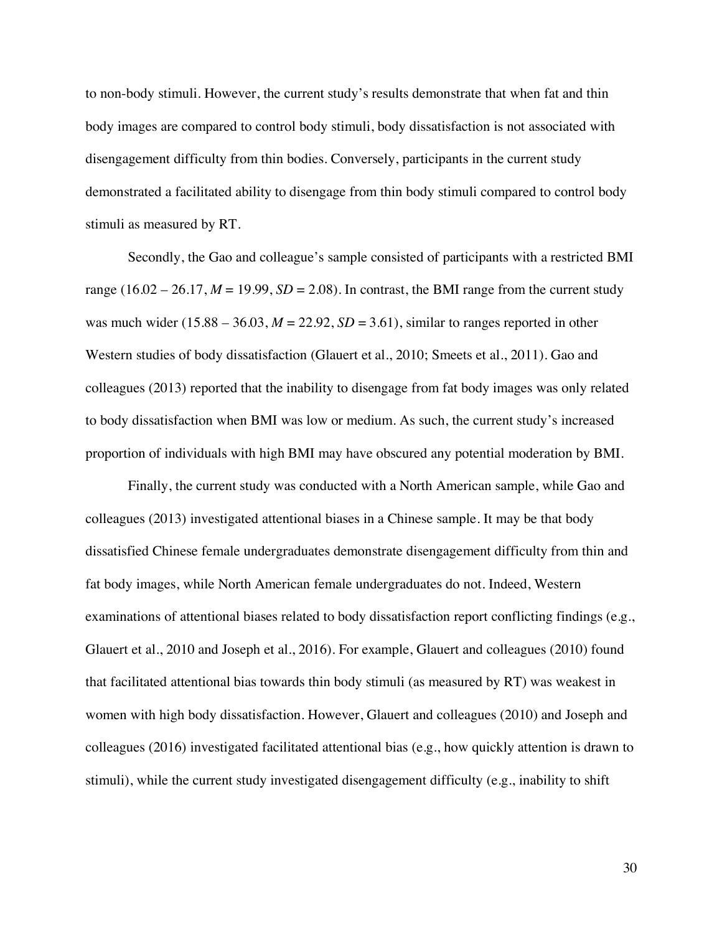to non-body stimuli. However, the current study's results demonstrate that when fat and thin body images are compared to control body stimuli, body dissatisfaction is not associated with disengagement difficulty from thin bodies. Conversely, participants in the current study demonstrated a facilitated ability to disengage from thin body stimuli compared to control body stimuli as measured by RT.

Secondly, the Gao and colleague's sample consisted of participants with a restricted BMI range  $(16.02 - 26.17, M = 19.99, SD = 2.08)$ . In contrast, the BMI range from the current study was much wider  $(15.88 - 36.03, M = 22.92, SD = 3.61)$ , similar to ranges reported in other Western studies of body dissatisfaction (Glauert et al., 2010; Smeets et al., 2011). Gao and colleagues (2013) reported that the inability to disengage from fat body images was only related to body dissatisfaction when BMI was low or medium. As such, the current study's increased proportion of individuals with high BMI may have obscured any potential moderation by BMI.

Finally, the current study was conducted with a North American sample, while Gao and colleagues (2013) investigated attentional biases in a Chinese sample. It may be that body dissatisfied Chinese female undergraduates demonstrate disengagement difficulty from thin and fat body images, while North American female undergraduates do not. Indeed, Western examinations of attentional biases related to body dissatisfaction report conflicting findings (e.g., Glauert et al., 2010 and Joseph et al., 2016). For example, Glauert and colleagues (2010) found that facilitated attentional bias towards thin body stimuli (as measured by RT) was weakest in women with high body dissatisfaction. However, Glauert and colleagues (2010) and Joseph and colleagues (2016) investigated facilitated attentional bias (e.g., how quickly attention is drawn to stimuli), while the current study investigated disengagement difficulty (e.g., inability to shift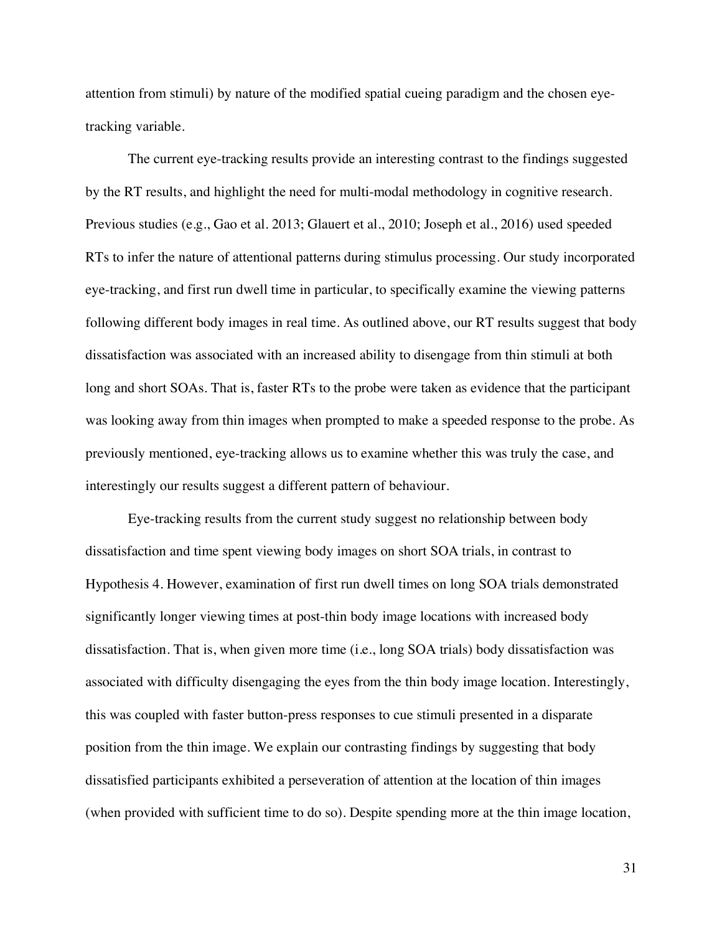attention from stimuli) by nature of the modified spatial cueing paradigm and the chosen eyetracking variable.

The current eye-tracking results provide an interesting contrast to the findings suggested by the RT results, and highlight the need for multi-modal methodology in cognitive research. Previous studies (e.g., Gao et al. 2013; Glauert et al., 2010; Joseph et al., 2016) used speeded RTs to infer the nature of attentional patterns during stimulus processing. Our study incorporated eye-tracking, and first run dwell time in particular, to specifically examine the viewing patterns following different body images in real time. As outlined above, our RT results suggest that body dissatisfaction was associated with an increased ability to disengage from thin stimuli at both long and short SOAs. That is, faster RTs to the probe were taken as evidence that the participant was looking away from thin images when prompted to make a speeded response to the probe. As previously mentioned, eye-tracking allows us to examine whether this was truly the case, and interestingly our results suggest a different pattern of behaviour.

Eye-tracking results from the current study suggest no relationship between body dissatisfaction and time spent viewing body images on short SOA trials, in contrast to Hypothesis 4. However, examination of first run dwell times on long SOA trials demonstrated significantly longer viewing times at post-thin body image locations with increased body dissatisfaction. That is, when given more time (i.e., long SOA trials) body dissatisfaction was associated with difficulty disengaging the eyes from the thin body image location. Interestingly, this was coupled with faster button-press responses to cue stimuli presented in a disparate position from the thin image. We explain our contrasting findings by suggesting that body dissatisfied participants exhibited a perseveration of attention at the location of thin images (when provided with sufficient time to do so). Despite spending more at the thin image location,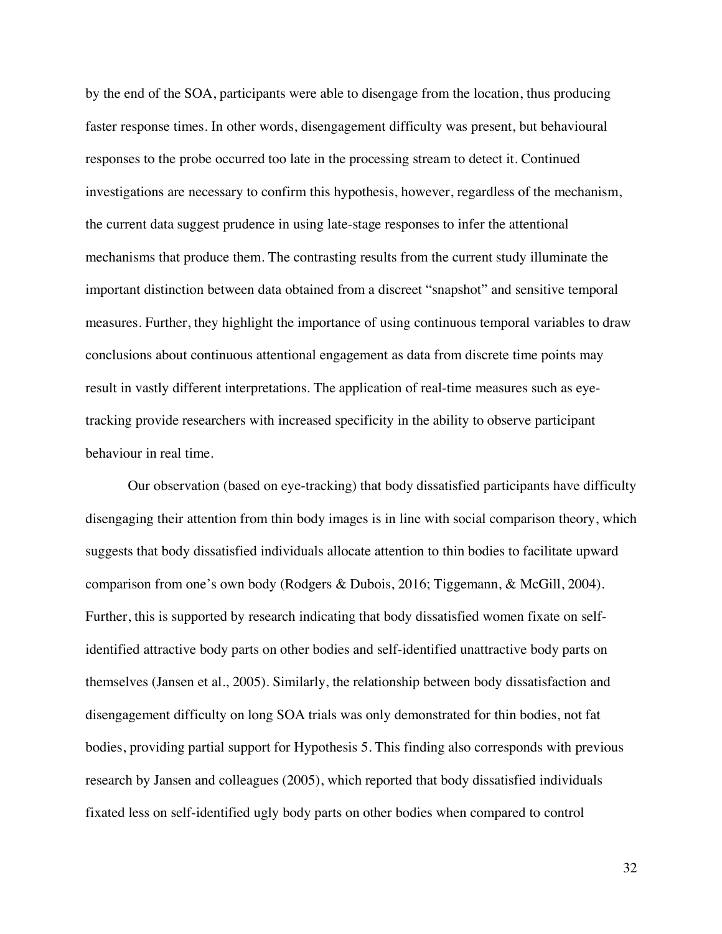by the end of the SOA, participants were able to disengage from the location, thus producing faster response times. In other words, disengagement difficulty was present, but behavioural responses to the probe occurred too late in the processing stream to detect it. Continued investigations are necessary to confirm this hypothesis, however, regardless of the mechanism, the current data suggest prudence in using late-stage responses to infer the attentional mechanisms that produce them. The contrasting results from the current study illuminate the important distinction between data obtained from a discreet "snapshot" and sensitive temporal measures. Further, they highlight the importance of using continuous temporal variables to draw conclusions about continuous attentional engagement as data from discrete time points may result in vastly different interpretations. The application of real-time measures such as eyetracking provide researchers with increased specificity in the ability to observe participant behaviour in real time.

Our observation (based on eye-tracking) that body dissatisfied participants have difficulty disengaging their attention from thin body images is in line with social comparison theory, which suggests that body dissatisfied individuals allocate attention to thin bodies to facilitate upward comparison from one's own body (Rodgers & Dubois, 2016; Tiggemann, & McGill, 2004). Further, this is supported by research indicating that body dissatisfied women fixate on selfidentified attractive body parts on other bodies and self-identified unattractive body parts on themselves (Jansen et al., 2005). Similarly, the relationship between body dissatisfaction and disengagement difficulty on long SOA trials was only demonstrated for thin bodies, not fat bodies, providing partial support for Hypothesis 5. This finding also corresponds with previous research by Jansen and colleagues (2005), which reported that body dissatisfied individuals fixated less on self-identified ugly body parts on other bodies when compared to control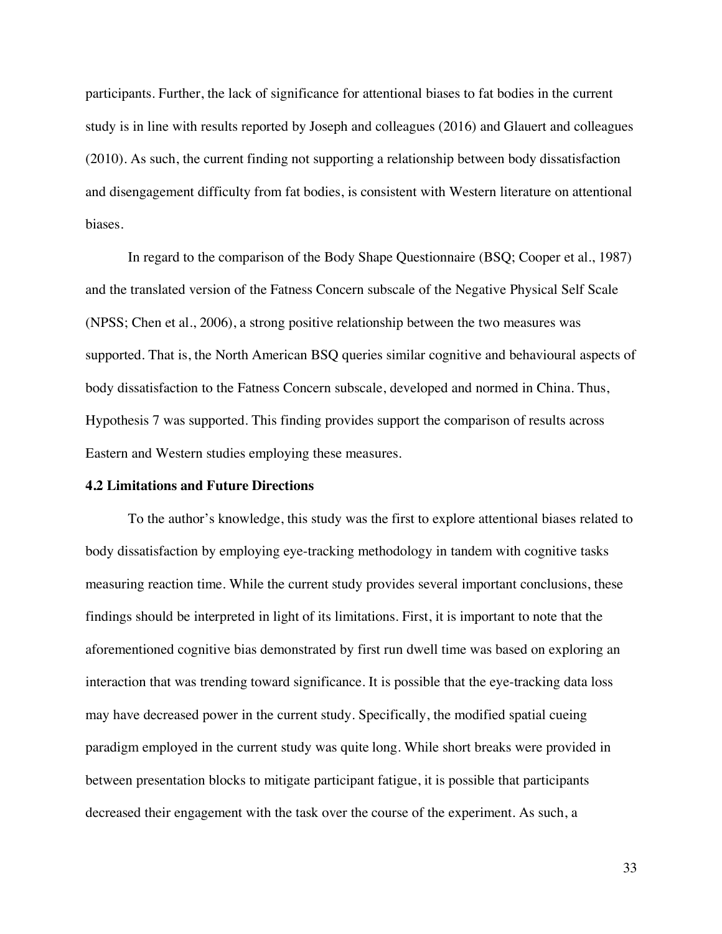participants. Further, the lack of significance for attentional biases to fat bodies in the current study is in line with results reported by Joseph and colleagues (2016) and Glauert and colleagues (2010). As such, the current finding not supporting a relationship between body dissatisfaction and disengagement difficulty from fat bodies, is consistent with Western literature on attentional biases.

In regard to the comparison of the Body Shape Questionnaire (BSQ; Cooper et al., 1987) and the translated version of the Fatness Concern subscale of the Negative Physical Self Scale (NPSS; Chen et al., 2006), a strong positive relationship between the two measures was supported. That is, the North American BSQ queries similar cognitive and behavioural aspects of body dissatisfaction to the Fatness Concern subscale, developed and normed in China. Thus, Hypothesis 7 was supported. This finding provides support the comparison of results across Eastern and Western studies employing these measures.

#### **4.2 Limitations and Future Directions**

To the author's knowledge, this study was the first to explore attentional biases related to body dissatisfaction by employing eye-tracking methodology in tandem with cognitive tasks measuring reaction time. While the current study provides several important conclusions, these findings should be interpreted in light of its limitations. First, it is important to note that the aforementioned cognitive bias demonstrated by first run dwell time was based on exploring an interaction that was trending toward significance. It is possible that the eye-tracking data loss may have decreased power in the current study. Specifically, the modified spatial cueing paradigm employed in the current study was quite long. While short breaks were provided in between presentation blocks to mitigate participant fatigue, it is possible that participants decreased their engagement with the task over the course of the experiment. As such, a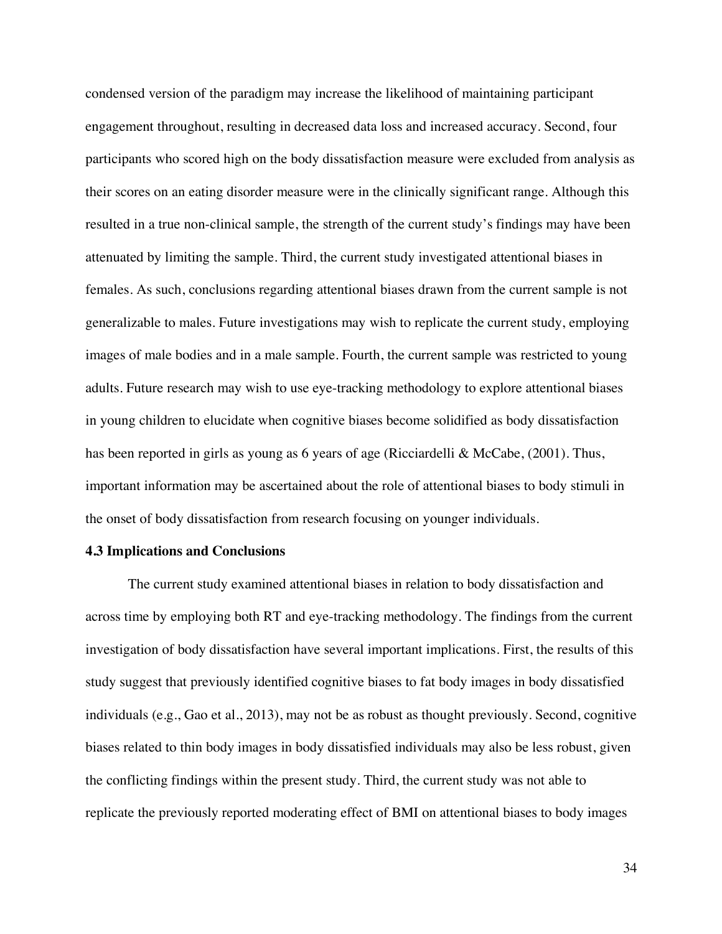condensed version of the paradigm may increase the likelihood of maintaining participant engagement throughout, resulting in decreased data loss and increased accuracy. Second, four participants who scored high on the body dissatisfaction measure were excluded from analysis as their scores on an eating disorder measure were in the clinically significant range. Although this resulted in a true non-clinical sample, the strength of the current study's findings may have been attenuated by limiting the sample. Third, the current study investigated attentional biases in females. As such, conclusions regarding attentional biases drawn from the current sample is not generalizable to males. Future investigations may wish to replicate the current study, employing images of male bodies and in a male sample. Fourth, the current sample was restricted to young adults. Future research may wish to use eye-tracking methodology to explore attentional biases in young children to elucidate when cognitive biases become solidified as body dissatisfaction has been reported in girls as young as 6 years of age (Ricciardelli & McCabe, (2001). Thus, important information may be ascertained about the role of attentional biases to body stimuli in the onset of body dissatisfaction from research focusing on younger individuals.

#### **4.3 Implications and Conclusions**

The current study examined attentional biases in relation to body dissatisfaction and across time by employing both RT and eye-tracking methodology. The findings from the current investigation of body dissatisfaction have several important implications. First, the results of this study suggest that previously identified cognitive biases to fat body images in body dissatisfied individuals (e.g., Gao et al., 2013), may not be as robust as thought previously. Second, cognitive biases related to thin body images in body dissatisfied individuals may also be less robust, given the conflicting findings within the present study. Third, the current study was not able to replicate the previously reported moderating effect of BMI on attentional biases to body images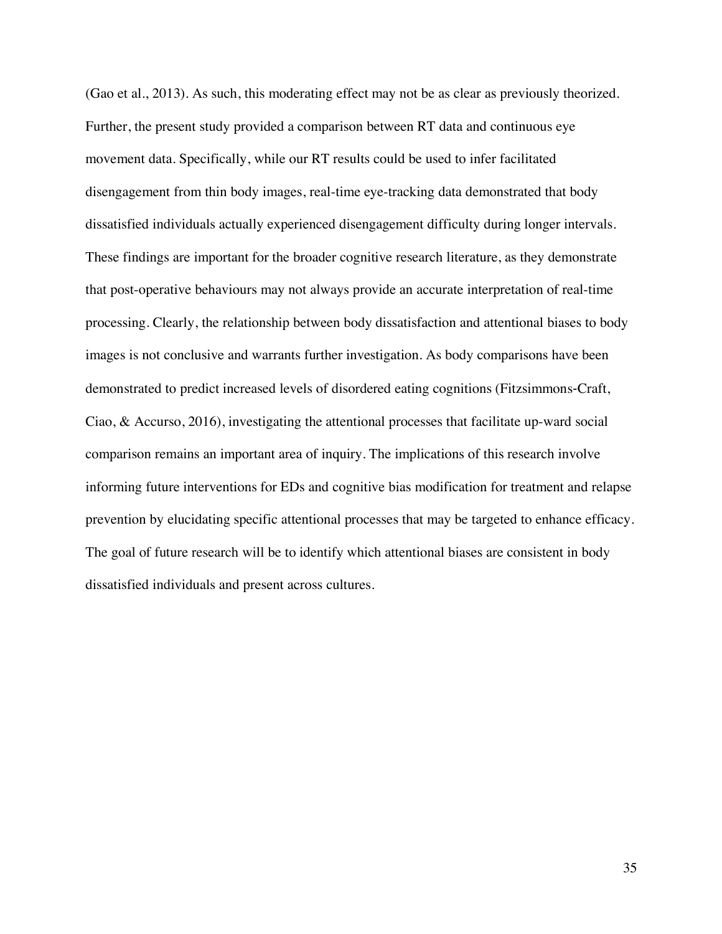(Gao et al., 2013). As such, this moderating effect may not be as clear as previously theorized. Further, the present study provided a comparison between RT data and continuous eye movement data. Specifically, while our RT results could be used to infer facilitated disengagement from thin body images, real-time eye-tracking data demonstrated that body dissatisfied individuals actually experienced disengagement difficulty during longer intervals. These findings are important for the broader cognitive research literature, as they demonstrate that post-operative behaviours may not always provide an accurate interpretation of real-time processing. Clearly, the relationship between body dissatisfaction and attentional biases to body images is not conclusive and warrants further investigation. As body comparisons have been demonstrated to predict increased levels of disordered eating cognitions (Fitzsimmons-Craft, Ciao, & Accurso, 2016), investigating the attentional processes that facilitate up-ward social comparison remains an important area of inquiry. The implications of this research involve informing future interventions for EDs and cognitive bias modification for treatment and relapse prevention by elucidating specific attentional processes that may be targeted to enhance efficacy. The goal of future research will be to identify which attentional biases are consistent in body dissatisfied individuals and present across cultures.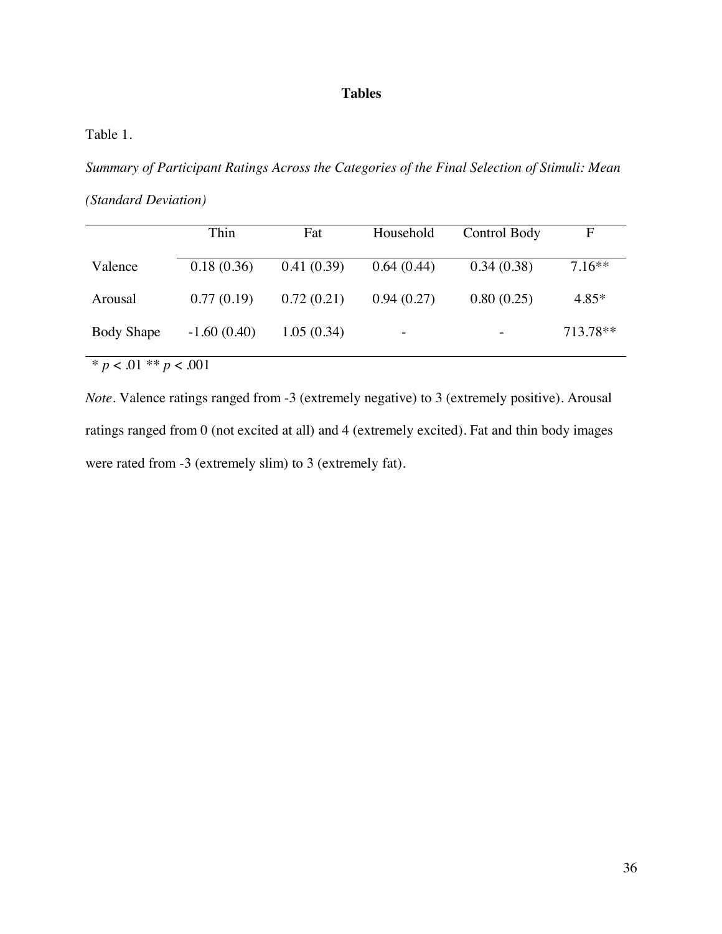## **Tables**

## Table 1.

*Summary of Participant Ratings Across the Categories of the Final Selection of Stimuli: Mean* 

*(Standard Deviation)*

|                           | Thin          | Fat        | Household  | Control Body | $\mathbf F$ |  |  |
|---------------------------|---------------|------------|------------|--------------|-------------|--|--|
| Valence                   | 0.18(0.36)    | 0.41(0.39) | 0.64(0.44) | 0.34(0.38)   | $7.16**$    |  |  |
| Arousal                   | 0.77(0.19)    | 0.72(0.21) | 0.94(0.27) | 0.80(0.25)   | $4.85*$     |  |  |
| <b>Body Shape</b>         | $-1.60(0.40)$ | 1.05(0.34) |            |              | 713.78**    |  |  |
| * $p < .01$ ** $p < .001$ |               |            |            |              |             |  |  |

*Note*. Valence ratings ranged from -3 (extremely negative) to 3 (extremely positive). Arousal ratings ranged from 0 (not excited at all) and 4 (extremely excited). Fat and thin body images were rated from -3 (extremely slim) to 3 (extremely fat).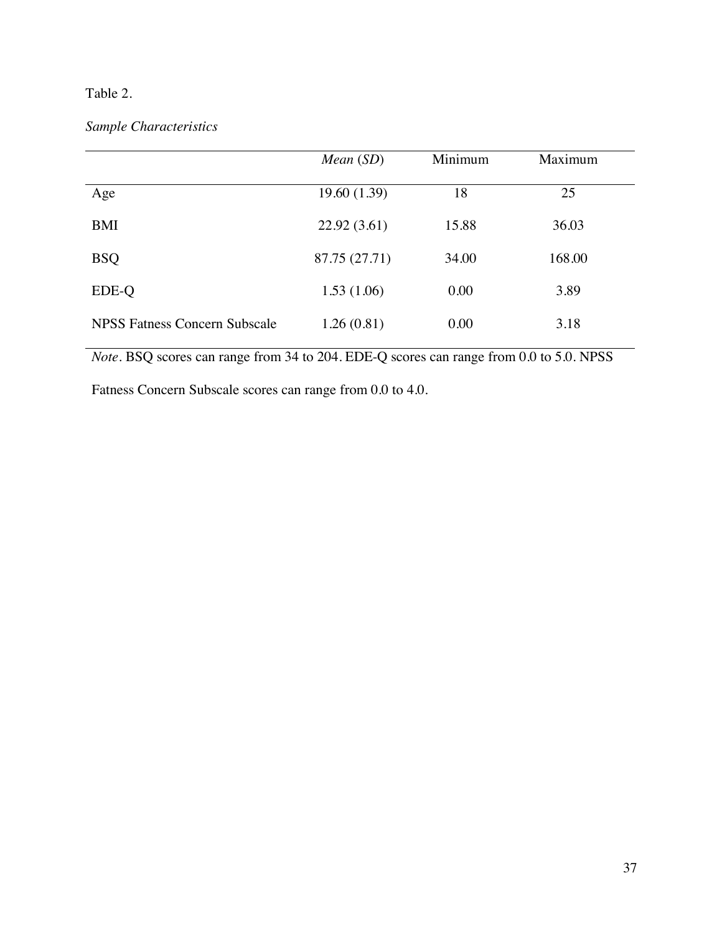## Table 2.

## *Sample Characteristics*

|                               | Mean (SD)     | Minimum | Maximum |
|-------------------------------|---------------|---------|---------|
| Age                           | 19.60 (1.39)  | 18      | 25      |
| <b>BMI</b>                    | 22.92(3.61)   | 15.88   | 36.03   |
| <b>BSQ</b>                    | 87.75 (27.71) | 34.00   | 168.00  |
| EDE-Q                         | 1.53(1.06)    | 0.00    | 3.89    |
| NPSS Fatness Concern Subscale | 1.26(0.81)    | 0.00    | 3.18    |

*Note.* BSQ scores can range from 34 to 204. EDE-Q scores can range from 0.0 to 5.0. NPSS

Fatness Concern Subscale scores can range from 0.0 to 4.0.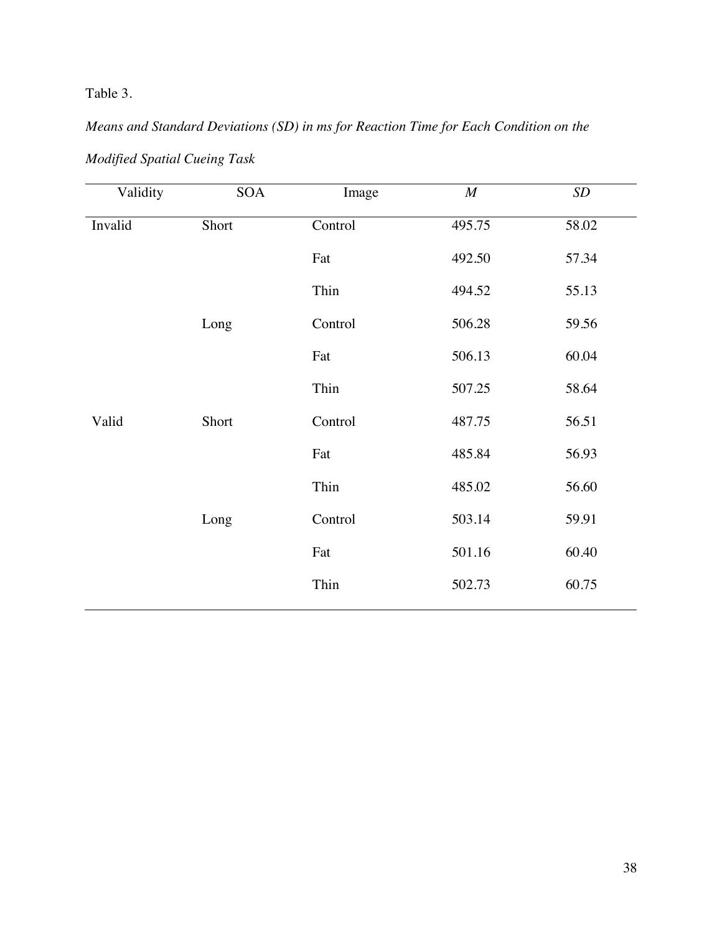Table 3.

# *Means and Standard Deviations (SD) in ms for Reaction Time for Each Condition on the*

| Validity | SOA   | Image   | $\cal M$ | $\boldsymbol{SD}$ |
|----------|-------|---------|----------|-------------------|
| Invalid  | Short | Control | 495.75   | 58.02             |
|          |       | Fat     | 492.50   | 57.34             |
|          |       | Thin    | 494.52   | 55.13             |
|          | Long  | Control | 506.28   | 59.56             |
|          |       | Fat     | 506.13   | 60.04             |
|          |       | Thin    | 507.25   | 58.64             |
| Valid    | Short | Control | 487.75   | 56.51             |
|          |       | Fat     | 485.84   | 56.93             |
|          |       | Thin    | 485.02   | 56.60             |
|          | Long  | Control | 503.14   | 59.91             |
|          |       | Fat     | 501.16   | 60.40             |
|          |       | Thin    | 502.73   | 60.75             |
|          |       |         |          |                   |

*Modified Spatial Cueing Task*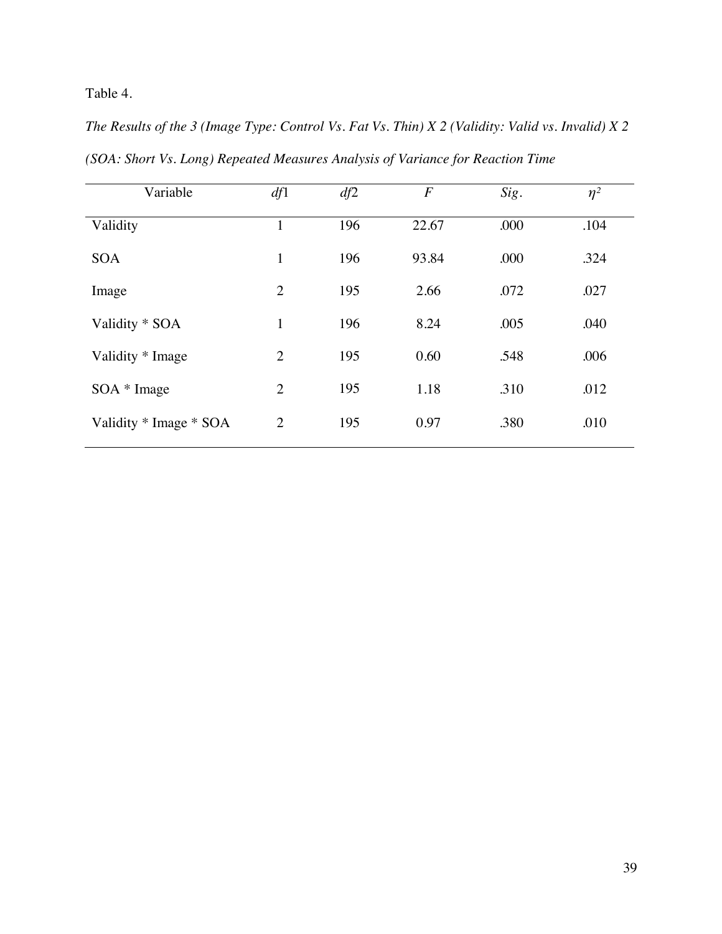Table 4.

| Variable               | df1            | df2 | $\overline{F}$ | Sig. | $\eta^2$ |
|------------------------|----------------|-----|----------------|------|----------|
| Validity               | 1              | 196 | 22.67          | .000 | .104     |
| <b>SOA</b>             | $\mathbf{1}$   | 196 | 93.84          | .000 | .324     |
| Image                  | $\overline{2}$ | 195 | 2.66           | .072 | .027     |
| Validity * SOA         | $\mathbf{1}$   | 196 | 8.24           | .005 | .040     |
| Validity * Image       | $\overline{2}$ | 195 | 0.60           | .548 | .006     |
| $SOA * Image$          | $\overline{2}$ | 195 | 1.18           | .310 | .012     |
| Validity * Image * SOA | $\overline{2}$ | 195 | 0.97           | .380 | .010     |

*The Results of the 3 (Image Type: Control Vs. Fat Vs. Thin) X 2 (Validity: Valid vs. Invalid) X 2 (SOA: Short Vs. Long) Repeated Measures Analysis of Variance for Reaction Time*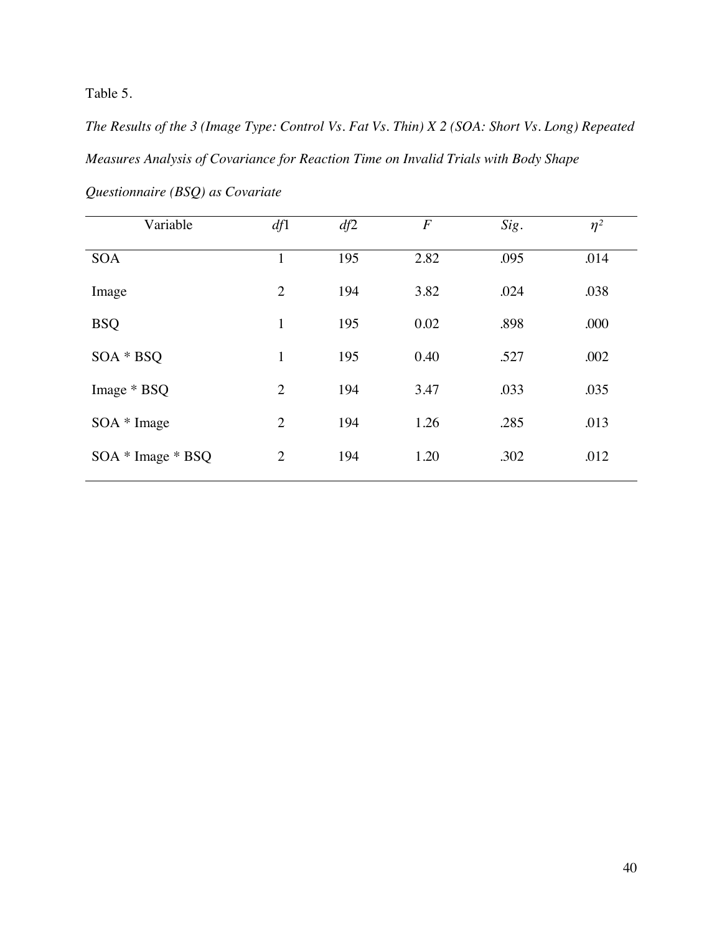Table 5.

*The Results of the 3 (Image Type: Control Vs. Fat Vs. Thin) X 2 (SOA: Short Vs. Long) Repeated Measures Analysis of Covariance for Reaction Time on Invalid Trials with Body Shape Questionnaire (BSQ) as Covariate*

| Variable          | df1            | df2 | $\overline{F}$ | Sig. | $\eta^2$ |
|-------------------|----------------|-----|----------------|------|----------|
| <b>SOA</b>        | 1              | 195 | 2.82           | .095 | .014     |
| Image             | $\overline{2}$ | 194 | 3.82           | .024 | .038     |
| <b>BSQ</b>        | $\mathbf{1}$   | 195 | 0.02           | .898 | .000     |
| SOA * BSQ         | $\mathbf{1}$   | 195 | 0.40           | .527 | .002     |
| Image * BSQ       | $\overline{2}$ | 194 | 3.47           | .033 | .035     |
| $SOA * Image$     | $\overline{2}$ | 194 | 1.26           | .285 | .013     |
| SOA * Image * BSQ | $\overline{2}$ | 194 | 1.20           | .302 | .012     |
|                   |                |     |                |      |          |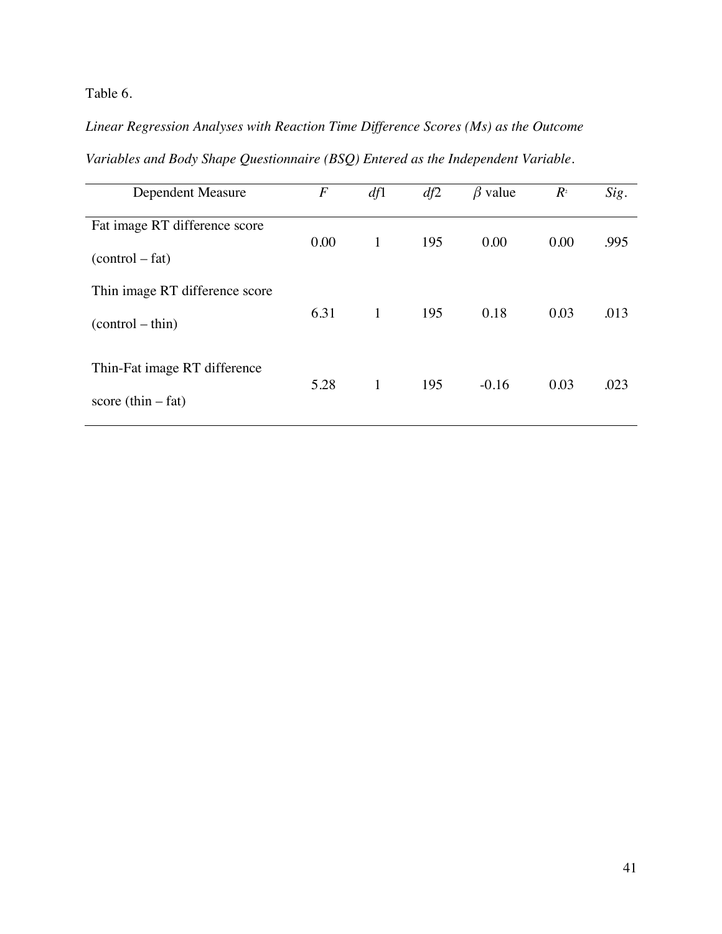Table 6.

*Linear Regression Analyses with Reaction Time Difference Scores (Ms) as the Outcome* 

*Variables and Body Shape Questionnaire (BSQ) Entered as the Independent Variable.*

| Dependent Measure                                    | $\boldsymbol{F}$ | df1          | df2 | $\beta$ value | $R^{\scriptscriptstyle 2}$ | Sig. |
|------------------------------------------------------|------------------|--------------|-----|---------------|----------------------------|------|
| Fat image RT difference score<br>$(control - fat)$   | 0.00             | $\mathbf{1}$ | 195 | 0.00          | 0.00                       | .995 |
| Thin image RT difference score<br>$(control - thin)$ | 6.31             | $\mathbf{1}$ | 195 | 0.18          | 0.03                       | .013 |
| Thin-Fat image RT difference<br>score $(thin-fat)$   | 5.28             | $\mathbf{1}$ | 195 | $-0.16$       | 0.03                       | .023 |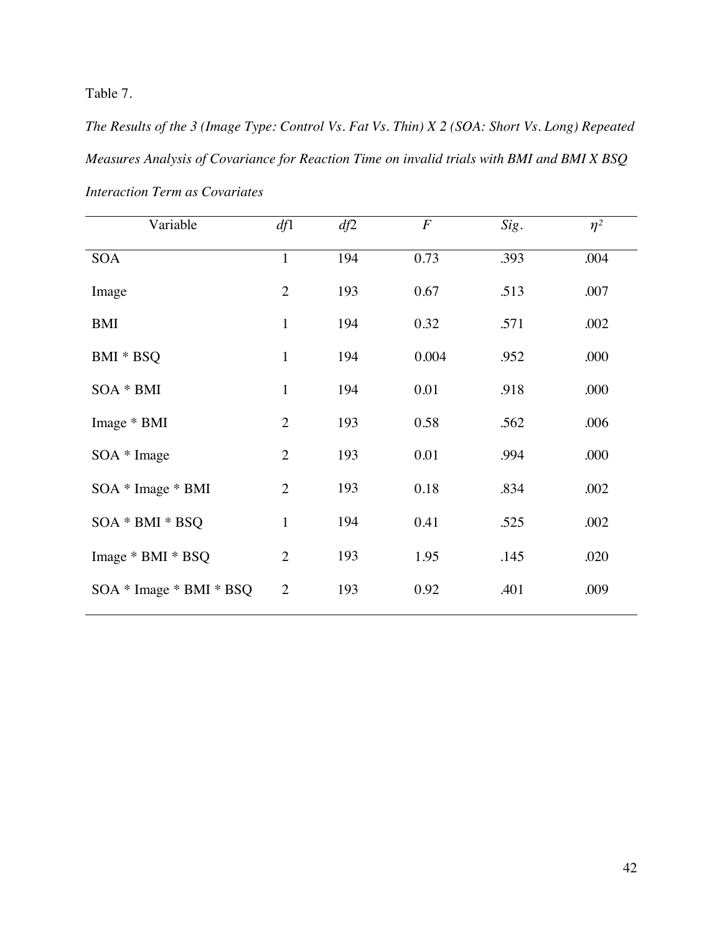Table 7.

*The Results of the 3 (Image Type: Control Vs. Fat Vs. Thin) X 2 (SOA: Short Vs. Long) Repeated Measures Analysis of Covariance for Reaction Time on invalid trials with BMI and BMI X BSQ Interaction Term as Covariates*

| Variable                | df1            | df2 | $\boldsymbol{F}$ | Sig. | $\eta^2$ |
|-------------------------|----------------|-----|------------------|------|----------|
| <b>SOA</b>              | $\mathbf{1}$   | 194 | 0.73             | .393 | .004     |
| Image                   | $\overline{2}$ | 193 | 0.67             | .513 | .007     |
| <b>BMI</b>              | $\mathbf{1}$   | 194 | 0.32             | .571 | .002     |
| BMI * BSQ               | $\mathbf{1}$   | 194 | 0.004            | .952 | .000     |
| SOA * BMI               | $\mathbf{1}$   | 194 | 0.01             | .918 | .000     |
| Image * BMI             | $\overline{2}$ | 193 | 0.58             | .562 | .006     |
| $SOA * Image$           | $\overline{2}$ | 193 | 0.01             | .994 | .000     |
| $SOA * Image * BMI$     | $\overline{2}$ | 193 | 0.18             | .834 | .002     |
| SOA * BMI * BSQ         | $\mathbf{1}$   | 194 | 0.41             | .525 | .002     |
| Image * BMI * BSQ       | $\overline{2}$ | 193 | 1.95             | .145 | .020     |
| SOA * Image * BMI * BSQ | $\overline{2}$ | 193 | 0.92             | .401 | .009     |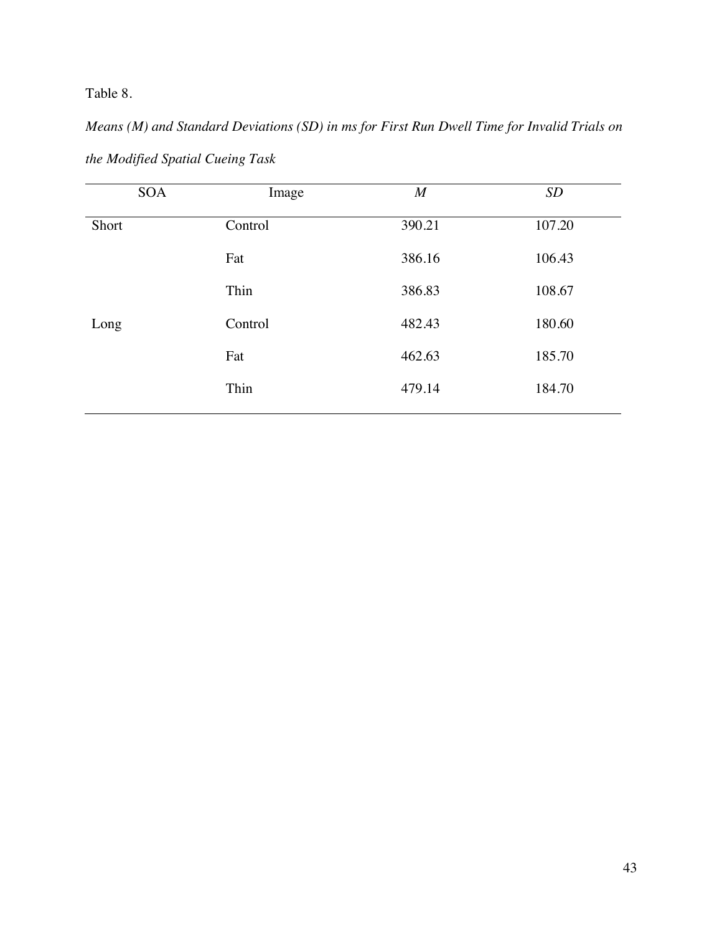Table 8.

*Means (M) and Standard Deviations (SD) in ms for First Run Dwell Time for Invalid Trials on the Modified Spatial Cueing Task*

| <b>SOA</b> | Image   | $\boldsymbol{M}$ | SD     |
|------------|---------|------------------|--------|
| Short      | Control | 390.21           | 107.20 |
|            | Fat     | 386.16           | 106.43 |
|            | Thin    | 386.83           | 108.67 |
| Long       | Control | 482.43           | 180.60 |
|            | Fat     | 462.63           | 185.70 |
|            | Thin    | 479.14           | 184.70 |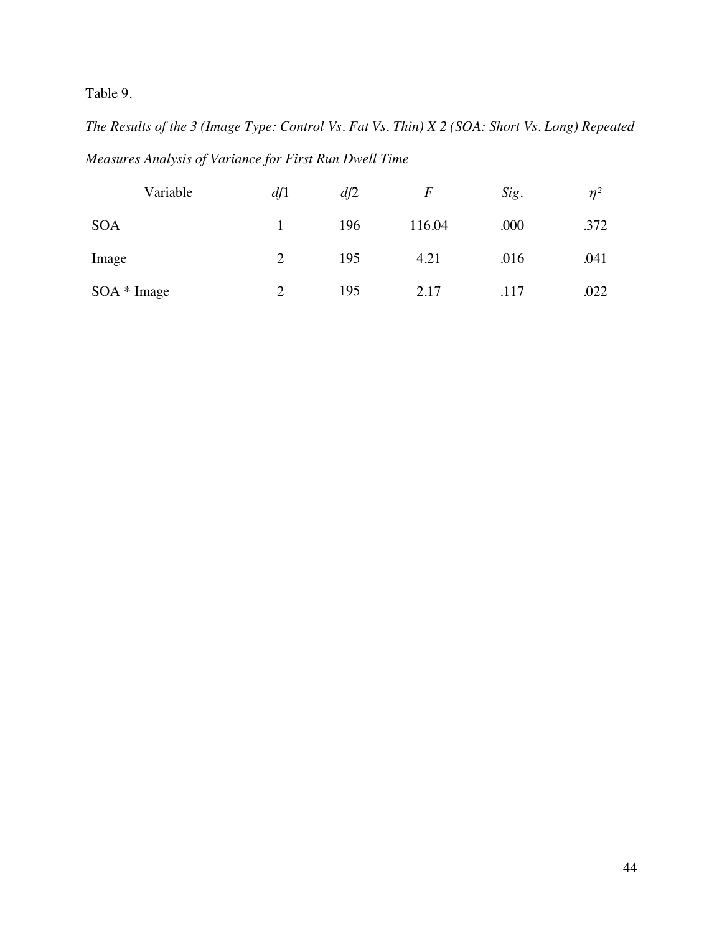Table 9.

*The Results of the 3 (Image Type: Control Vs. Fat Vs. Thin) X 2 (SOA: Short Vs. Long) Repeated Measures Analysis of Variance for First Run Dwell Time*

| Variable      | df1            | df2 | $\,F$  | Sig. | $\eta$ <sup>2</sup> |
|---------------|----------------|-----|--------|------|---------------------|
| <b>SOA</b>    |                | 196 | 116.04 | .000 | .372                |
| Image         | $\overline{2}$ | 195 | 4.21   | .016 | .041                |
| $SOA * Image$ | $\overline{2}$ | 195 | 2.17   | .117 | .022                |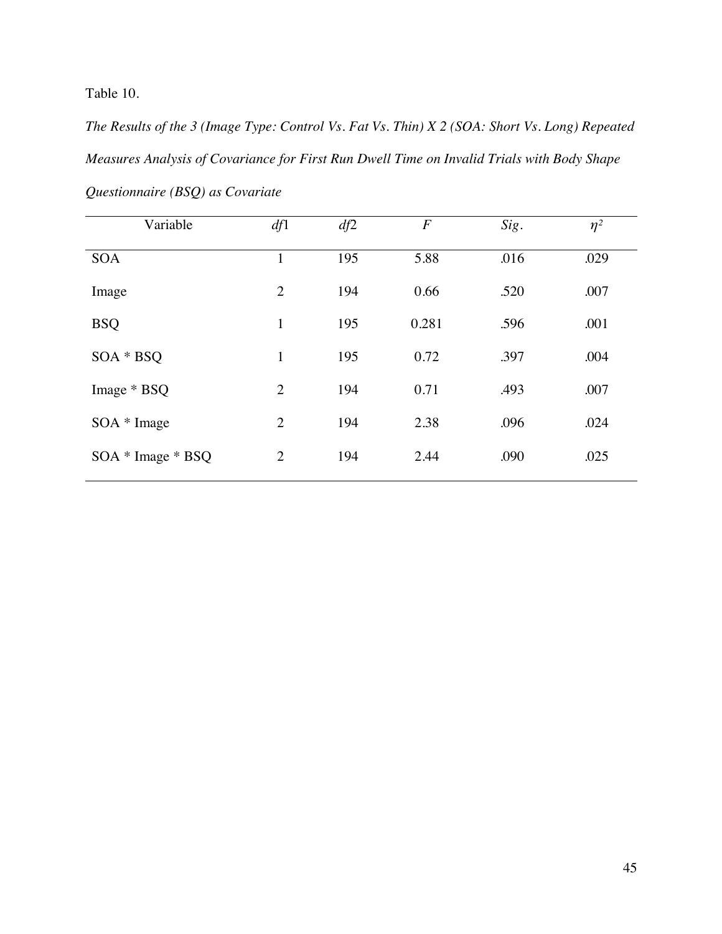Table 10.

*The Results of the 3 (Image Type: Control Vs. Fat Vs. Thin) X 2 (SOA: Short Vs. Long) Repeated Measures Analysis of Covariance for First Run Dwell Time on Invalid Trials with Body Shape Questionnaire (BSQ) as Covariate*

| Variable            | df1            | df2 | $\boldsymbol{F}$ | Sig. | $\eta^2$ |
|---------------------|----------------|-----|------------------|------|----------|
| <b>SOA</b>          | $\mathbf{1}$   | 195 | 5.88             | .016 | .029     |
| Image               | $\overline{2}$ | 194 | 0.66             | .520 | .007     |
| <b>BSQ</b>          | 1              | 195 | 0.281            | .596 | .001     |
| SOA * BSQ           | $\mathbf{1}$   | 195 | 0.72             | .397 | .004     |
| Image * BSQ         | $\overline{2}$ | 194 | 0.71             | .493 | .007     |
| SOA * Image         | $\overline{2}$ | 194 | 2.38             | .096 | .024     |
| $SOA * Image * BSQ$ | $\overline{2}$ | 194 | 2.44             | .090 | .025     |
|                     |                |     |                  |      |          |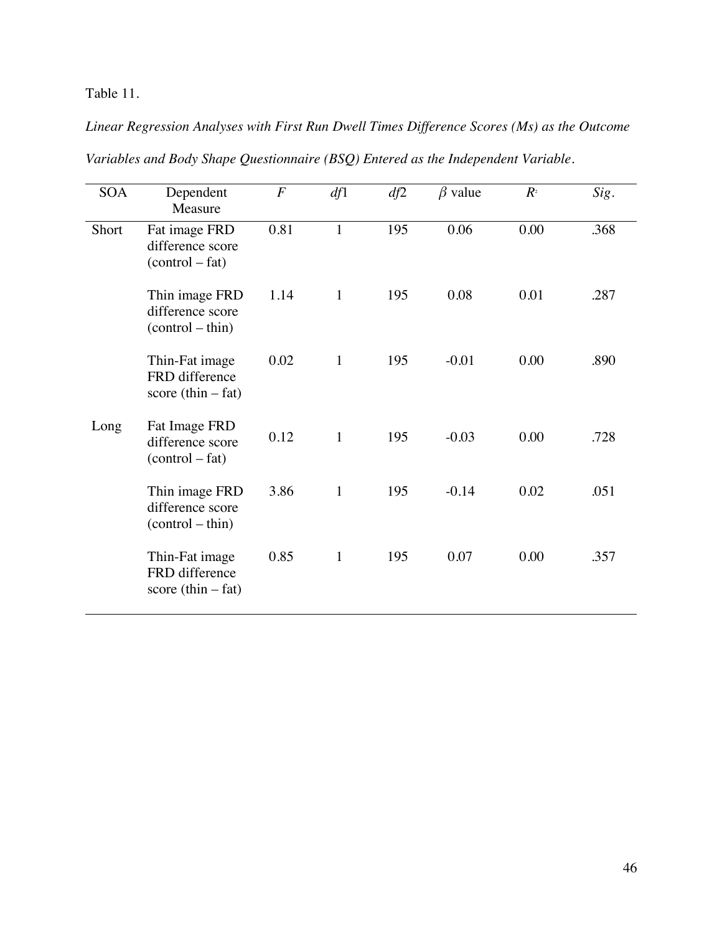Table 11.

*Linear Regression Analyses with First Run Dwell Times Difference Scores (Ms) as the Outcome* 

| <b>SOA</b> | Dependent<br>Measure                                     | $\cal F$ | df1          | df2 | $\beta$ value | $R^{\scriptscriptstyle 2}$ | Sig. |
|------------|----------------------------------------------------------|----------|--------------|-----|---------------|----------------------------|------|
| Short      | Fat image FRD<br>difference score<br>$(control - fat)$   | 0.81     | $\mathbf{1}$ | 195 | 0.06          | 0.00                       | .368 |
|            | Thin image FRD<br>difference score<br>$(control - thin)$ | 1.14     | $\mathbf{1}$ | 195 | 0.08          | 0.01                       | .287 |
|            | Thin-Fat image<br>FRD difference<br>score $(thin-fat)$   | 0.02     | $\mathbf{1}$ | 195 | $-0.01$       | 0.00                       | .890 |
| Long       | Fat Image FRD<br>difference score<br>$(control - fat)$   | 0.12     | $\mathbf{1}$ | 195 | $-0.03$       | 0.00                       | .728 |
|            | Thin image FRD<br>difference score<br>$(control - thin)$ | 3.86     | $\mathbf{1}$ | 195 | $-0.14$       | 0.02                       | .051 |
|            | Thin-Fat image<br>FRD difference<br>score $(thin-fat)$   | 0.85     | $\mathbf{1}$ | 195 | 0.07          | 0.00                       | .357 |

*Variables and Body Shape Questionnaire (BSQ) Entered as the Independent Variable.*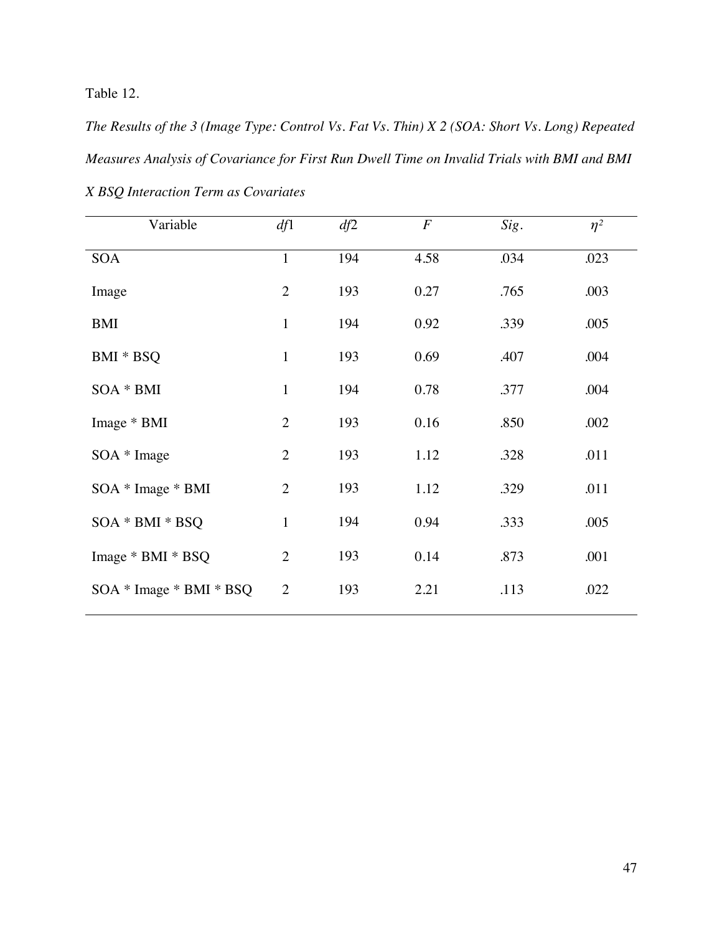Table 12.

*The Results of the 3 (Image Type: Control Vs. Fat Vs. Thin) X 2 (SOA: Short Vs. Long) Repeated Measures Analysis of Covariance for First Run Dwell Time on Invalid Trials with BMI and BMI X BSQ Interaction Term as Covariates*

| Variable                | df1            | df2 | $\boldsymbol{F}$ | Sig. | $\eta^2$ |
|-------------------------|----------------|-----|------------------|------|----------|
| <b>SOA</b>              | $\mathbf{1}$   | 194 | 4.58             | .034 | .023     |
| Image                   | $\overline{2}$ | 193 | 0.27             | .765 | .003     |
| <b>BMI</b>              | $\mathbf{1}$   | 194 | 0.92             | .339 | .005     |
| BMI * BSQ               | $\mathbf{1}$   | 193 | 0.69             | .407 | .004     |
| SOA * BMI               | $\mathbf{1}$   | 194 | 0.78             | .377 | .004     |
| Image * BMI             | $\overline{2}$ | 193 | 0.16             | .850 | .002     |
| $SOA * Image$           | $\overline{2}$ | 193 | 1.12             | .328 | .011     |
| SOA * Image * BMI       | $\overline{2}$ | 193 | 1.12             | .329 | .011     |
| SOA * BMI * BSQ         | $\mathbf{1}$   | 194 | 0.94             | .333 | .005     |
| Image * BMI * BSQ       | $\overline{2}$ | 193 | 0.14             | .873 | .001     |
| SOA * Image * BMI * BSQ | $\overline{2}$ | 193 | 2.21             | .113 | .022     |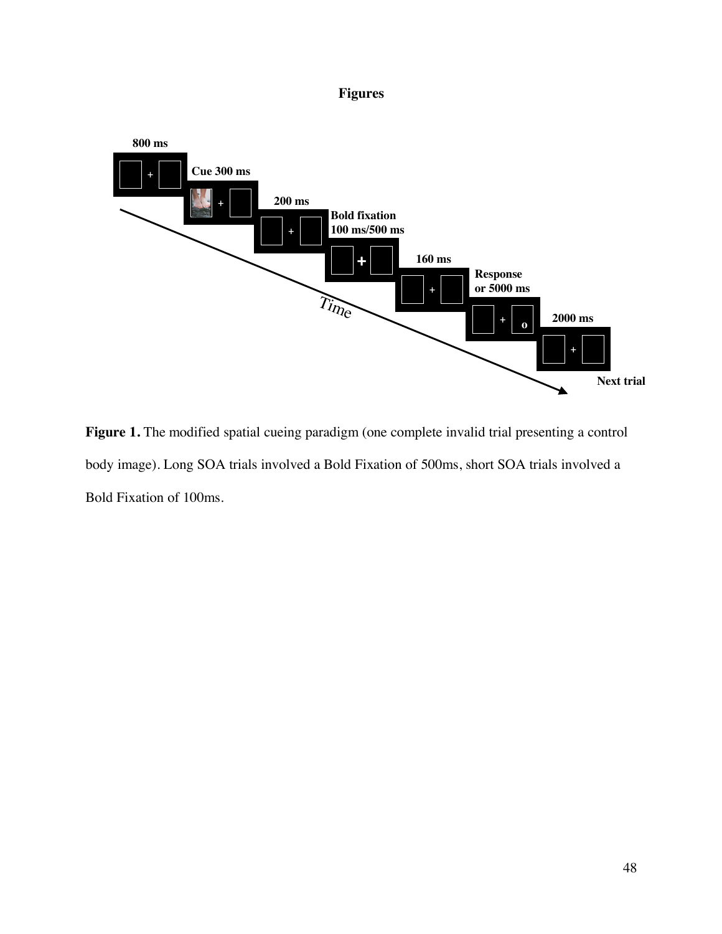## **Figures**



Figure 1. The modified spatial cueing paradigm (one complete invalid trial presenting a control body image). Long SOA trials involved a Bold Fixation of 500ms, short SOA trials involved a Bold Fixation of 100ms.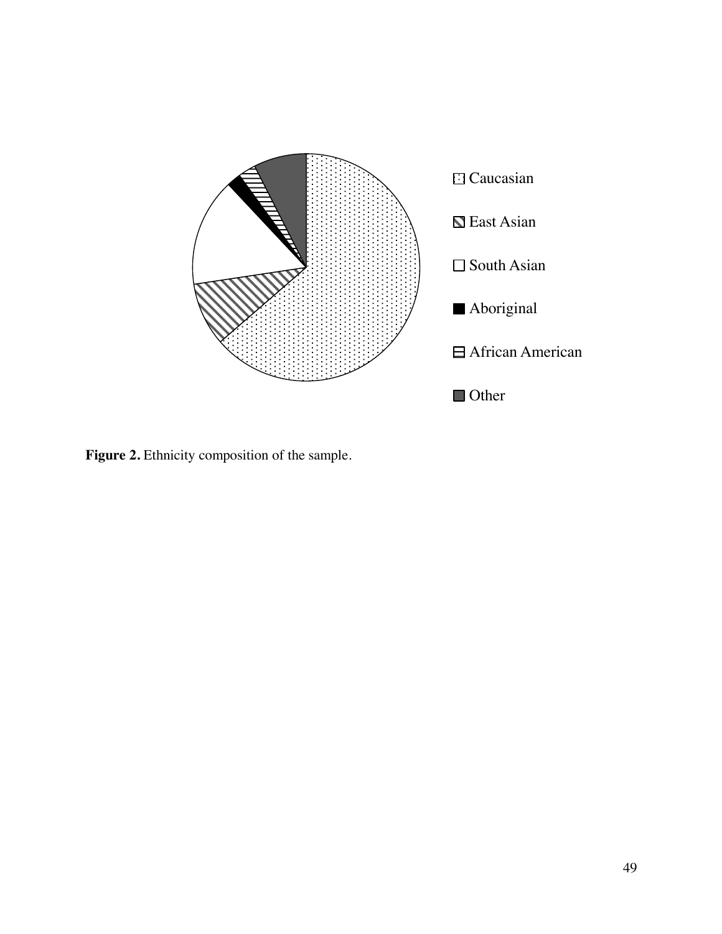

Figure 2. Ethnicity composition of the sample.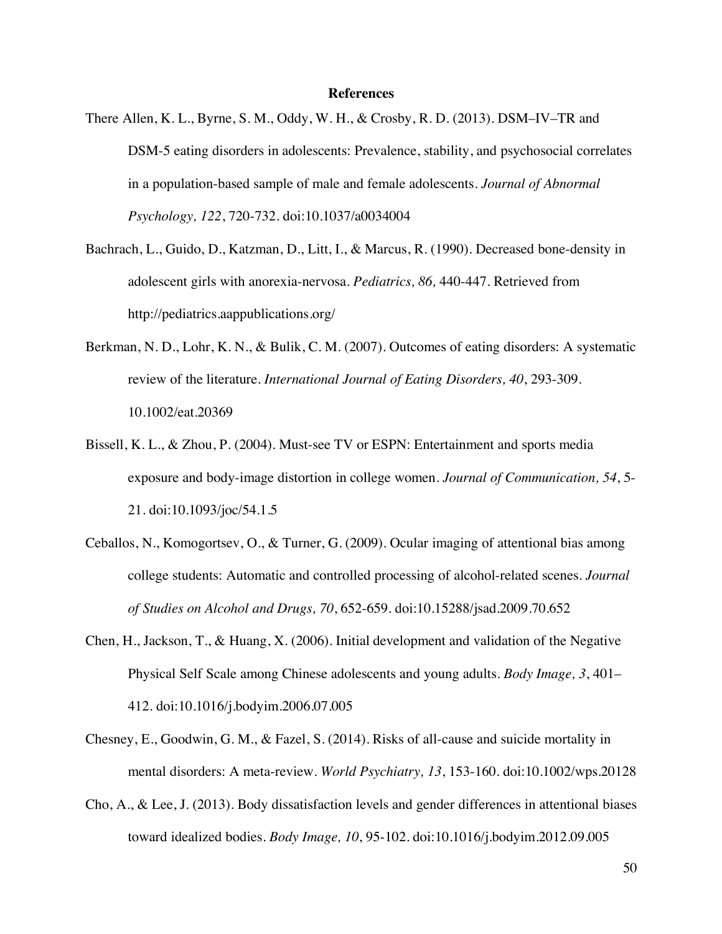#### **References**

- There Allen, K. L., Byrne, S. M., Oddy, W. H., & Crosby, R. D. (2013). DSM–IV–TR and DSM-5 eating disorders in adolescents: Prevalence, stability, and psychosocial correlates in a population-based sample of male and female adolescents. *Journal of Abnormal Psychology, 122*, 720-732. doi:10.1037/a0034004
- Bachrach, L., Guido, D., Katzman, D., Litt, I., & Marcus, R. (1990). Decreased bone-density in adolescent girls with anorexia-nervosa. *Pediatrics, 86,* 440-447. Retrieved from http://pediatrics.aappublications.org/
- Berkman, N. D., Lohr, K. N., & Bulik, C. M. (2007). Outcomes of eating disorders: A systematic review of the literature. *International Journal of Eating Disorders, 40*, 293-309. 10.1002/eat.20369
- Bissell, K. L., & Zhou, P. (2004). Must-see TV or ESPN: Entertainment and sports media exposure and body-image distortion in college women. *Journal of Communication, 54*, 5- 21. doi:10.1093/joc/54.1.5
- Ceballos, N., Komogortsev, O., & Turner, G. (2009). Ocular imaging of attentional bias among college students: Automatic and controlled processing of alcohol-related scenes. *Journal of Studies on Alcohol and Drugs, 70*, 652-659. doi:10.15288/jsad.2009.70.652
- Chen, H., Jackson, T., & Huang, X. (2006). Initial development and validation of the Negative Physical Self Scale among Chinese adolescents and young adults. *Body Image, 3*, 401– 412. doi:10.1016/j.bodyim.2006.07.005
- Chesney, E., Goodwin, G. M., & Fazel, S. (2014). Risks of all-cause and suicide mortality in mental disorders: A meta-review. *World Psychiatry, 13*, 153-160. doi:10.1002/wps.20128
- Cho, A., & Lee, J. (2013). Body dissatisfaction levels and gender differences in attentional biases toward idealized bodies. *Body Image, 10*, 95-102. doi:10.1016/j.bodyim.2012.09.005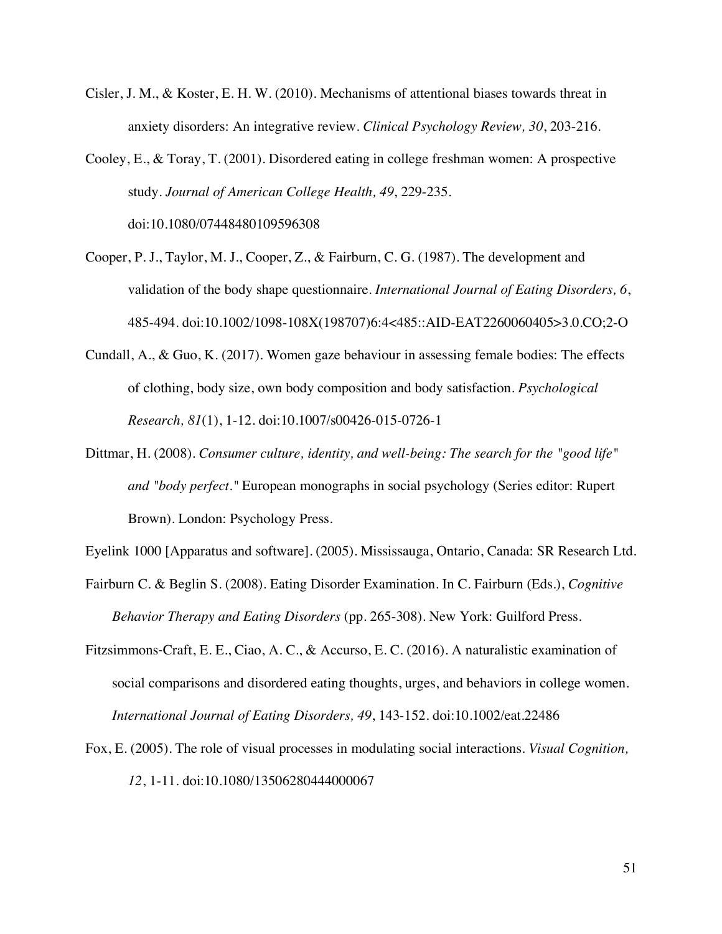Cisler, J. M., & Koster, E. H. W. (2010). Mechanisms of attentional biases towards threat in anxiety disorders: An integrative review. *Clinical Psychology Review, 30*, 203-216.

Cooley, E., & Toray, T. (2001). Disordered eating in college freshman women: A prospective study. *Journal of American College Health, 49*, 229-235. doi:10.1080/07448480109596308

- Cooper, P. J., Taylor, M. J., Cooper, Z., & Fairburn, C. G. (1987). The development and validation of the body shape questionnaire. *International Journal of Eating Disorders, 6*, 485-494. doi:10.1002/1098-108X(198707)6:4<485::AID-EAT2260060405>3.0.CO;2-O
- Cundall, A., & Guo, K. (2017). Women gaze behaviour in assessing female bodies: The effects of clothing, body size, own body composition and body satisfaction. *Psychological Research, 81*(1), 1-12. doi:10.1007/s00426-015-0726-1
- Dittmar, H. (2008). *Consumer culture, identity, and well-being: The search for the "good life" and "body perfect."* European monographs in social psychology (Series editor: Rupert Brown). London: Psychology Press.

Eyelink 1000 [Apparatus and software]. (2005). Mississauga, Ontario, Canada: SR Research Ltd.

- Fairburn C. & Beglin S. (2008). Eating Disorder Examination. In C. Fairburn (Eds.), *Cognitive Behavior Therapy and Eating Disorders* (pp. 265-308). New York: Guilford Press.
- Fitzsimmons-Craft, E. E., Ciao, A. C., & Accurso, E. C. (2016). A naturalistic examination of social comparisons and disordered eating thoughts, urges, and behaviors in college women. *International Journal of Eating Disorders, 49*, 143-152. doi:10.1002/eat.22486
- Fox, E. (2005). The role of visual processes in modulating social interactions. *Visual Cognition, 12*, 1-11. doi:10.1080/13506280444000067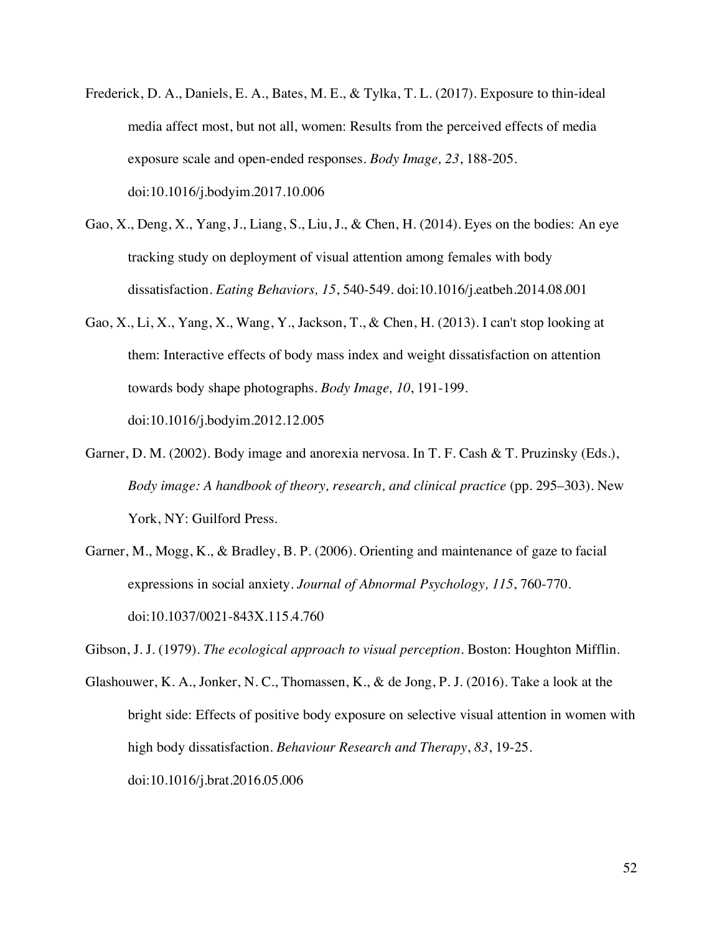- Frederick, D. A., Daniels, E. A., Bates, M. E., & Tylka, T. L. (2017). Exposure to thin-ideal media affect most, but not all, women: Results from the perceived effects of media exposure scale and open-ended responses. *Body Image, 23*, 188-205. doi:10.1016/j.bodyim.2017.10.006
- Gao, X., Deng, X., Yang, J., Liang, S., Liu, J., & Chen, H. (2014). Eyes on the bodies: An eye tracking study on deployment of visual attention among females with body dissatisfaction. *Eating Behaviors, 15*, 540-549. doi:10.1016/j.eatbeh.2014.08.001
- Gao, X., Li, X., Yang, X., Wang, Y., Jackson, T., & Chen, H. (2013). I can't stop looking at them: Interactive effects of body mass index and weight dissatisfaction on attention towards body shape photographs. *Body Image, 10*, 191-199. doi:10.1016/j.bodyim.2012.12.005
- Garner, D. M. (2002). Body image and anorexia nervosa. In T. F. Cash & T. Pruzinsky (Eds.), *Body image: A handbook of theory, research, and clinical practice* (pp. 295–303). New York, NY: Guilford Press.
- Garner, M., Mogg, K., & Bradley, B. P. (2006). Orienting and maintenance of gaze to facial expressions in social anxiety. *Journal of Abnormal Psychology, 115*, 760-770. doi:10.1037/0021-843X.115.4.760

Gibson, J. J. (1979). *The ecological approach to visual perception*. Boston: Houghton Mifflin.

Glashouwer, K. A., Jonker, N. C., Thomassen, K., & de Jong, P. J. (2016). Take a look at the bright side: Effects of positive body exposure on selective visual attention in women with high body dissatisfaction. *Behaviour Research and Therapy*, *83*, 19-25. doi:10.1016/j.brat.2016.05.006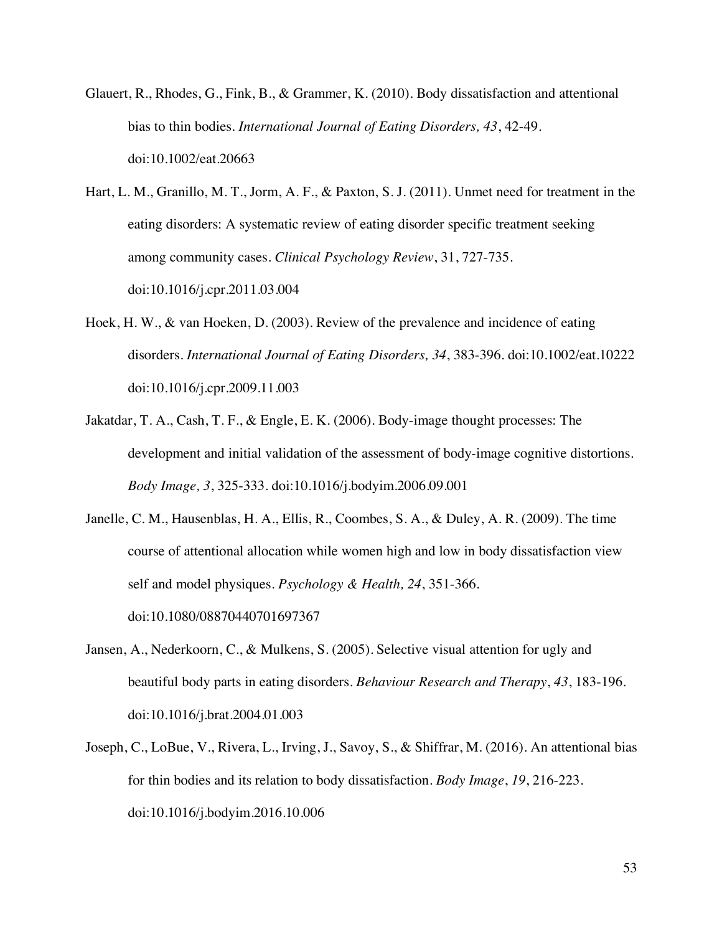- Glauert, R., Rhodes, G., Fink, B., & Grammer, K. (2010). Body dissatisfaction and attentional bias to thin bodies. *International Journal of Eating Disorders, 43*, 42-49. doi:10.1002/eat.20663
- Hart, L. M., Granillo, M. T., Jorm, A. F., & Paxton, S. J. (2011). Unmet need for treatment in the eating disorders: A systematic review of eating disorder specific treatment seeking among community cases. *Clinical Psychology Review*, 31, 727-735. doi:10.1016/j.cpr.2011.03.004
- Hoek, H. W., & van Hoeken, D. (2003). Review of the prevalence and incidence of eating disorders. *International Journal of Eating Disorders, 34*, 383-396. doi:10.1002/eat.10222 doi:10.1016/j.cpr.2009.11.003
- Jakatdar, T. A., Cash, T. F., & Engle, E. K. (2006). Body-image thought processes: The development and initial validation of the assessment of body-image cognitive distortions. *Body Image, 3*, 325-333. doi:10.1016/j.bodyim.2006.09.001
- Janelle, C. M., Hausenblas, H. A., Ellis, R., Coombes, S. A., & Duley, A. R. (2009). The time course of attentional allocation while women high and low in body dissatisfaction view self and model physiques. *Psychology & Health, 24*, 351-366. doi:10.1080/08870440701697367
- Jansen, A., Nederkoorn, C., & Mulkens, S. (2005). Selective visual attention for ugly and beautiful body parts in eating disorders. *Behaviour Research and Therapy*, *43*, 183-196. doi:10.1016/j.brat.2004.01.003
- Joseph, C., LoBue, V., Rivera, L., Irving, J., Savoy, S., & Shiffrar, M. (2016). An attentional bias for thin bodies and its relation to body dissatisfaction. *Body Image*, *19*, 216-223. doi:10.1016/j.bodyim.2016.10.006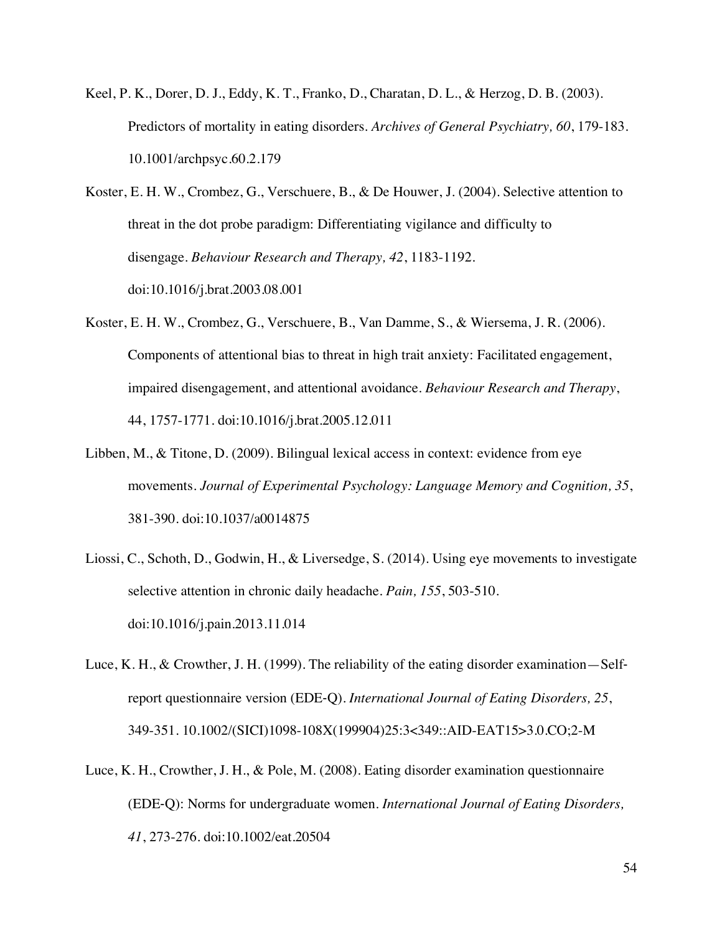- Keel, P. K., Dorer, D. J., Eddy, K. T., Franko, D., Charatan, D. L., & Herzog, D. B. (2003). Predictors of mortality in eating disorders. *Archives of General Psychiatry, 60*, 179-183. 10.1001/archpsyc.60.2.179
- Koster, E. H. W., Crombez, G., Verschuere, B., & De Houwer, J. (2004). Selective attention to threat in the dot probe paradigm: Differentiating vigilance and difficulty to disengage. *Behaviour Research and Therapy, 42*, 1183-1192. doi:10.1016/j.brat.2003.08.001
- Koster, E. H. W., Crombez, G., Verschuere, B., Van Damme, S., & Wiersema, J. R. (2006). Components of attentional bias to threat in high trait anxiety: Facilitated engagement, impaired disengagement, and attentional avoidance. *Behaviour Research and Therapy*, 44, 1757-1771. doi:10.1016/j.brat.2005.12.011
- Libben, M., & Titone, D. (2009). Bilingual lexical access in context: evidence from eye movements. *Journal of Experimental Psychology: Language Memory and Cognition, 35*, 381-390. doi:10.1037/a0014875
- Liossi, C., Schoth, D., Godwin, H., & Liversedge, S. (2014). Using eye movements to investigate selective attention in chronic daily headache. *Pain, 155*, 503-510. doi:10.1016/j.pain.2013.11.014
- Luce, K. H., & Crowther, J. H. (1999). The reliability of the eating disorder examination—Selfreport questionnaire version (EDE-Q). *International Journal of Eating Disorders, 25*, 349-351. 10.1002/(SICI)1098-108X(199904)25:3<349::AID-EAT15>3.0.CO;2-M
- Luce, K. H., Crowther, J. H., & Pole, M. (2008). Eating disorder examination questionnaire (EDE-Q): Norms for undergraduate women. *International Journal of Eating Disorders, 41*, 273-276. doi:10.1002/eat.20504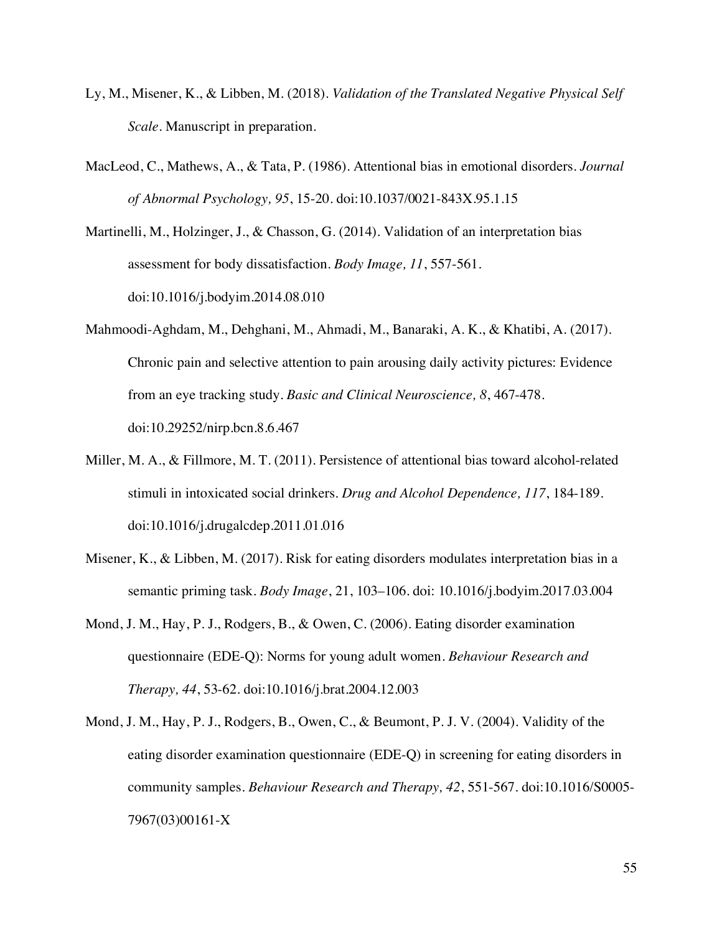- Ly, M., Misener, K., & Libben, M. (2018). *Validation of the Translated Negative Physical Self Scale*. Manuscript in preparation.
- MacLeod, C., Mathews, A., & Tata, P. (1986). Attentional bias in emotional disorders. *Journal of Abnormal Psychology, 95*, 15-20. doi:10.1037/0021-843X.95.1.15

Martinelli, M., Holzinger, J., & Chasson, G. (2014). Validation of an interpretation bias assessment for body dissatisfaction. *Body Image, 11*, 557-561. doi:10.1016/j.bodyim.2014.08.010

- Mahmoodi-Aghdam, M., Dehghani, M., Ahmadi, M., Banaraki, A. K., & Khatibi, A. (2017). Chronic pain and selective attention to pain arousing daily activity pictures: Evidence from an eye tracking study. *Basic and Clinical Neuroscience, 8*, 467-478. doi:10.29252/nirp.bcn.8.6.467
- Miller, M. A., & Fillmore, M. T. (2011). Persistence of attentional bias toward alcohol-related stimuli in intoxicated social drinkers. *Drug and Alcohol Dependence, 117*, 184-189. doi:10.1016/j.drugalcdep.2011.01.016
- Misener, K., & Libben, M. (2017). Risk for eating disorders modulates interpretation bias in a semantic priming task. *Body Image*, 21, 103–106. doi: 10.1016/j.bodyim.2017.03.004
- Mond, J. M., Hay, P. J., Rodgers, B., & Owen, C. (2006). Eating disorder examination questionnaire (EDE-Q): Norms for young adult women. *Behaviour Research and Therapy, 44*, 53-62. doi:10.1016/j.brat.2004.12.003
- Mond, J. M., Hay, P. J., Rodgers, B., Owen, C., & Beumont, P. J. V. (2004). Validity of the eating disorder examination questionnaire (EDE-Q) in screening for eating disorders in community samples. *Behaviour Research and Therapy, 42*, 551-567. doi:10.1016/S0005- 7967(03)00161-X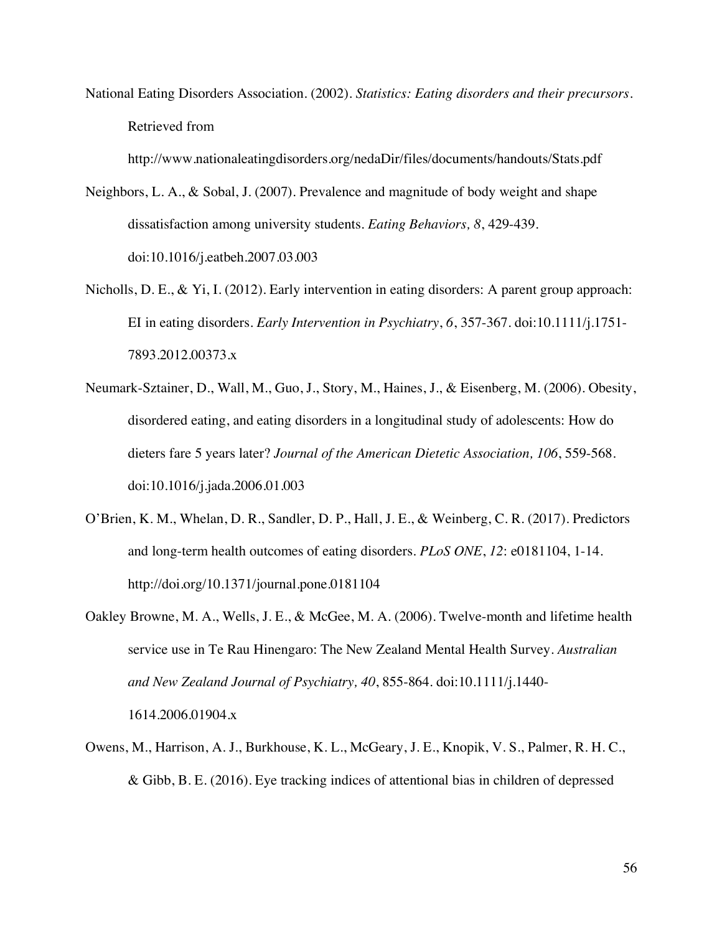National Eating Disorders Association. (2002). *Statistics: Eating disorders and their precursors*. Retrieved from

http://www.nationaleatingdisorders.org/nedaDir/files/documents/handouts/Stats.pdf

- Neighbors, L. A., & Sobal, J. (2007). Prevalence and magnitude of body weight and shape dissatisfaction among university students. *Eating Behaviors, 8*, 429-439. doi:10.1016/j.eatbeh.2007.03.003
- Nicholls, D. E., & Yi, I. (2012). Early intervention in eating disorders: A parent group approach: EI in eating disorders. *Early Intervention in Psychiatry*, *6*, 357-367. doi:10.1111/j.1751- 7893.2012.00373.x
- Neumark-Sztainer, D., Wall, M., Guo, J., Story, M., Haines, J., & Eisenberg, M. (2006). Obesity, disordered eating, and eating disorders in a longitudinal study of adolescents: How do dieters fare 5 years later? *Journal of the American Dietetic Association, 106*, 559-568. doi:10.1016/j.jada.2006.01.003
- O'Brien, K. M., Whelan, D. R., Sandler, D. P., Hall, J. E., & Weinberg, C. R. (2017). Predictors and long-term health outcomes of eating disorders. *PLoS ONE*, *12*: e0181104, 1-14. http://doi.org/10.1371/journal.pone.0181104
- Oakley Browne, M. A., Wells, J. E., & McGee, M. A. (2006). Twelve-month and lifetime health service use in Te Rau Hinengaro: The New Zealand Mental Health Survey. *Australian and New Zealand Journal of Psychiatry, 40*, 855-864. doi:10.1111/j.1440- 1614.2006.01904.x
- Owens, M., Harrison, A. J., Burkhouse, K. L., McGeary, J. E., Knopik, V. S., Palmer, R. H. C., & Gibb, B. E. (2016). Eye tracking indices of attentional bias in children of depressed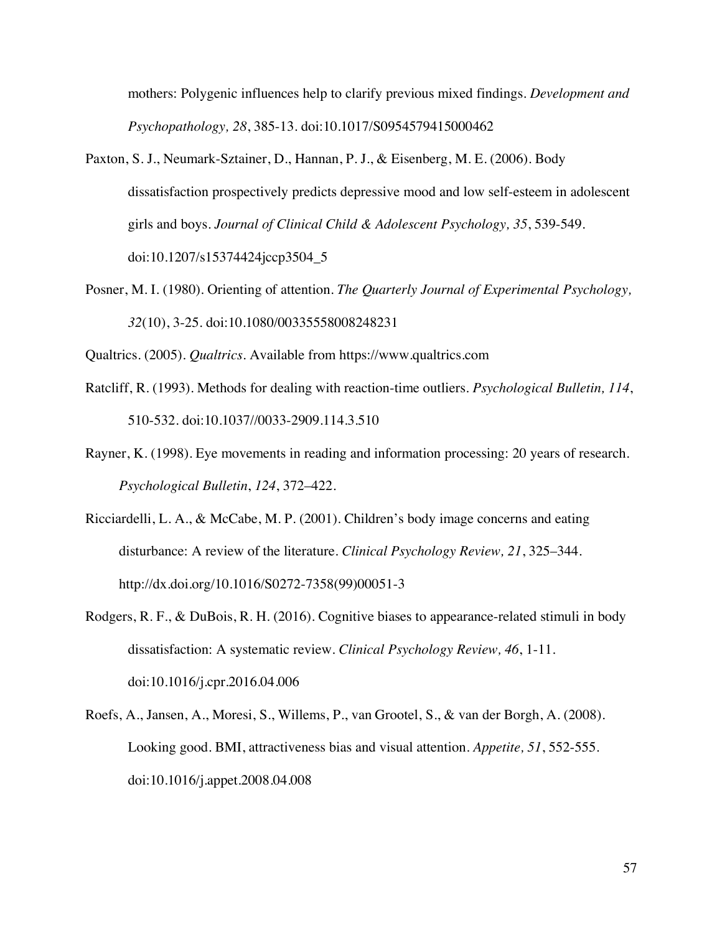mothers: Polygenic influences help to clarify previous mixed findings. *Development and Psychopathology, 28*, 385-13. doi:10.1017/S0954579415000462

- Paxton, S. J., Neumark-Sztainer, D., Hannan, P. J., & Eisenberg, M. E. (2006). Body dissatisfaction prospectively predicts depressive mood and low self-esteem in adolescent girls and boys. *Journal of Clinical Child & Adolescent Psychology, 35*, 539-549. doi:10.1207/s15374424jccp3504\_5
- Posner, M. I. (1980). Orienting of attention. *The Quarterly Journal of Experimental Psychology, 32*(10), 3-25. doi:10.1080/00335558008248231
- Qualtrics. (2005). *Qualtrics*. Available from https://www.qualtrics.com
- Ratcliff, R. (1993). Methods for dealing with reaction-time outliers. *Psychological Bulletin, 114*, 510-532. doi:10.1037//0033-2909.114.3.510
- Rayner, K. (1998). Eye movements in reading and information processing: 20 years of research. *Psychological Bulletin*, *124*, 372–422.
- Ricciardelli, L. A., & McCabe, M. P. (2001). Children's body image concerns and eating disturbance: A review of the literature. *Clinical Psychology Review, 21*, 325–344. http://dx.doi.org/10.1016/S0272-7358(99)00051-3
- Rodgers, R. F., & DuBois, R. H. (2016). Cognitive biases to appearance-related stimuli in body dissatisfaction: A systematic review. *Clinical Psychology Review, 46*, 1-11. doi:10.1016/j.cpr.2016.04.006
- Roefs, A., Jansen, A., Moresi, S., Willems, P., van Grootel, S., & van der Borgh, A. (2008). Looking good. BMI, attractiveness bias and visual attention. *Appetite, 51*, 552-555. doi:10.1016/j.appet.2008.04.008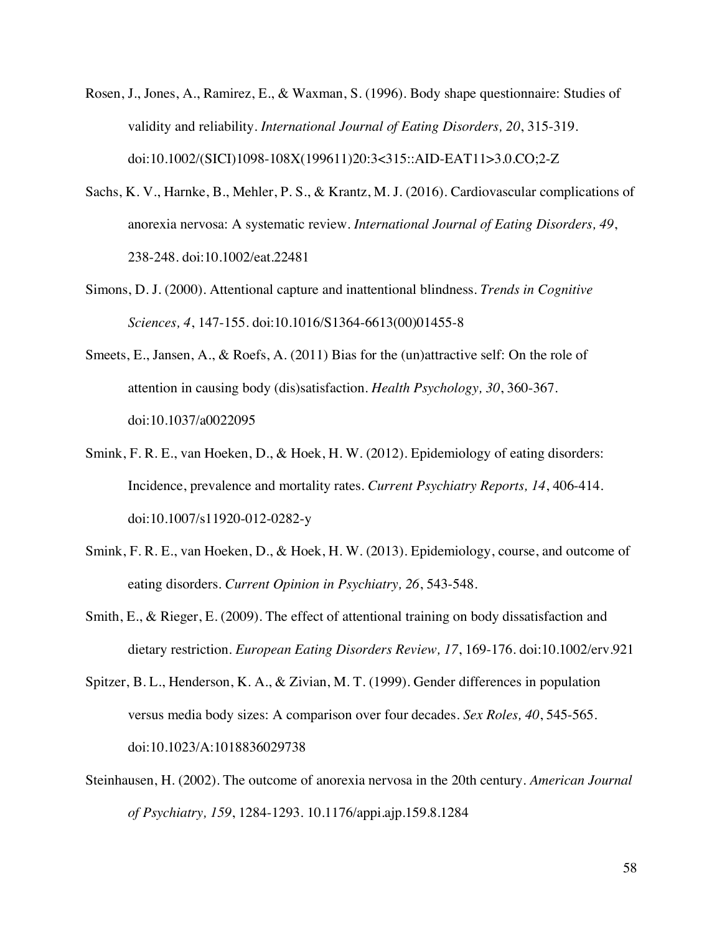- Rosen, J., Jones, A., Ramirez, E., & Waxman, S. (1996). Body shape questionnaire: Studies of validity and reliability. *International Journal of Eating Disorders, 20*, 315-319. doi:10.1002/(SICI)1098-108X(199611)20:3<315::AID-EAT11>3.0.CO;2-Z
- Sachs, K. V., Harnke, B., Mehler, P. S., & Krantz, M. J. (2016). Cardiovascular complications of anorexia nervosa: A systematic review. *International Journal of Eating Disorders, 49*, 238-248. doi:10.1002/eat.22481
- Simons, D. J. (2000). Attentional capture and inattentional blindness. *Trends in Cognitive Sciences, 4*, 147-155. doi:10.1016/S1364-6613(00)01455-8
- Smeets, E., Jansen, A., & Roefs, A. (2011) Bias for the (un)attractive self: On the role of attention in causing body (dis)satisfaction. *Health Psychology, 30*, 360-367. doi:10.1037/a0022095
- Smink, F. R. E., van Hoeken, D., & Hoek, H. W. (2012). Epidemiology of eating disorders: Incidence, prevalence and mortality rates. *Current Psychiatry Reports, 14*, 406-414. doi:10.1007/s11920-012-0282-y
- Smink, F. R. E., van Hoeken, D., & Hoek, H. W. (2013). Epidemiology, course, and outcome of eating disorders. *Current Opinion in Psychiatry, 26*, 543-548.
- Smith, E., & Rieger, E. (2009). The effect of attentional training on body dissatisfaction and dietary restriction. *European Eating Disorders Review, 17*, 169-176. doi:10.1002/erv.921
- Spitzer, B. L., Henderson, K. A., & Zivian, M. T. (1999). Gender differences in population versus media body sizes: A comparison over four decades. *Sex Roles, 40*, 545-565. doi:10.1023/A:1018836029738
- Steinhausen, H. (2002). The outcome of anorexia nervosa in the 20th century. *American Journal of Psychiatry, 159*, 1284-1293. 10.1176/appi.ajp.159.8.1284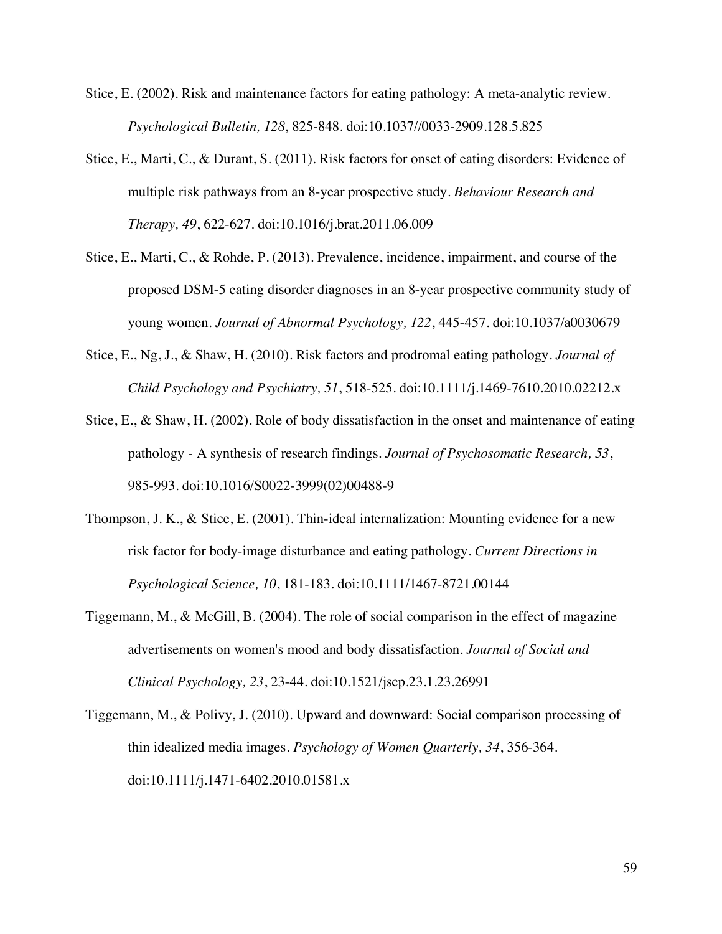- Stice, E. (2002). Risk and maintenance factors for eating pathology: A meta-analytic review. *Psychological Bulletin, 128*, 825-848. doi:10.1037//0033-2909.128.5.825
- Stice, E., Marti, C., & Durant, S. (2011). Risk factors for onset of eating disorders: Evidence of multiple risk pathways from an 8-year prospective study. *Behaviour Research and Therapy, 49*, 622-627. doi:10.1016/j.brat.2011.06.009
- Stice, E., Marti, C., & Rohde, P. (2013). Prevalence, incidence, impairment, and course of the proposed DSM-5 eating disorder diagnoses in an 8-year prospective community study of young women. *Journal of Abnormal Psychology, 122*, 445-457. doi:10.1037/a0030679
- Stice, E., Ng, J., & Shaw, H. (2010). Risk factors and prodromal eating pathology. *Journal of Child Psychology and Psychiatry, 51*, 518-525. doi:10.1111/j.1469-7610.2010.02212.x
- Stice, E., & Shaw, H. (2002). Role of body dissatisfaction in the onset and maintenance of eating pathology - A synthesis of research findings. *Journal of Psychosomatic Research, 53*, 985-993. doi:10.1016/S0022-3999(02)00488-9
- Thompson, J. K., & Stice, E. (2001). Thin-ideal internalization: Mounting evidence for a new risk factor for body-image disturbance and eating pathology. *Current Directions in Psychological Science, 10*, 181-183. doi:10.1111/1467-8721.00144
- Tiggemann, M., & McGill, B. (2004). The role of social comparison in the effect of magazine advertisements on women's mood and body dissatisfaction. *Journal of Social and Clinical Psychology, 23*, 23-44. doi:10.1521/jscp.23.1.23.26991
- Tiggemann, M., & Polivy, J. (2010). Upward and downward: Social comparison processing of thin idealized media images. *Psychology of Women Quarterly, 34*, 356-364. doi:10.1111/j.1471-6402.2010.01581.x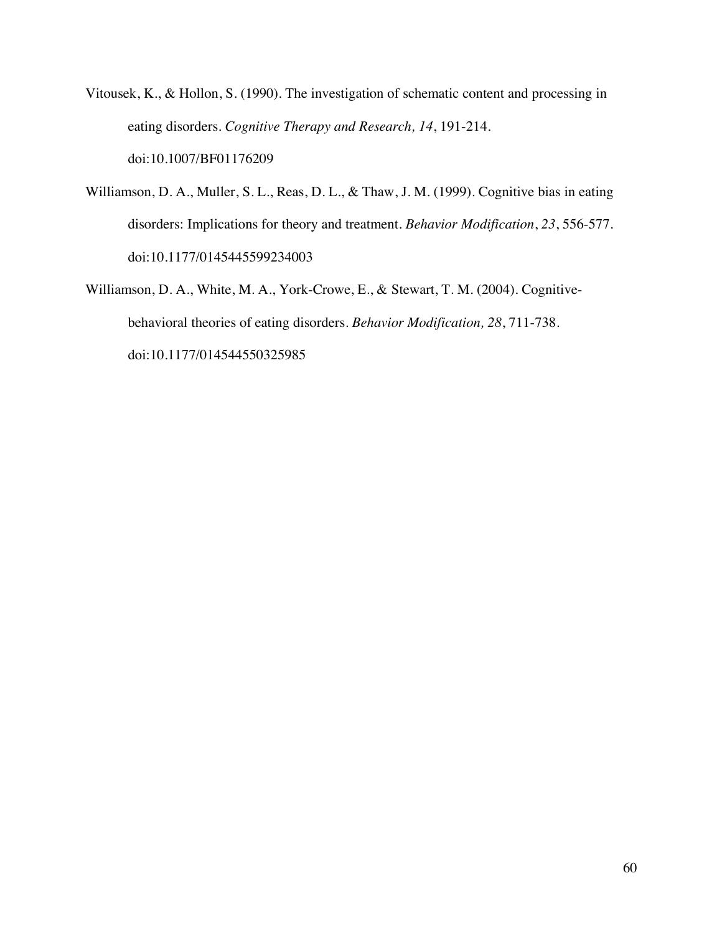- Vitousek, K., & Hollon, S. (1990). The investigation of schematic content and processing in eating disorders. *Cognitive Therapy and Research, 14*, 191-214. doi:10.1007/BF01176209
- Williamson, D. A., Muller, S. L., Reas, D. L., & Thaw, J. M. (1999). Cognitive bias in eating disorders: Implications for theory and treatment. *Behavior Modification*, *23*, 556-577. doi:10.1177/0145445599234003
- Williamson, D. A., White, M. A., York-Crowe, E., & Stewart, T. M. (2004). Cognitivebehavioral theories of eating disorders. *Behavior Modification, 28*, 711-738. doi:10.1177/014544550325985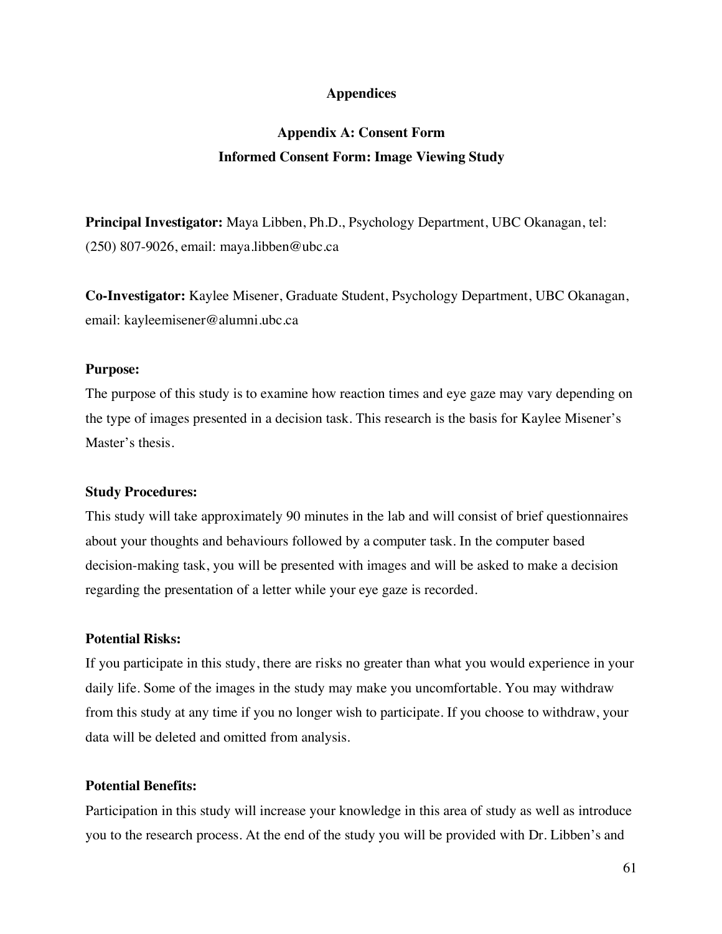# **Appendices**

# **Appendix A: Consent Form Informed Consent Form: Image Viewing Study**

**Principal Investigator:** Maya Libben, Ph.D., Psychology Department, UBC Okanagan, tel: (250) 807-9026, email: maya.libben@ubc.ca

**Co-Investigator:** Kaylee Misener, Graduate Student, Psychology Department, UBC Okanagan, email: kayleemisener@alumni.ubc.ca

## **Purpose:**

The purpose of this study is to examine how reaction times and eye gaze may vary depending on the type of images presented in a decision task. This research is the basis for Kaylee Misener's Master's thesis.

### **Study Procedures:**

This study will take approximately 90 minutes in the lab and will consist of brief questionnaires about your thoughts and behaviours followed by a computer task. In the computer based decision-making task, you will be presented with images and will be asked to make a decision regarding the presentation of a letter while your eye gaze is recorded.

# **Potential Risks:**

If you participate in this study, there are risks no greater than what you would experience in your daily life. Some of the images in the study may make you uncomfortable. You may withdraw from this study at any time if you no longer wish to participate. If you choose to withdraw, your data will be deleted and omitted from analysis.

### **Potential Benefits:**

Participation in this study will increase your knowledge in this area of study as well as introduce you to the research process. At the end of the study you will be provided with Dr. Libben's and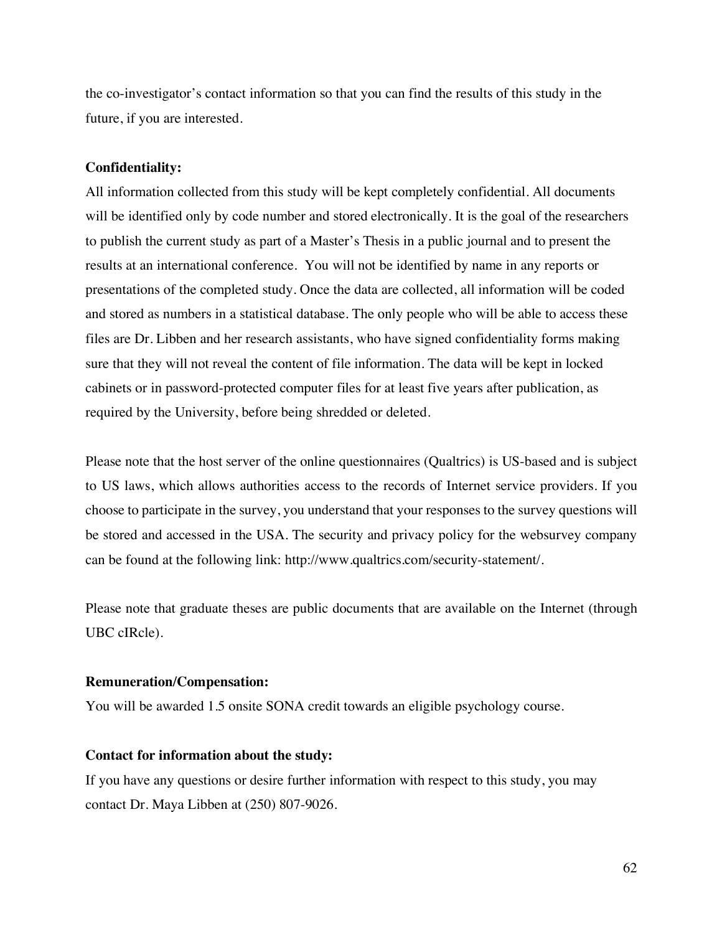the co-investigator's contact information so that you can find the results of this study in the future, if you are interested.

### **Confidentiality:**

All information collected from this study will be kept completely confidential. All documents will be identified only by code number and stored electronically. It is the goal of the researchers to publish the current study as part of a Master's Thesis in a public journal and to present the results at an international conference. You will not be identified by name in any reports or presentations of the completed study. Once the data are collected, all information will be coded and stored as numbers in a statistical database. The only people who will be able to access these files are Dr. Libben and her research assistants, who have signed confidentiality forms making sure that they will not reveal the content of file information. The data will be kept in locked cabinets or in password-protected computer files for at least five years after publication, as required by the University, before being shredded or deleted.

Please note that the host server of the online questionnaires (Qualtrics) is US-based and is subject to US laws, which allows authorities access to the records of Internet service providers. If you choose to participate in the survey, you understand that your responses to the survey questions will be stored and accessed in the USA. The security and privacy policy for the websurvey company can be found at the following link: http://www.qualtrics.com/security-statement/.

Please note that graduate theses are public documents that are available on the Internet (through UBC cIRcle).

#### **Remuneration/Compensation:**

You will be awarded 1.5 onsite SONA credit towards an eligible psychology course.

# **Contact for information about the study:**

If you have any questions or desire further information with respect to this study, you may contact Dr. Maya Libben at (250) 807-9026.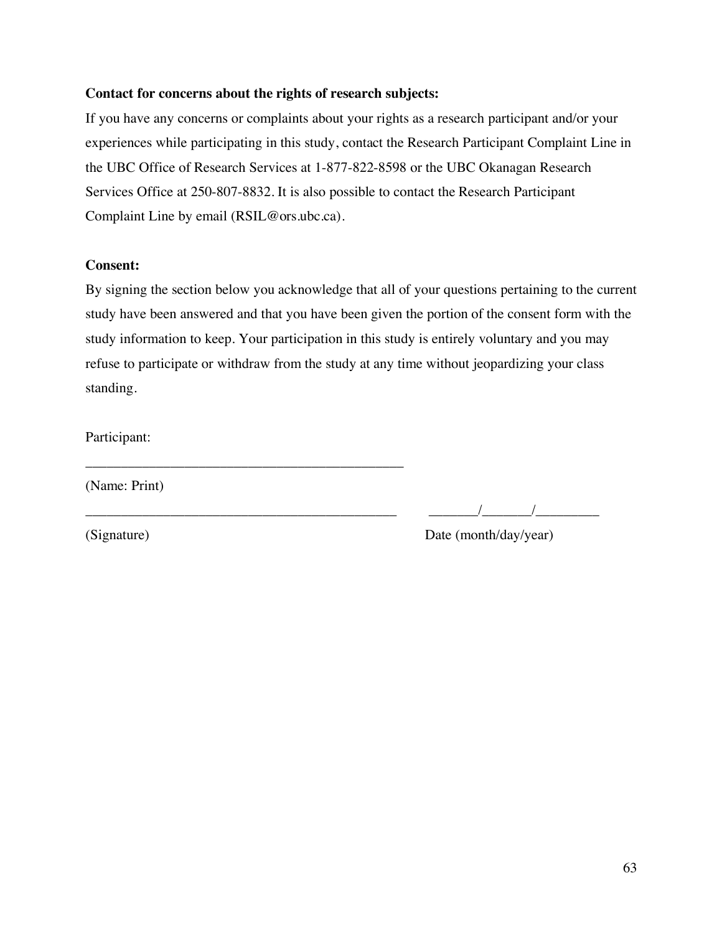# **Contact for concerns about the rights of research subjects:**

\_\_\_\_\_\_\_\_\_\_\_\_\_\_\_\_\_\_\_\_\_\_\_\_\_\_\_\_\_\_\_\_\_\_\_\_\_\_\_\_\_\_\_\_\_

If you have any concerns or complaints about your rights as a research participant and/or your experiences while participating in this study, contact the Research Participant Complaint Line in the UBC Office of Research Services at 1-877-822-8598 or the UBC Okanagan Research Services Office at 250-807-8832. It is also possible to contact the Research Participant Complaint Line by email (RSIL@ors.ubc.ca).

# **Consent:**

By signing the section below you acknowledge that all of your questions pertaining to the current study have been answered and that you have been given the portion of the consent form with the study information to keep. Your participation in this study is entirely voluntary and you may refuse to participate or withdraw from the study at any time without jeopardizing your class standing.

Participant:

(Name: Print)

 $\frac{1}{2}$   $\frac{1}{2}$   $\frac{1}{2}$   $\frac{1}{2}$   $\frac{1}{2}$   $\frac{1}{2}$   $\frac{1}{2}$   $\frac{1}{2}$   $\frac{1}{2}$   $\frac{1}{2}$   $\frac{1}{2}$   $\frac{1}{2}$   $\frac{1}{2}$   $\frac{1}{2}$   $\frac{1}{2}$   $\frac{1}{2}$   $\frac{1}{2}$   $\frac{1}{2}$   $\frac{1}{2}$   $\frac{1}{2}$   $\frac{1}{2}$   $\frac{1}{2}$ 

(Signature) Date (month/day/year)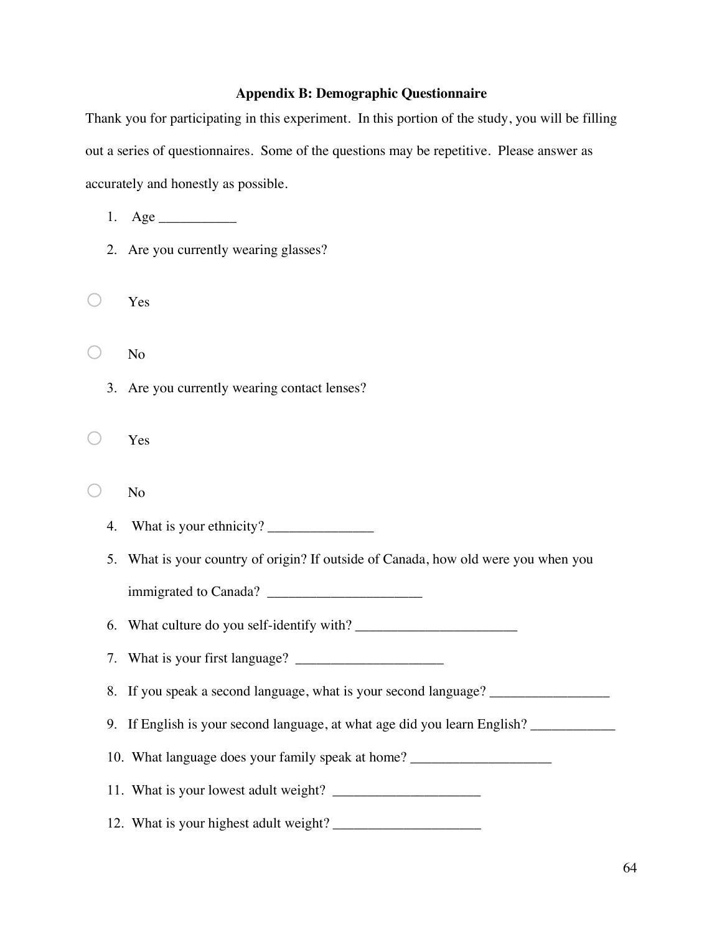# **Appendix B: Demographic Questionnaire**

Thank you for participating in this experiment. In this portion of the study, you will be filling out a series of questionnaires. Some of the questions may be repetitive. Please answer as accurately and honestly as possible.

1. Age  $\qquad$ 

- 2. Are you currently wearing glasses?
- o Yes

o No

- 3. Are you currently wearing contact lenses?
- $\bigcirc$  Yes
- $\bigcirc$  No
	- 4. What is your ethnicity?

5. What is your country of origin? If outside of Canada, how old were you when you

immigrated to Canada? \_\_\_\_\_\_\_\_\_\_\_\_\_\_\_\_\_\_\_\_\_\_

6. What culture do you self-identify with? \_\_\_\_\_\_\_\_\_\_\_\_\_\_\_\_\_\_\_\_\_\_\_

7. What is your first language?  $\Box$ 

8. If you speak a second language, what is your second language? \_\_\_\_\_\_\_\_\_\_\_\_\_\_\_\_

9. If English is your second language, at what age did you learn English?

10. What language does your family speak at home? \_\_\_\_\_\_\_\_\_\_\_\_\_\_\_\_\_\_\_\_\_\_\_\_\_\_\_\_\_\_

11. What is your lowest adult weight? \_\_\_\_\_\_\_\_\_\_\_\_\_\_\_\_\_\_\_\_\_

12. What is your highest adult weight? \_\_\_\_\_\_\_\_\_\_\_\_\_\_\_\_\_\_\_\_\_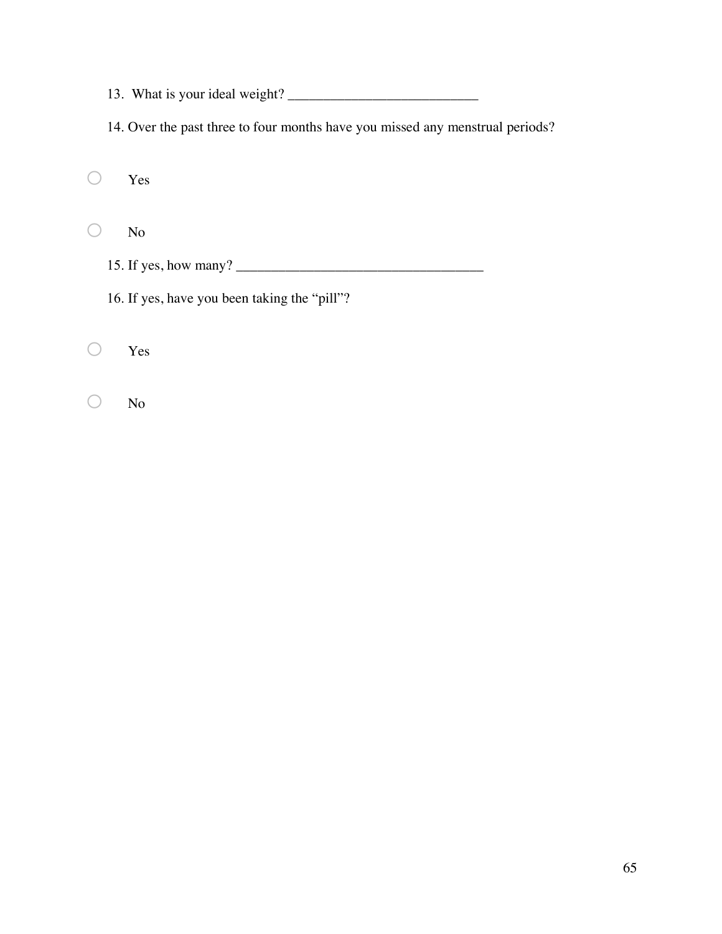13. What is your ideal weight? \_\_\_\_\_\_\_\_\_\_\_\_\_\_\_\_\_\_\_\_\_\_\_\_\_\_\_

14. Over the past three to four months have you missed any menstrual periods?

o Yes

o No

15. If yes, how many? \_\_\_\_\_\_\_\_\_\_\_\_\_\_\_\_\_\_\_\_\_\_\_\_\_\_\_\_\_\_\_\_\_\_\_

16. If yes, have you been taking the "pill"?

o Yes

o No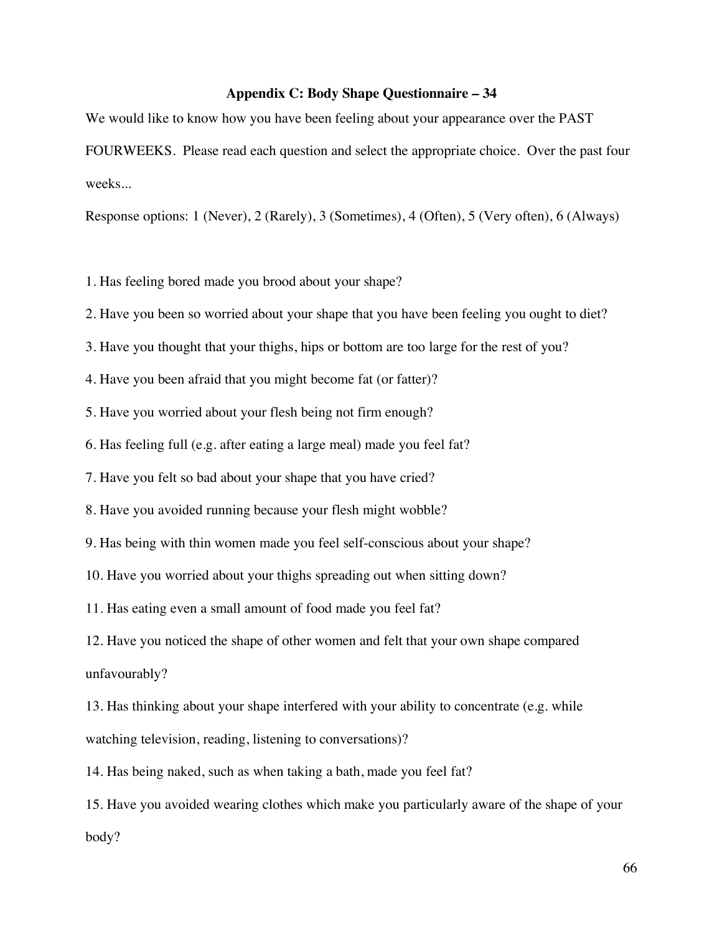# **Appendix C: Body Shape Questionnaire – 34**

We would like to know how you have been feeling about your appearance over the PAST FOURWEEKS. Please read each question and select the appropriate choice. Over the past four weeks...

Response options: 1 (Never), 2 (Rarely), 3 (Sometimes), 4 (Often), 5 (Very often), 6 (Always)

1. Has feeling bored made you brood about your shape?

2. Have you been so worried about your shape that you have been feeling you ought to diet?

3. Have you thought that your thighs, hips or bottom are too large for the rest of you?

4. Have you been afraid that you might become fat (or fatter)?

5. Have you worried about your flesh being not firm enough?

6. Has feeling full (e.g. after eating a large meal) made you feel fat?

7. Have you felt so bad about your shape that you have cried?

8. Have you avoided running because your flesh might wobble?

9. Has being with thin women made you feel self-conscious about your shape?

10. Have you worried about your thighs spreading out when sitting down?

11. Has eating even a small amount of food made you feel fat?

12. Have you noticed the shape of other women and felt that your own shape compared unfavourably?

13. Has thinking about your shape interfered with your ability to concentrate (e.g. while watching television, reading, listening to conversations)?

14. Has being naked, such as when taking a bath, made you feel fat?

15. Have you avoided wearing clothes which make you particularly aware of the shape of your body?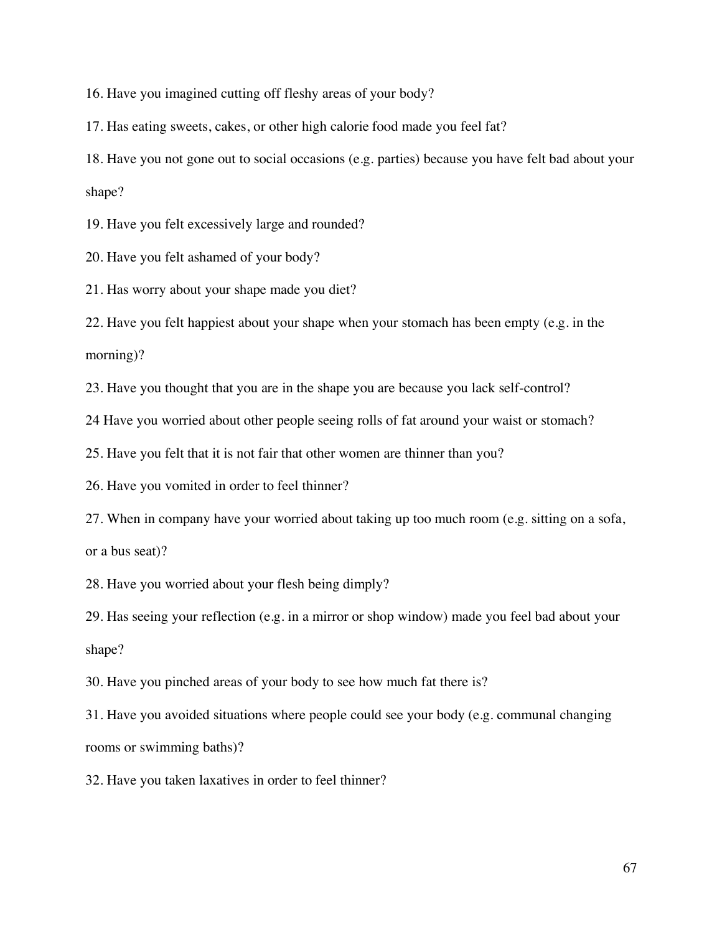16. Have you imagined cutting off fleshy areas of your body?

17. Has eating sweets, cakes, or other high calorie food made you feel fat?

18. Have you not gone out to social occasions (e.g. parties) because you have felt bad about your shape?

19. Have you felt excessively large and rounded?

20. Have you felt ashamed of your body?

21. Has worry about your shape made you diet?

22. Have you felt happiest about your shape when your stomach has been empty (e.g. in the morning)?

23. Have you thought that you are in the shape you are because you lack self-control?

24 Have you worried about other people seeing rolls of fat around your waist or stomach?

25. Have you felt that it is not fair that other women are thinner than you?

26. Have you vomited in order to feel thinner?

27. When in company have your worried about taking up too much room (e.g. sitting on a sofa,

or a bus seat)?

28. Have you worried about your flesh being dimply?

29. Has seeing your reflection (e.g. in a mirror or shop window) made you feel bad about your shape?

30. Have you pinched areas of your body to see how much fat there is?

31. Have you avoided situations where people could see your body (e.g. communal changing rooms or swimming baths)?

32. Have you taken laxatives in order to feel thinner?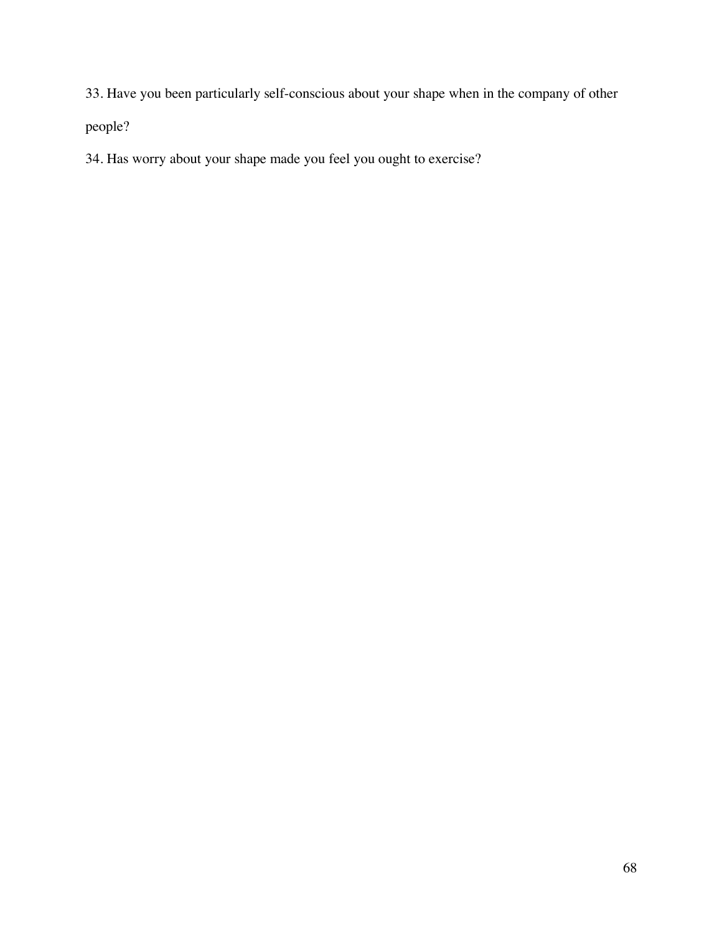33. Have you been particularly self-conscious about your shape when in the company of other

people?

34. Has worry about your shape made you feel you ought to exercise?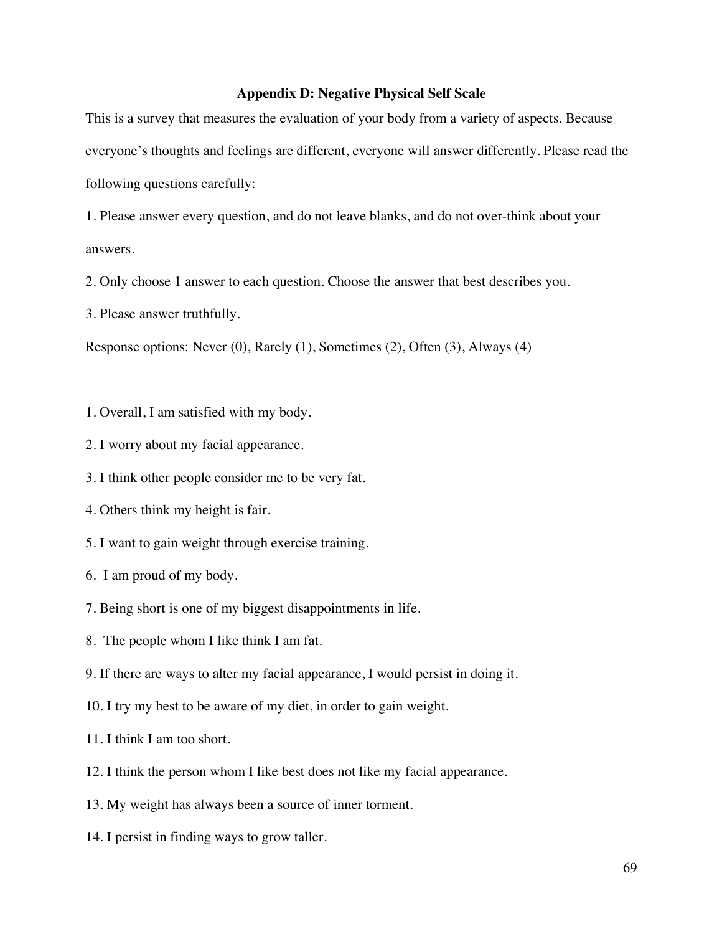## **Appendix D: Negative Physical Self Scale**

This is a survey that measures the evaluation of your body from a variety of aspects. Because everyone's thoughts and feelings are different, everyone will answer differently. Please read the following questions carefully:

1. Please answer every question, and do not leave blanks, and do not over-think about your answers.

2. Only choose 1 answer to each question. Choose the answer that best describes you.

3. Please answer truthfully.

Response options: Never (0), Rarely (1), Sometimes (2), Often (3), Always (4)

- 1. Overall, I am satisfied with my body.
- 2. I worry about my facial appearance.
- 3. I think other people consider me to be very fat.
- 4. Others think my height is fair.
- 5. I want to gain weight through exercise training.
- 6. I am proud of my body.
- 7. Being short is one of my biggest disappointments in life.
- 8. The people whom I like think I am fat.
- 9. If there are ways to alter my facial appearance, I would persist in doing it.
- 10. I try my best to be aware of my diet, in order to gain weight.
- 11. I think I am too short.
- 12. I think the person whom I like best does not like my facial appearance.
- 13. My weight has always been a source of inner torment.
- 14. I persist in finding ways to grow taller.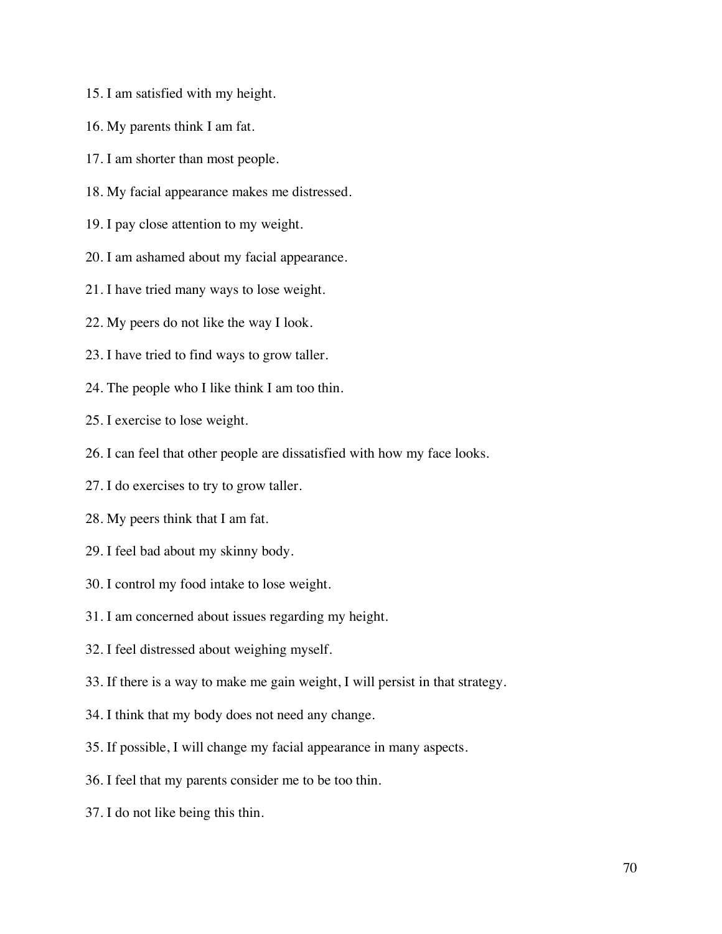- 15. I am satisfied with my height.
- 16. My parents think I am fat.
- 17. I am shorter than most people.
- 18. My facial appearance makes me distressed.
- 19. I pay close attention to my weight.
- 20. I am ashamed about my facial appearance.
- 21. I have tried many ways to lose weight.
- 22. My peers do not like the way I look.
- 23. I have tried to find ways to grow taller.
- 24. The people who I like think I am too thin.
- 25. I exercise to lose weight.
- 26. I can feel that other people are dissatisfied with how my face looks.
- 27. I do exercises to try to grow taller.
- 28. My peers think that I am fat.
- 29. I feel bad about my skinny body.
- 30. I control my food intake to lose weight.
- 31. I am concerned about issues regarding my height.
- 32. I feel distressed about weighing myself.
- 33. If there is a way to make me gain weight, I will persist in that strategy.
- 34. I think that my body does not need any change.
- 35. If possible, I will change my facial appearance in many aspects.
- 36. I feel that my parents consider me to be too thin.
- 37. I do not like being this thin.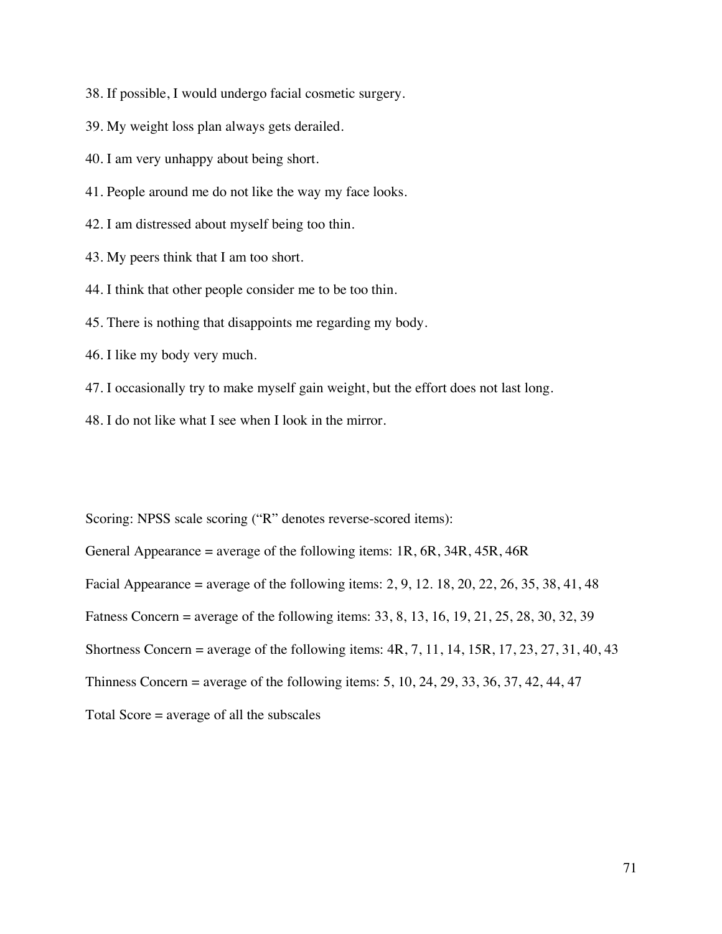38. If possible, I would undergo facial cosmetic surgery.

39. My weight loss plan always gets derailed.

40. I am very unhappy about being short.

- 41. People around me do not like the way my face looks.
- 42. I am distressed about myself being too thin.
- 43. My peers think that I am too short.
- 44. I think that other people consider me to be too thin.
- 45. There is nothing that disappoints me regarding my body.
- 46. I like my body very much.
- 47. I occasionally try to make myself gain weight, but the effort does not last long.
- 48. I do not like what I see when I look in the mirror.

Scoring: NPSS scale scoring ("R" denotes reverse-scored items):

General Appearance = average of the following items:  $1R$ ,  $6R$ ,  $34R$ ,  $45R$ ,  $46R$ Facial Appearance = average of the following items: 2, 9, 12. 18, 20, 22, 26, 35, 38, 41, 48 Fatness Concern = average of the following items: 33, 8, 13, 16, 19, 21, 25, 28, 30, 32, 39 Shortness Concern = average of the following items:  $4R$ ,  $7$ ,  $11$ ,  $14$ ,  $15R$ ,  $17$ ,  $23$ ,  $27$ ,  $31$ ,  $40$ ,  $43$ Thinness Concern = average of the following items: 5, 10, 24, 29, 33, 36, 37, 42, 44, 47 Total Score = average of all the subscales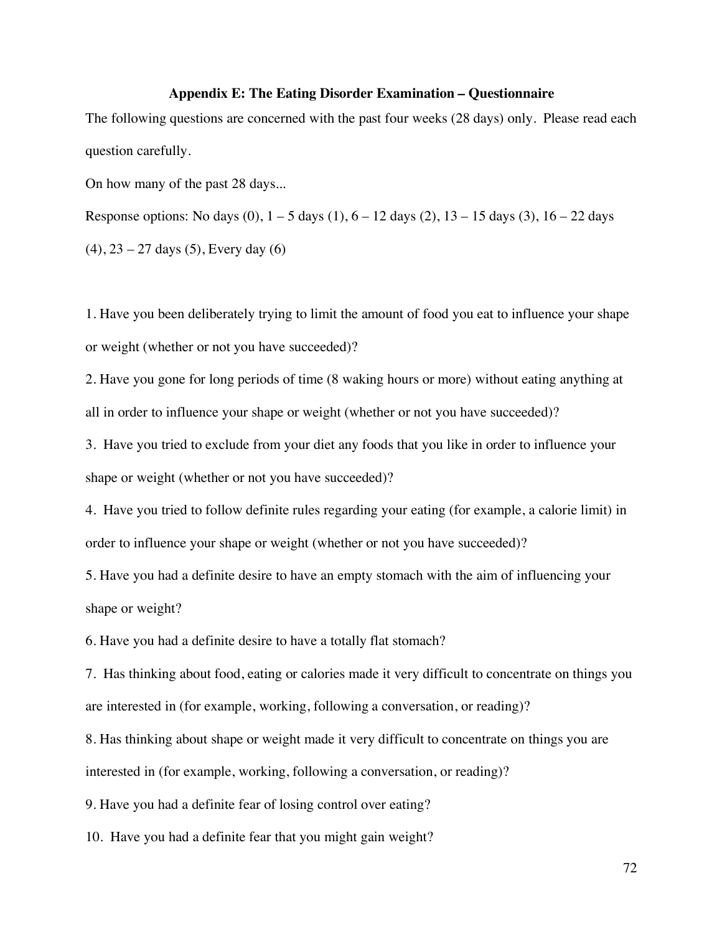### **Appendix E: The Eating Disorder Examination – Questionnaire**

The following questions are concerned with the past four weeks (28 days) only. Please read each question carefully.

On how many of the past 28 days...

Response options: No days  $(0)$ ,  $1 - 5$  days  $(1)$ ,  $6 - 12$  days  $(2)$ ,  $13 - 15$  days  $(3)$ ,  $16 - 22$  days

 $(4)$ , 23 – 27 days (5), Every day (6)

1. Have you been deliberately trying to limit the amount of food you eat to influence your shape or weight (whether or not you have succeeded)?

2. Have you gone for long periods of time (8 waking hours or more) without eating anything at all in order to influence your shape or weight (whether or not you have succeeded)?

3. Have you tried to exclude from your diet any foods that you like in order to influence your shape or weight (whether or not you have succeeded)?

4. Have you tried to follow definite rules regarding your eating (for example, a calorie limit) in order to influence your shape or weight (whether or not you have succeeded)?

5. Have you had a definite desire to have an empty stomach with the aim of influencing your shape or weight?

6. Have you had a definite desire to have a totally flat stomach?

7. Has thinking about food, eating or calories made it very difficult to concentrate on things you are interested in (for example, working, following a conversation, or reading)?

8. Has thinking about shape or weight made it very difficult to concentrate on things you are interested in (for example, working, following a conversation, or reading)?

9. Have you had a definite fear of losing control over eating?

10. Have you had a definite fear that you might gain weight?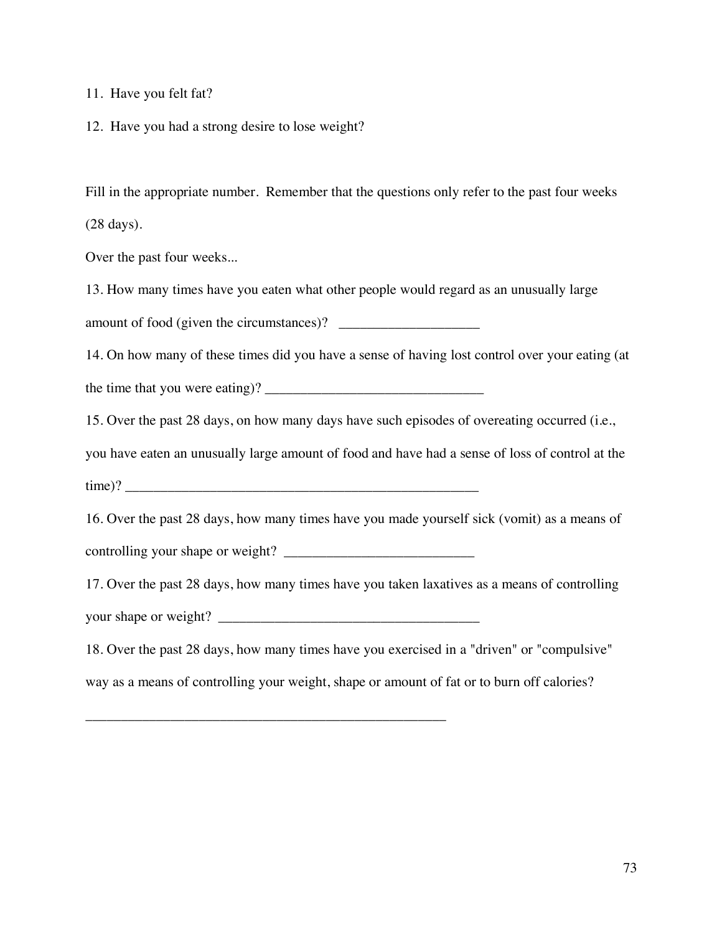11. Have you felt fat?

12. Have you had a strong desire to lose weight?

Fill in the appropriate number. Remember that the questions only refer to the past four weeks (28 days).

Over the past four weeks...

13. How many times have you eaten what other people would regard as an unusually large amount of food (given the circumstances)? \_\_\_\_\_\_\_\_\_\_\_\_\_\_\_\_\_\_\_\_

14. On how many of these times did you have a sense of having lost control over your eating (at the time that you were eating)? \_\_\_\_\_\_\_\_\_\_\_\_\_\_\_\_\_\_\_\_\_\_\_\_\_\_\_\_\_\_\_

15. Over the past 28 days, on how many days have such episodes of overeating occurred (i.e.,

you have eaten an unusually large amount of food and have had a sense of loss of control at the

time)?

16. Over the past 28 days, how many times have you made yourself sick (vomit) as a means of

controlling your shape or weight?

\_\_\_\_\_\_\_\_\_\_\_\_\_\_\_\_\_\_\_\_\_\_\_\_\_\_\_\_\_\_\_\_\_\_\_\_\_\_\_\_\_\_\_\_\_\_\_\_\_\_\_

17. Over the past 28 days, how many times have you taken laxatives as a means of controlling your shape or weight?

18. Over the past 28 days, how many times have you exercised in a "driven" or "compulsive" way as a means of controlling your weight, shape or amount of fat or to burn off calories?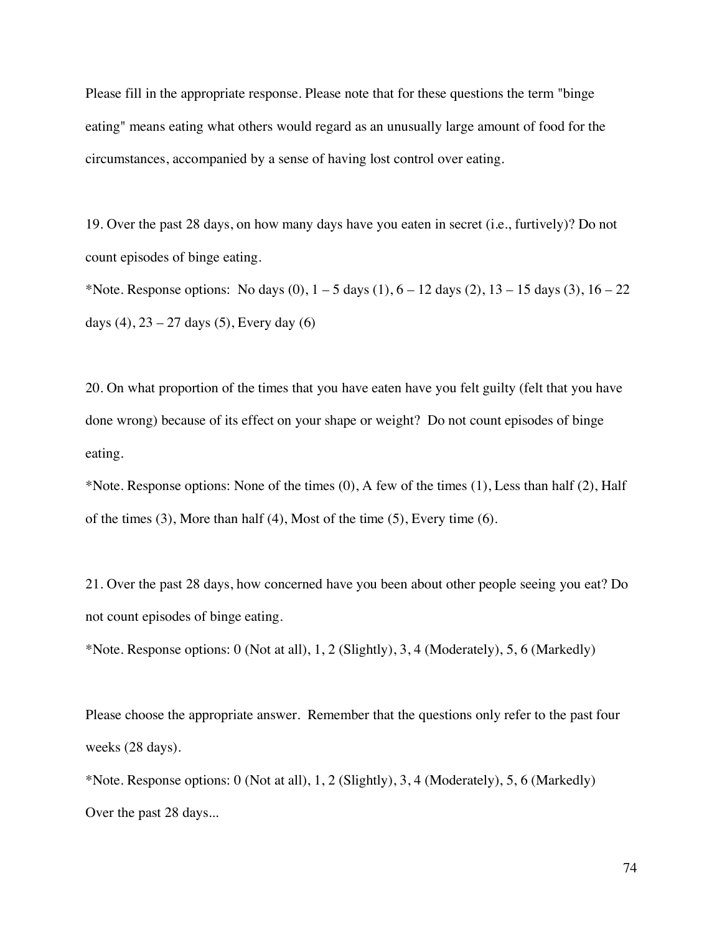Please fill in the appropriate response. Please note that for these questions the term "binge eating" means eating what others would regard as an unusually large amount of food for the circumstances, accompanied by a sense of having lost control over eating.

19. Over the past 28 days, on how many days have you eaten in secret (i.e., furtively)? Do not count episodes of binge eating.

\*Note. Response options: No days  $(0)$ ,  $1 - 5$  days  $(1)$ ,  $6 - 12$  days  $(2)$ ,  $13 - 15$  days  $(3)$ ,  $16 - 22$ days  $(4)$ ,  $23 - 27$  days  $(5)$ , Every day  $(6)$ 

20. On what proportion of the times that you have eaten have you felt guilty (felt that you have done wrong) because of its effect on your shape or weight? Do not count episodes of binge eating.

\*Note. Response options: None of the times (0), A few of the times (1), Less than half (2), Half of the times (3), More than half (4), Most of the time (5), Every time (6).

21. Over the past 28 days, how concerned have you been about other people seeing you eat? Do not count episodes of binge eating.

\*Note. Response options: 0 (Not at all), 1, 2 (Slightly), 3, 4 (Moderately), 5, 6 (Markedly)

Please choose the appropriate answer. Remember that the questions only refer to the past four weeks (28 days).

\*Note. Response options: 0 (Not at all), 1, 2 (Slightly), 3, 4 (Moderately), 5, 6 (Markedly) Over the past 28 days...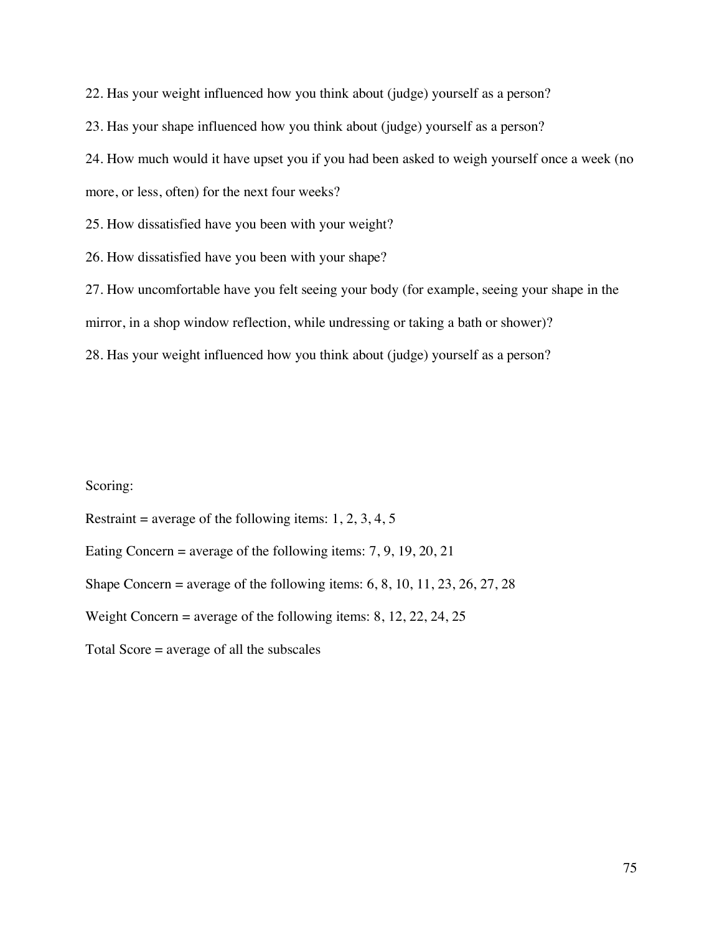22. Has your weight influenced how you think about (judge) yourself as a person?

23. Has your shape influenced how you think about (judge) yourself as a person?

24. How much would it have upset you if you had been asked to weigh yourself once a week (no

more, or less, often) for the next four weeks?

25. How dissatisfied have you been with your weight?

26. How dissatisfied have you been with your shape?

27. How uncomfortable have you felt seeing your body (for example, seeing your shape in the

mirror, in a shop window reflection, while undressing or taking a bath or shower)?

28. Has your weight influenced how you think about (judge) yourself as a person?

# Scoring:

Restraint = average of the following items:  $1, 2, 3, 4, 5$ 

Eating Concern = average of the following items:  $7, 9, 19, 20, 21$ 

Shape Concern = average of the following items:  $6, 8, 10, 11, 23, 26, 27, 28$ 

Weight Concern = average of the following items: 8, 12, 22, 24, 25

Total Score = average of all the subscales